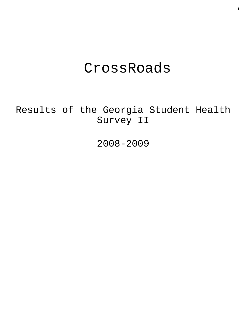# CrossRoads

Results of the Georgia Student Health Survey II

2008-2009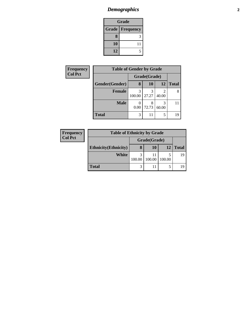# *Demographics* **2**

| Grade |                          |  |  |
|-------|--------------------------|--|--|
|       | <b>Grade   Frequency</b> |  |  |
| 8     | Р                        |  |  |
| 10    | 11                       |  |  |
| 12    |                          |  |  |

| Frequency      | <b>Table of Gender by Grade</b> |              |            |           |              |  |
|----------------|---------------------------------|--------------|------------|-----------|--------------|--|
| <b>Col Pct</b> |                                 | Grade(Grade) |            |           |              |  |
|                | Gender(Gender)                  | 8            | <b>10</b>  | <b>12</b> | <b>Total</b> |  |
|                | <b>Female</b>                   | 3<br>100.00  | 3<br>27.27 | 40.00     | 8            |  |
|                | <b>Male</b>                     | 0.00         | 8<br>72.73 | 60.00     | 11           |  |
|                | <b>Total</b>                    | 3            | 11         | 5         | 19           |  |

| Frequency      | <b>Table of Ethnicity by Grade</b> |              |        |        |              |
|----------------|------------------------------------|--------------|--------|--------|--------------|
| <b>Col Pct</b> |                                    | Grade(Grade) |        |        |              |
|                | <b>Ethnicity</b> (Ethnicity)       | 8            | 10     | 12     | <b>Total</b> |
|                | White                              | 100.00       | 100.00 | 100.00 | 19           |
|                | <b>Total</b>                       | 3            |        |        |              |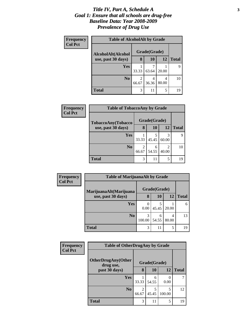### *Title IV, Part A, Schedule A* **3** *Goal 1: Ensure that all schools are drug-free Baseline Data: Year 2008-2009 Prevalence of Drug Use*

| Frequency<br><b>Col Pct</b> | <b>Table of AlcoholAlt by Grade</b> |            |              |            |              |  |
|-----------------------------|-------------------------------------|------------|--------------|------------|--------------|--|
|                             | AlcoholAlt(Alcohol                  |            | Grade(Grade) |            |              |  |
|                             | use, past 30 days)                  | 8          | 10           | <b>12</b>  | <b>Total</b> |  |
|                             | Yes                                 | 33.33      | 63.64        | 20.00      | q            |  |
|                             | N <sub>0</sub>                      | 2<br>66.67 | 4<br>36.36   | 4<br>80.00 | 10           |  |
|                             | Total                               | 3          | 11           | 5          | 19           |  |

| Frequency<br><b>Col Pct</b> | <b>Table of TobaccoAny by Grade</b> |       |              |            |              |
|-----------------------------|-------------------------------------|-------|--------------|------------|--------------|
|                             | TobaccoAny(Tobacco                  |       | Grade(Grade) |            |              |
|                             | use, past 30 days)                  | 8     | 10           | <b>12</b>  | <b>Total</b> |
|                             | <b>Yes</b>                          | 33.33 | 5<br>45.45   | 3<br>60.00 | q            |
|                             | N <sub>0</sub>                      | 66.67 | 6<br>54.55   | 2<br>40.00 | 10           |
|                             | Total                               | 3     | 11           | 5          | 19           |

| Frequency      | <b>Table of MarijuanaAlt by Grade</b>        |              |            |       |              |  |
|----------------|----------------------------------------------|--------------|------------|-------|--------------|--|
| <b>Col Pct</b> | MarijuanaAlt(Marijuana<br>use, past 30 days) | Grade(Grade) |            |       |              |  |
|                |                                              | 8            | 10         | 12    | <b>Total</b> |  |
|                | Yes                                          | 0.00         | 45.45      | 20.00 | 6            |  |
|                | N <sub>0</sub>                               | 3<br>100.00  | 6<br>54.55 | 80.00 | 13           |  |
|                | <b>Total</b>                                 | 3            | 11         | 5     | 19           |  |

| <b>Frequency</b> | <b>Table of OtherDrugAny by Grade</b> |            |              |             |              |
|------------------|---------------------------------------|------------|--------------|-------------|--------------|
| <b>Col Pct</b>   | OtherDrugAny(Other<br>drug use,       |            | Grade(Grade) |             |              |
|                  | past 30 days)                         | 8          | <b>10</b>    | 12          | <b>Total</b> |
|                  | Yes                                   | 33.33      | 6<br>54.55   | 0.00        | 7            |
|                  | N <sub>0</sub>                        | 2<br>66.67 | 45.45        | 5<br>100.00 | 12           |
|                  | <b>Total</b>                          | 3          | 11           | 5           | 19           |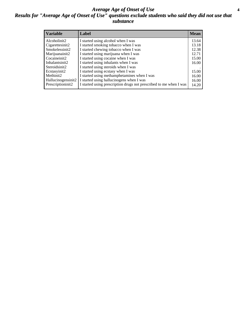### *Average Age of Onset of Use* **4** *Results for "Average Age of Onset of Use" questions exclude students who said they did not use that substance*

| <b>Variable</b>    | Label                                                              | <b>Mean</b> |
|--------------------|--------------------------------------------------------------------|-------------|
| Alcoholinit2       | I started using alcohol when I was                                 | 13.64       |
| Cigarettesinit2    | I started smoking tobacco when I was                               | 13.18       |
| Smokelessinit2     | I started chewing tobacco when I was                               | 12.38       |
| Marijuanainit2     | I started using marijuana when I was                               | 12.71       |
| Cocaineinit2       | I started using cocaine when I was                                 | 15.00       |
| Inhalantsinit2     | I started using inhalants when I was                               | 16.00       |
| Steroidsinit2      | I started using steroids when I was                                |             |
| Ecstasyinit2       | I started using ecstasy when I was                                 | 15.00       |
| Methinit2          | I started using methamphetamines when I was                        | 16.00       |
| Hallucinogensinit2 | I started using hallucinogens when I was                           | 16.00       |
| Prescriptioninit2  | I started using prescription drugs not prescribed to me when I was | 14.20       |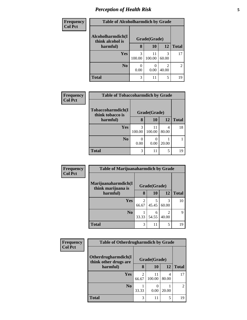# *Perception of Health Risk* **5**

| <b>Frequency</b> | <b>Table of Alcoholharmdich by Grade</b> |             |              |            |                |
|------------------|------------------------------------------|-------------|--------------|------------|----------------|
| <b>Col Pct</b>   | Alcoholharmdich(I<br>think alcohol is    |             | Grade(Grade) |            |                |
|                  | harmful)                                 | 8           | 10           | 12         | <b>Total</b>   |
|                  | <b>Yes</b>                               | 3<br>100.00 | 11<br>100.00 | 3<br>60.00 | 17             |
|                  | N <sub>o</sub>                           | 0.00        | 0.00         | 2<br>40.00 | $\overline{2}$ |
|                  | <b>Total</b>                             | 3           | 11           | 5          | 19             |

| <b>Frequency</b> | <b>Table of Tobaccoharmdich by Grade</b> |             |              |            |              |
|------------------|------------------------------------------|-------------|--------------|------------|--------------|
| <b>Col Pct</b>   | Tobaccoharmdich(I<br>think tobacco is    |             | Grade(Grade) |            |              |
|                  | harmful)                                 | 8           | <b>10</b>    | 12         | <b>Total</b> |
|                  | <b>Yes</b>                               | 3<br>100.00 | 11<br>100.00 | 4<br>80.00 | 18           |
|                  | N <sub>0</sub>                           | 0.00        | 0.00         | 20.00      |              |
|                  | <b>Total</b>                             | 3           | 11           | 5          | 19           |

| Frequency      | <b>Table of Marijuanaharmdich by Grade</b> |       |              |            |              |
|----------------|--------------------------------------------|-------|--------------|------------|--------------|
| <b>Col Pct</b> | Marijuanaharmdich(I<br>think marijuana is  |       | Grade(Grade) |            |              |
|                | harmful)                                   | 8     | 10           | 12         | <b>Total</b> |
|                | <b>Yes</b>                                 | 66.67 | 45.45        | 3<br>60.00 | 10           |
|                | N <sub>0</sub>                             | 33.33 | 6<br>54.55   | 2<br>40.00 | Q            |
|                | <b>Total</b>                               | 3     | 11           | 5          | 19           |

| <b>Frequency</b> | <b>Table of Otherdrugharmdich by Grade</b>   |                         |              |            |                |
|------------------|----------------------------------------------|-------------------------|--------------|------------|----------------|
| <b>Col Pct</b>   | Otherdrugharmdich(I<br>think other drugs are |                         | Grade(Grade) |            |                |
|                  | harmful)                                     | 8                       | 10           | 12         | <b>Total</b>   |
|                  | Yes                                          | $\overline{c}$<br>66.67 | 11<br>100.00 | 4<br>80.00 | 17             |
|                  | N <sub>0</sub>                               | 33.33                   | 0.00         | 20.00      | $\mathfrak{D}$ |
|                  | <b>Total</b>                                 | 3                       | 11           | 5          | 19             |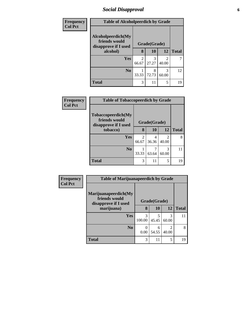# *Social Disapproval* **6**

| Frequency      | <b>Table of Alcoholpeerdich by Grade</b>                    |              |            |            |              |  |  |
|----------------|-------------------------------------------------------------|--------------|------------|------------|--------------|--|--|
| <b>Col Pct</b> | Alcoholpeerdich(My<br>friends would<br>disapprove if I used | Grade(Grade) |            |            |              |  |  |
| alcohol)       |                                                             | 8            | 10         | 12         | <b>Total</b> |  |  |
|                | Yes                                                         | 2<br>66.67   | 3<br>27.27 | 2<br>40.00 |              |  |  |
|                | N <sub>0</sub>                                              | 33.33        | 8<br>72.73 | 3<br>60.00 | 12           |  |  |
|                | <b>Total</b>                                                | 3            | 11         | 5          | 19           |  |  |

| <b>Frequency</b> | <b>Table of Tobaccopeerdich by Grade</b>                            |              |            |                         |              |  |
|------------------|---------------------------------------------------------------------|--------------|------------|-------------------------|--------------|--|
| <b>Col Pct</b>   | <b>Tobaccopeerdich</b> (My<br>friends would<br>disapprove if I used | Grade(Grade) |            |                         |              |  |
|                  | tobacco)                                                            | 8            | 10         | 12                      | <b>Total</b> |  |
|                  | <b>Yes</b>                                                          | 2<br>66.67   | 4<br>36.36 | $\mathfrak{D}$<br>40.00 | 8            |  |
|                  | N <sub>0</sub>                                                      | 33.33        | 63.64      | 3<br>60.00              | 11           |  |
|                  | <b>Total</b>                                                        | 3            | 11         | 5                       | 19           |  |

| Frequency      | <b>Table of Marijuanapeerdich by Grade</b>                    |              |            |            |              |
|----------------|---------------------------------------------------------------|--------------|------------|------------|--------------|
| <b>Col Pct</b> | Marijuanapeerdich(My<br>friends would<br>disapprove if I used | Grade(Grade) |            |            |              |
|                | marijuana)                                                    | 8            | <b>10</b>  | 12         | <b>Total</b> |
|                | <b>Yes</b>                                                    | 3<br>100.00  | 45.45      | 3<br>60.00 | 11           |
|                | N <sub>0</sub>                                                | 0.00         | 6<br>54.55 | 2<br>40.00 | 8            |
|                | <b>Total</b>                                                  | 3            | 11         | 5          | 19           |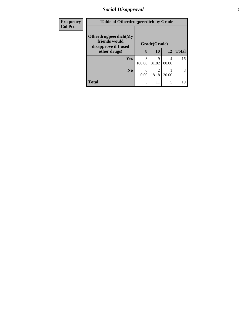### *Social Disapproval* **7**

| <b>Frequency</b> | <b>Table of Otherdrugpeerdich by Grade</b>                    |              |                         |            |              |
|------------------|---------------------------------------------------------------|--------------|-------------------------|------------|--------------|
| <b>Col Pct</b>   | Otherdrugpeerdich(My<br>friends would<br>disapprove if I used | Grade(Grade) |                         |            |              |
|                  | other drugs)                                                  | 8            | 10                      | 12         | <b>Total</b> |
|                  | Yes                                                           | 3<br>100.00  | 9<br>81.82              | 4<br>80.00 | 16           |
|                  | N <sub>0</sub>                                                | 0<br>0.00    | $\mathfrak{D}$<br>18.18 | 20.00      | 3            |
|                  | <b>Total</b>                                                  | 3            | 11                      | 5          | 19           |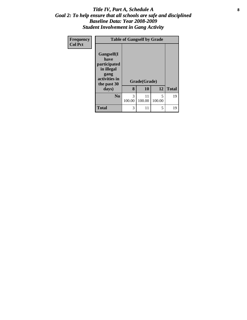### Title IV, Part A, Schedule A **8** *Goal 2: To help ensure that all schools are safe and disciplined Baseline Data: Year 2008-2009 Student Involvement in Gang Activity*

| Frequency      | <b>Table of Gangself by Grade</b>                                                        |              |              |             |              |
|----------------|------------------------------------------------------------------------------------------|--------------|--------------|-------------|--------------|
| <b>Col Pct</b> | Gangself(I<br>have<br>participated<br>in illegal<br>gang<br>activities in<br>the past 30 | Grade(Grade) |              |             |              |
|                | days)                                                                                    | 8            | 10           | 12          | <b>Total</b> |
|                | N <sub>0</sub>                                                                           | 3<br>100.00  | 11<br>100.00 | 5<br>100.00 | 19           |
|                | <b>Total</b>                                                                             | 3            | 11           | 5           | 19           |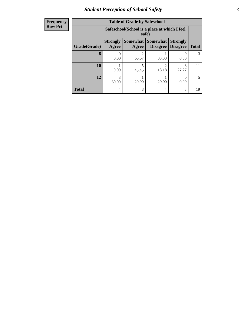### *Student Perception of School Safety* **9**

| <b>Frequency</b> |
|------------------|
| Row Pct          |

| <b>Table of Grade by Safeschool</b> |                                                                                                                             |                                                        |                         |            |                |  |  |  |
|-------------------------------------|-----------------------------------------------------------------------------------------------------------------------------|--------------------------------------------------------|-------------------------|------------|----------------|--|--|--|
|                                     |                                                                                                                             | Safeschool (School is a place at which I feel<br>safe) |                         |            |                |  |  |  |
| Grade(Grade)                        | <b>Strongly</b><br>Somewhat  <br><b>Somewhat</b><br><b>Strongly</b><br><b>Disagree</b><br>Agree<br><b>Disagree</b><br>Agree |                                                        |                         |            |                |  |  |  |
| 8                                   | 0.00                                                                                                                        | $\mathfrak{D}$<br>66.67                                | 33.33                   | 0.00       | 3              |  |  |  |
| 10                                  | 9.09                                                                                                                        | 5<br>45.45                                             | $\mathfrak{D}$<br>18.18 | 3<br>27.27 | 11             |  |  |  |
| 12                                  | 3<br>60.00                                                                                                                  | 20.00                                                  | 20.00                   | 0.00       | $\overline{5}$ |  |  |  |
| <b>Total</b>                        | 4                                                                                                                           | 8                                                      | 4                       | 3          | 19             |  |  |  |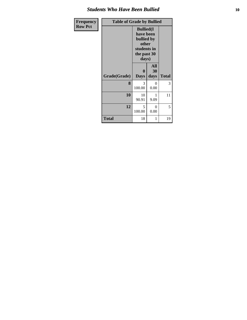### *Students Who Have Been Bullied* **10**

| Frequency      | <b>Table of Grade by Bullied</b> |                                                                                                     |                          |              |  |
|----------------|----------------------------------|-----------------------------------------------------------------------------------------------------|--------------------------|--------------|--|
| <b>Row Pct</b> |                                  | <b>Bullied</b> (I<br>have been<br><b>bullied</b> by<br>other<br>students in<br>the past 30<br>days) |                          |              |  |
|                | Grade(Grade)                     | 0<br><b>Days</b>                                                                                    | <b>All</b><br>30<br>days | <b>Total</b> |  |
|                | 8                                | 3<br>100.00                                                                                         | 0<br>0.00                | 3            |  |
|                | 10                               | 10<br>90.91                                                                                         | 9.09                     | 11           |  |
|                | 12                               | 5<br>100.00                                                                                         | $\Omega$<br>0.00         | 5            |  |
|                | <b>Total</b>                     | 18                                                                                                  | 1                        | 19           |  |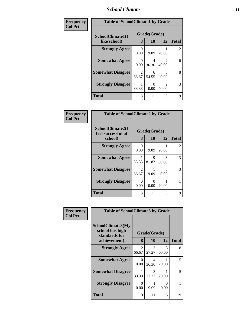### *School Climate* **11**

| Frequency      | <b>Table of SchoolClimate1 by Grade</b> |            |                    |                         |                |  |  |
|----------------|-----------------------------------------|------------|--------------------|-------------------------|----------------|--|--|
| <b>Col Pct</b> | SchoolClimate1(I<br>like school)        | 8          | Grade(Grade)<br>10 | 12                      | <b>Total</b>   |  |  |
|                | <b>Strongly Agree</b>                   | 0<br>0.00  | 9.09               | 20.00                   | $\overline{2}$ |  |  |
|                | <b>Somewhat Agree</b>                   | 0.00       | 4<br>36.36         | 2<br>40.00              | 6              |  |  |
|                | <b>Somewhat Disagree</b>                | 2<br>66.67 | 6<br>54.55         | $_{0}$<br>0.00          | 8              |  |  |
|                | <b>Strongly Disagree</b>                | 33.33      | 0<br>0.00          | $\mathfrak{D}$<br>40.00 | 3              |  |  |
|                | <b>Total</b>                            | 3          | 11                 | 5                       | 19             |  |  |

| <b>Frequency</b> |  |
|------------------|--|
| <b>Col Pct</b>   |  |

| <b>Table of SchoolClimate2 by Grade</b>           |                   |              |            |                |  |  |  |
|---------------------------------------------------|-------------------|--------------|------------|----------------|--|--|--|
| SchoolClimate2(I<br>feel successful at<br>school) | Grade(Grade)<br>8 | <b>Total</b> |            |                |  |  |  |
| <b>Strongly Agree</b>                             | 0<br>0.00         | 9.09         | 20.00      | $\mathfrak{D}$ |  |  |  |
| <b>Somewhat Agree</b>                             | 33.33             | 9<br>81.82   | 3<br>60.00 | 13             |  |  |  |
| <b>Somewhat Disagree</b>                          | 2<br>66.67        | 9.09         | 0.00       | 3              |  |  |  |
| <b>Strongly Disagree</b>                          | 0<br>0.00         | 0<br>0.00    | 20.00      | 1              |  |  |  |
| Total                                             | 3                 | 11           | 5          | 19             |  |  |  |

| Frequency      | <b>Table of SchoolClimate3 by Grade</b>               |                         |                        |            |              |  |  |  |
|----------------|-------------------------------------------------------|-------------------------|------------------------|------------|--------------|--|--|--|
| <b>Col Pct</b> |                                                       |                         |                        |            |              |  |  |  |
|                | SchoolClimate3(My<br>school has high<br>standards for |                         | Grade(Grade)           |            |              |  |  |  |
|                | achievement)                                          | 8                       | 10                     | 12         | <b>Total</b> |  |  |  |
|                | <b>Strongly Agree</b>                                 | $\mathfrak{D}$<br>66.67 | 3<br>27.27             | 3<br>60.00 | 8            |  |  |  |
|                | <b>Somewhat Agree</b>                                 | 0<br>0.00               | 4<br>36.36             | 20.00      | 5            |  |  |  |
|                | <b>Somewhat Disagree</b>                              | 33.33                   | $\mathcal{F}$<br>27.27 | 20.00      | 5            |  |  |  |
|                | <b>Strongly Disagree</b>                              | 0<br>0.00               | 9.09                   | 0<br>0.00  | 1            |  |  |  |
|                | <b>Total</b>                                          | 3                       | 11                     | 5          | 19           |  |  |  |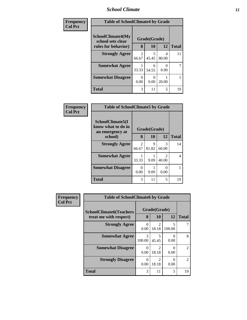### *School Climate* **12**

| Frequency      | <b>Table of SchoolClimate4 by Grade</b>       |                        |              |            |              |
|----------------|-----------------------------------------------|------------------------|--------------|------------|--------------|
| <b>Col Pct</b> | <b>SchoolClimate4(My</b><br>school sets clear |                        | Grade(Grade) |            |              |
|                | rules for behavior)                           | 8                      | 10           | 12         | <b>Total</b> |
|                | <b>Strongly Agree</b>                         | $\mathcal{L}$<br>66.67 | 5<br>45.45   | 4<br>80.00 | 11           |
|                | <b>Somewhat Agree</b>                         | 33.33                  | 6<br>54.55   | 0.00       |              |
|                | <b>Somewhat Disagree</b>                      | 0<br>0.00              | 0.00         | 20.00      |              |
|                | <b>Total</b>                                  | 3                      | 11           | 5          | 19           |

| Frequency      |                                                                      | <b>Table of SchoolClimate5 by Grade</b> |                    |                                      |              |  |
|----------------|----------------------------------------------------------------------|-----------------------------------------|--------------------|--------------------------------------|--------------|--|
| <b>Col Pct</b> | SchoolClimate5(I<br>know what to do in<br>an emergency at<br>school) | 8                                       | Grade(Grade)<br>10 | 12                                   | <b>Total</b> |  |
|                |                                                                      |                                         |                    |                                      |              |  |
|                | <b>Strongly Agree</b>                                                | 2<br>66.67                              | 9<br>81.82         | 3<br>60.00                           | 14           |  |
|                | <b>Somewhat Agree</b>                                                | 33.33                                   | 9.09               | $\mathcal{D}_{\mathcal{A}}$<br>40.00 | 4            |  |
|                | <b>Somewhat Disagree</b>                                             | 0<br>0.00                               | 9.09               | 0.00                                 |              |  |
|                | <b>Total</b>                                                         | 3                                       | 11                 | 5                                    | 19           |  |

| Frequency      | <b>Table of SchoolClimate6 by Grade</b>                  |             |                         |                           |               |
|----------------|----------------------------------------------------------|-------------|-------------------------|---------------------------|---------------|
| <b>Col Pct</b> | <b>SchoolClimate6(Teachers</b><br>treat me with respect) | 8           | Grade(Grade)<br>10      | <b>12</b>                 | <b>Total</b>  |
|                | <b>Strongly Agree</b>                                    | 0<br>0.00   | 18.18                   | 5<br>100.00               |               |
|                | <b>Somewhat Agree</b>                                    | 3<br>100.00 | 45.45                   | 0<br>0.00                 | 8             |
|                | <b>Somewhat Disagree</b>                                 | 0<br>0.00   | っ<br>18.18              | $\mathcal{O}$<br>0.00     | $\mathcal{L}$ |
|                | <b>Strongly Disagree</b>                                 | 0<br>0.00   | $\mathfrak{D}$<br>18.18 | $\mathbf{\Omega}$<br>0.00 | $\mathcal{L}$ |
|                | <b>Total</b>                                             | 3           | 11                      | 5                         | 19            |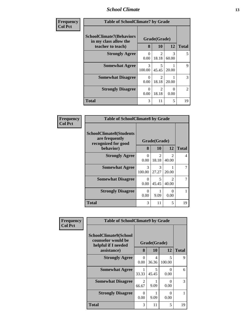### *School Climate* **13**

| Frequency      | <b>Table of SchoolClimate7 by Grade</b>                                       |                         |                                      |                        |                |
|----------------|-------------------------------------------------------------------------------|-------------------------|--------------------------------------|------------------------|----------------|
| <b>Col Pct</b> | <b>SchoolClimate7(Behaviors</b><br>in my class allow the<br>teacher to teach) | 8                       | Grade(Grade)<br>10                   | 12                     | <b>Total</b>   |
|                | <b>Strongly Agree</b>                                                         | 0<br>0.00               | $\mathcal{D}_{\mathcal{L}}$<br>18.18 | $\mathcal{R}$<br>60.00 | 5              |
|                | <b>Somewhat Agree</b>                                                         | $\mathcal{R}$<br>100.00 | 5<br>45.45                           | 20.00                  | 9              |
|                | <b>Somewhat Disagree</b>                                                      | 0<br>0.00               | $\mathfrak{D}$<br>18.18              | 20.00                  | 3              |
|                | <b>Strongly Disagree</b>                                                      | 0<br>0.00               | 2<br>18.18                           | $\Omega$<br>0.00       | $\overline{2}$ |
|                | <b>Total</b>                                                                  | 3                       | 11                                   | 5                      | 19             |

| Frequency      | <b>Table of SchoolClimate8 by Grade</b>                                 |             |                         |                         |              |  |
|----------------|-------------------------------------------------------------------------|-------------|-------------------------|-------------------------|--------------|--|
| <b>Col Pct</b> | <b>SchoolClimate8(Students</b><br>are frequently<br>recognized for good |             | Grade(Grade)            |                         |              |  |
|                | behavior)                                                               | 8           | 10                      | 12                      | <b>Total</b> |  |
|                | <b>Strongly Agree</b>                                                   | 0<br>0.00   | $\mathfrak{D}$<br>18.18 | $\mathfrak{D}$<br>40.00 | 4            |  |
|                | <b>Somewhat Agree</b>                                                   | 3<br>100.00 | $\mathcal{R}$<br>27.27  | 20.00                   |              |  |
|                | <b>Somewhat Disagree</b>                                                | 0<br>0.00   | 5<br>45.45              | $\mathcal{D}$<br>40.00  | 7            |  |
|                | <b>Strongly Disagree</b>                                                | 0<br>0.00   | 9.09                    | 0<br>0.00               |              |  |
|                | Total                                                                   | 3           | 11                      | 5                       | 19           |  |

| Frequency      | <b>Table of SchoolClimate9 by Grade</b>                                           |                  |                         |                  |              |  |
|----------------|-----------------------------------------------------------------------------------|------------------|-------------------------|------------------|--------------|--|
| <b>Col Pct</b> | SchoolClimate9(School<br>counselor would be<br>helpful if I needed<br>assistance) | 8                | Grade(Grade)<br>10      | 12               | <b>Total</b> |  |
|                | <b>Strongly Agree</b>                                                             | $\Omega$<br>0.00 | $\overline{4}$<br>36.36 | 5<br>100.00      | 9            |  |
|                | <b>Somewhat Agree</b>                                                             | 33.33            | 5<br>45.45              | $\Omega$<br>0.00 | 6            |  |
|                | <b>Somewhat Disagree</b>                                                          | 2<br>66.67       | 9.09                    | 0<br>0.00        | 3            |  |
|                | <b>Strongly Disagree</b>                                                          | $\Omega$<br>0.00 | 9.09                    | 0<br>0.00        |              |  |
|                | Total                                                                             | 3                | 11                      | 5                | 19           |  |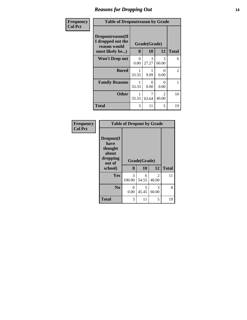### *Reasons for Dropping Out* **14**

| <b>Frequency</b> | <b>Table of Dropoutreason by Grade</b>                                   |           |                    |                         |              |  |
|------------------|--------------------------------------------------------------------------|-----------|--------------------|-------------------------|--------------|--|
| <b>Col Pct</b>   | Dropoutreason(If<br>I dropped out the<br>reason would<br>most likely be) | 8         | Grade(Grade)<br>10 | 12                      | <b>Total</b> |  |
|                  | <b>Won't Drop out</b>                                                    | 0<br>0.00 | 3<br>27.27         | 3<br>60.00              | 6            |  |
|                  | <b>Bored</b>                                                             | 33.33     | 9.09               | $\mathbf{0}$<br>0.00    | 2            |  |
|                  | <b>Family Reasons</b>                                                    | 33.33     | 0<br>0.00          | 0<br>0.00               | 1            |  |
|                  | <b>Other</b>                                                             | 33.33     | 63.64              | $\mathfrak{D}$<br>40.00 | 10           |  |
|                  | Total                                                                    | 3         | 11                 | 5                       | 19           |  |

| <b>Frequency</b><br><b>Col Pct</b> | <b>Table of Dropout by Grade</b>                                       |                  |                    |            |              |  |  |
|------------------------------------|------------------------------------------------------------------------|------------------|--------------------|------------|--------------|--|--|
|                                    | Dropout(I<br>have<br>thought<br>about<br>dropping<br>out of<br>school) | 8                | Grade(Grade)<br>10 | 12         | <b>Total</b> |  |  |
|                                    | <b>Yes</b>                                                             | 3<br>100.00      | 6<br>54.55         | 2<br>40.00 | 11           |  |  |
|                                    | N <sub>0</sub>                                                         | $\Omega$<br>0.00 | 5<br>45.45         | 3<br>60.00 | 8            |  |  |
|                                    | <b>Total</b>                                                           | 3                | 11                 | 5          | 19           |  |  |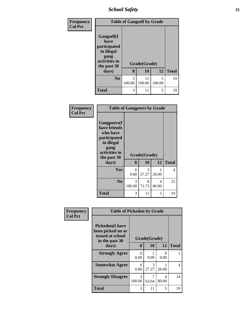*School Safety* **15**

| Frequency      | <b>Table of Gangself by Grade</b>                                                        |             |              |             |              |  |
|----------------|------------------------------------------------------------------------------------------|-------------|--------------|-------------|--------------|--|
| <b>Col Pct</b> | Gangself(I<br>have<br>participated<br>in illegal<br>gang<br>activities in<br>the past 30 |             | Grade(Grade) |             |              |  |
|                | days)                                                                                    | 8           | 10           | 12          | <b>Total</b> |  |
|                | N <sub>0</sub>                                                                           | 3<br>100.00 | 11<br>100.00 | 5<br>100.00 | 19           |  |
|                | <b>Total</b>                                                                             | 3           | 11           | 5           | 19           |  |

| Frequency      | <b>Table of Gangpeers by Grade</b>                                                                                             |             |                    |            |              |  |
|----------------|--------------------------------------------------------------------------------------------------------------------------------|-------------|--------------------|------------|--------------|--|
| <b>Col Pct</b> | <b>Gangpeers</b> (I<br>have friends<br>who have<br>participated<br>in illegal<br>gang<br>activities in<br>the past 30<br>days) | 8           | Grade(Grade)<br>10 | 12         | <b>Total</b> |  |
|                |                                                                                                                                |             |                    |            |              |  |
|                | <b>Yes</b>                                                                                                                     | 0<br>0.00   | 3<br>27.27         | 20.00      | 4            |  |
|                | N <sub>0</sub>                                                                                                                 | 3<br>100.00 | 8<br>72.73         | 4<br>80.00 | 15           |  |
|                | Total                                                                                                                          | 3           | 11                 | 5          | 19           |  |

| Frequency      | <b>Table of Pickedon by Grade</b>                                                  |              |            |            |              |  |  |  |
|----------------|------------------------------------------------------------------------------------|--------------|------------|------------|--------------|--|--|--|
| <b>Col Pct</b> | <b>Pickedon</b> (I have<br>been picked on or<br>teased at school<br>in the past 30 | Grade(Grade) |            |            |              |  |  |  |
|                | days)                                                                              | 8            | <b>10</b>  | 12         | <b>Total</b> |  |  |  |
|                | <b>Strongly Agree</b>                                                              | 0<br>0.00    | 9.09       | 0<br>0.00  |              |  |  |  |
|                | <b>Somewhat Agree</b>                                                              | 0<br>0.00    | 3<br>27.27 | 20.00      | 4            |  |  |  |
|                | <b>Strongly Disagree</b>                                                           | 3<br>100.00  | 7<br>63.64 | 4<br>80.00 | 14           |  |  |  |
|                | Total                                                                              | 3            | 11         | 5          | 19           |  |  |  |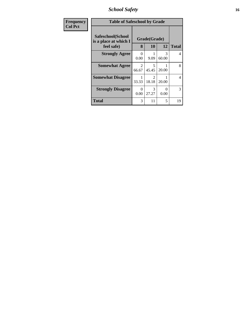*School Safety* **16**

| Frequency      | <b>Table of Safeschool by Grade</b>                      |            |                           |                  |                |  |
|----------------|----------------------------------------------------------|------------|---------------------------|------------------|----------------|--|
| <b>Col Pct</b> | Safeschool(School<br>is a place at which I<br>feel safe) | 8          | Grade(Grade)<br><b>10</b> | 12               | <b>Total</b>   |  |
|                | <b>Strongly Agree</b>                                    | 0<br>0.00  | 9.09                      | 3<br>60.00       | 4              |  |
|                | <b>Somewhat Agree</b>                                    | 2<br>66.67 | 5<br>45.45                | 20.00            | 8              |  |
|                | <b>Somewhat Disagree</b>                                 | 33.33      | 2<br>18.18                | 20.00            | $\overline{4}$ |  |
|                | <b>Strongly Disagree</b>                                 | 0<br>0.00  | 3<br>27.27                | $\Omega$<br>0.00 | 3              |  |
|                | <b>Total</b>                                             | 3          | 11                        | 5                | 19             |  |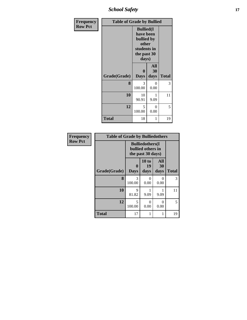*School Safety* **17**

| Frequency      | <b>Table of Grade by Bullied</b> |                                                                                              |                   |              |  |  |
|----------------|----------------------------------|----------------------------------------------------------------------------------------------|-------------------|--------------|--|--|
| <b>Row Pct</b> |                                  | <b>Bullied</b> (I<br>have been<br>bullied by<br>other<br>students in<br>the past 30<br>days) |                   |              |  |  |
|                | Grade(Grade)                     | $\bf{0}$<br><b>Days</b>                                                                      | All<br>30<br>days | <b>Total</b> |  |  |
|                | 8                                | 3<br>100.00                                                                                  | 0<br>0.00         | 3            |  |  |
|                | 10                               | 10<br>90.91                                                                                  | 1<br>9.09         | 11           |  |  |
|                | 12                               | 5<br>100.00                                                                                  | $\theta$<br>0.00  | 5            |  |  |
|                | <b>Total</b>                     | 18                                                                                           | 1                 | 19           |  |  |

| Frequency      | <b>Table of Grade by Bulliedothers</b> |                  |                                                                   |                   |              |  |
|----------------|----------------------------------------|------------------|-------------------------------------------------------------------|-------------------|--------------|--|
| <b>Row Pct</b> |                                        |                  | <b>Bulliedothers</b> (I<br>bullied others in<br>the past 30 days) |                   |              |  |
|                | Grade(Grade)                           | 0<br><b>Days</b> | 10 to<br>19<br>days                                               | All<br>30<br>days | <b>Total</b> |  |
|                | 8                                      | 3<br>100.00      | 0<br>0.00                                                         | 0<br>0.00         | 3            |  |
|                | 10                                     | 9<br>81.82       | 9.09                                                              | 9.09              | 11           |  |
|                | 12                                     | 5<br>100.00      | 0<br>0.00                                                         | 0<br>0.00         | 5            |  |
|                | <b>Total</b>                           | 17               |                                                                   | 1                 | 19           |  |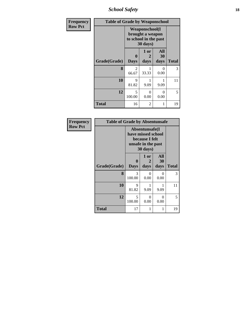*School Safety* **18**

| <b>Frequency</b> | <b>Table of Grade by Weaponschool</b> |                                                                                 |                   |                           |              |
|------------------|---------------------------------------|---------------------------------------------------------------------------------|-------------------|---------------------------|--------------|
| <b>Row Pct</b>   |                                       | <b>Weaponschool</b> (I<br>brought a weapon<br>to school in the past<br>30 days) |                   |                           |              |
|                  | Grade(Grade)                          | 0<br><b>Days</b>                                                                | 1 or<br>2<br>days | <b>All</b><br>30<br>days  | <b>Total</b> |
|                  | 8                                     | $\overline{2}$<br>66.67                                                         | 33.33             | $\mathbf{\Omega}$<br>0.00 | 3            |
|                  | 10                                    | 9<br>81.82                                                                      | 9.09              | 9.09                      | 11           |
|                  | 12                                    | 5<br>100.00                                                                     | 0<br>0.00         | ∩<br>0.00                 | 5            |
|                  | <b>Total</b>                          | 16                                                                              | 2                 |                           | 19           |

| Frequency      | <b>Table of Grade by Absentunsafe</b> |                                                                                           |                   |                   |              |  |  |
|----------------|---------------------------------------|-------------------------------------------------------------------------------------------|-------------------|-------------------|--------------|--|--|
| <b>Row Pct</b> |                                       | Absentunsafe(I)<br>have missed school<br>because I felt<br>unsafe in the past<br>30 days) |                   |                   |              |  |  |
|                | Grade(Grade)                          | $\mathbf 0$<br><b>Days</b>                                                                | 1 or<br>2<br>days | All<br>30<br>days | <b>Total</b> |  |  |
|                | 8                                     | 3<br>100.00                                                                               | $_{0}$<br>0.00    | 0<br>0.00         | 3            |  |  |
|                | 10                                    | 9<br>81.82                                                                                | 9.09              | 9.09              | 11           |  |  |
|                | 12                                    | 5<br>100.00                                                                               | 0<br>0.00         | 0<br>0.00         | 5            |  |  |
|                | <b>Total</b>                          | 17                                                                                        |                   | 1                 | 19           |  |  |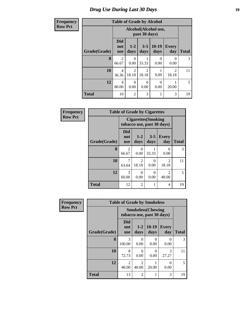### *Drug Use During Last 30 Days* **19**

### **Frequency**

| <b>Table of Grade by Alcohol</b> |
|----------------------------------|
|----------------------------------|

| r requency     | <b>Table of Grade by Alcohol</b> |                                 |                         |                  |                 |                     |                |  |  |
|----------------|----------------------------------|---------------------------------|-------------------------|------------------|-----------------|---------------------|----------------|--|--|
| <b>Row Pct</b> |                                  |                                 |                         |                  |                 |                     |                |  |  |
|                | Grade(Grade)                     | <b>Did</b><br>not<br><b>use</b> | $1 - 2$<br>days         | $3 - 5$<br>days  | $10-19$<br>days | <b>Every</b><br>day | <b>Total</b>   |  |  |
|                | 8                                | $\overline{2}$<br>66.67         | 0<br>0.00               | 33.33            | 0<br>0.00       | 0<br>0.00           | 3 <sup>1</sup> |  |  |
|                | 10                               | 4<br>36.36                      | $\mathfrak{D}$<br>18.18 | 2<br>18.18       | 9.09            | 2<br>18.18          | 11             |  |  |
|                | 12                               | 4<br>80.00                      | 0<br>0.00               | $\Omega$<br>0.00 | 0<br>0.00       | 20.00               | $5^{\circ}$    |  |  |
|                | <b>Total</b>                     | 10                              | $\overline{2}$          | 3                |                 | 3                   | 19             |  |  |

| Frequency      | <b>Table of Grade by Cigarettes</b> |                                                          |                  |                 |                         |              |
|----------------|-------------------------------------|----------------------------------------------------------|------------------|-----------------|-------------------------|--------------|
| <b>Row Pct</b> |                                     | <b>Cigarettes</b> (Smoking<br>tobacco use, past 30 days) |                  |                 |                         |              |
|                | Grade(Grade)                        | <b>Did</b><br>not<br><b>use</b>                          | $1-2$<br>days    | $3 - 5$<br>days | <b>Every</b><br>day     | <b>Total</b> |
|                | 8                                   | 2<br>66.67                                               | $\Omega$<br>0.00 | 33.33           | $\Omega$<br>0.00        | 3            |
|                | 10                                  | 7<br>63.64                                               | 2<br>18.18       | 0<br>0.00       | $\mathfrak{D}$<br>18.18 | 11           |
|                | 12                                  | 3<br>60.00                                               | 0<br>0.00        | 0<br>0.00       | 2<br>40.00              | 5            |
|                | <b>Total</b>                        | 12                                                       | 2                | 1               | 4                       | 19           |

| <b>Frequency</b> | <b>Table of Grade by Smokeless</b> |                                 |                                                         |                 |                     |              |  |
|------------------|------------------------------------|---------------------------------|---------------------------------------------------------|-----------------|---------------------|--------------|--|
| <b>Row Pct</b>   |                                    |                                 | <b>Smokeless</b> (Chewing<br>tobacco use, past 30 days) |                 |                     |              |  |
|                  | Grade(Grade)                       | <b>Did</b><br>not<br><b>use</b> | $1 - 2$<br>days                                         | $10-19$<br>days | <b>Every</b><br>day | <b>Total</b> |  |
|                  | 8                                  | 3<br>100.00                     | 0<br>0.00                                               | 0<br>0.00       | 0<br>0.00           | 3            |  |
|                  | 10                                 | 8<br>72.73                      | 0<br>0.00                                               | 0<br>0.00       | 3<br>27.27          | 11           |  |
|                  | 12                                 | $\mathfrak{D}$<br>40.00         | $\mathfrak{D}$<br>40.00                                 | 1<br>20.00      | 0<br>0.00           | 5            |  |
|                  | <b>Total</b>                       | 13                              | $\overline{2}$                                          | 1               | 3                   | 19           |  |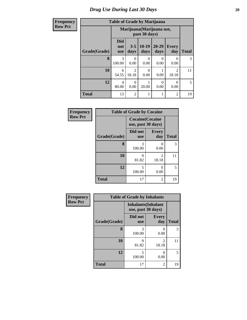#### **Frequency Row Pct**

# **Table of Grade by Marijuana**

| Table of Graue by Marijuana                |                                 |                         |                       |                   |                     |                |  |
|--------------------------------------------|---------------------------------|-------------------------|-----------------------|-------------------|---------------------|----------------|--|
| Marijuana (Marijuana use,<br>past 30 days) |                                 |                         |                       |                   |                     |                |  |
| Grade(Grade)                               | <b>Did</b><br>not<br><b>use</b> | $3 - 5$<br>days         | $10-19$<br>days       | $20 - 29$<br>days | <b>Every</b><br>day | <b>Total</b>   |  |
| 8                                          | 3<br>100.00                     | 0<br>0.00               | 0<br>0.00             | $\Omega$<br>0.00  | $\theta$<br>0.00    | 3              |  |
| 10                                         | 6<br>54.55                      | $\overline{c}$<br>18.18 | $\mathcal{O}$<br>0.00 | 9.09              | 2<br>18.18          | 11             |  |
| 12                                         | 4<br>80.00                      | $\Omega$<br>0.00        | 20.00                 | 0<br>0.00         | 0<br>0.00           | $\mathfrak{H}$ |  |
| <b>Total</b>                               | 13                              | $\overline{2}$          |                       |                   | $\overline{2}$      | 19             |  |

| Frequency      | <b>Table of Grade by Cocaine</b> |                                               |                     |              |  |  |
|----------------|----------------------------------|-----------------------------------------------|---------------------|--------------|--|--|
| <b>Row Pct</b> |                                  | <b>Cocaine</b> (Cocaine<br>use, past 30 days) |                     |              |  |  |
|                | Grade(Grade)                     | Did not<br><b>use</b>                         | <b>Every</b><br>day | <b>Total</b> |  |  |
|                | 8                                | 3<br>100.00                                   | 0<br>0.00           | 3            |  |  |
|                | 10                               | 9<br>81.82                                    | 2<br>18.18          | 11           |  |  |
|                | 12                               | 5<br>100.00                                   | 0<br>0.00           | 5            |  |  |
|                | <b>Total</b>                     | 17                                            | 2                   | 19           |  |  |

| <b>Frequency</b> | <b>Table of Grade by Inhalants</b> |                                                  |                     |              |  |  |
|------------------|------------------------------------|--------------------------------------------------|---------------------|--------------|--|--|
| <b>Row Pct</b>   |                                    | <b>Inhalants</b> (Inhalant<br>use, past 30 days) |                     |              |  |  |
|                  | Grade(Grade)                       | Did not<br><b>use</b>                            | <b>Every</b><br>day | <b>Total</b> |  |  |
|                  | 8                                  | 3<br>100.00                                      | 0.00                | 3            |  |  |
|                  | 10                                 | 9<br>81.82                                       | 2<br>18.18          | 11           |  |  |
|                  | 12                                 | $\overline{\phantom{0}}$<br>100.00               | 0<br>0.00           | 5            |  |  |
|                  | <b>Total</b>                       | 17                                               | $\overline{c}$      | 19           |  |  |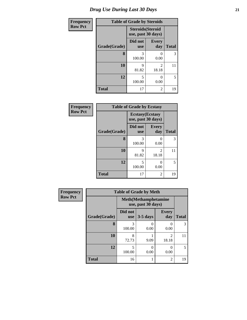| Frequency      | <b>Table of Grade by Steroids</b> |                                                |                     |              |  |  |
|----------------|-----------------------------------|------------------------------------------------|---------------------|--------------|--|--|
| <b>Row Pct</b> |                                   | <b>Steroids</b> (Steroid<br>use, past 30 days) |                     |              |  |  |
|                | Grade(Grade)                      | Did not<br><b>use</b>                          | <b>Every</b><br>day | <b>Total</b> |  |  |
|                | 8                                 | 3<br>100.00                                    | $\theta$<br>0.00    | 3            |  |  |
|                | 10                                | Q<br>81.82                                     | 2<br>18.18          | 11           |  |  |
|                | 12                                | 5<br>100.00                                    | 0<br>0.00           | 5            |  |  |
|                | <b>Total</b>                      | 17                                             | $\overline{2}$      | 19           |  |  |

| Frequency      | <b>Table of Grade by Ecstasy</b> |                                               |                         |              |  |  |  |
|----------------|----------------------------------|-----------------------------------------------|-------------------------|--------------|--|--|--|
| <b>Row Pct</b> |                                  | <b>Ecstasy</b> (Ecstasy<br>use, past 30 days) |                         |              |  |  |  |
|                | Grade(Grade)                     | Did not<br><b>use</b>                         | <b>Every</b><br>day     | <b>Total</b> |  |  |  |
|                | 8                                | 3<br>100.00                                   | 0<br>0.00               | 3            |  |  |  |
|                | 10                               | 9<br>81.82                                    | $\mathfrak{D}$<br>18.18 | 11           |  |  |  |
|                | 12                               | 5<br>100.00                                   | 0<br>0.00               | 5            |  |  |  |
|                | <b>Total</b>                     | 17                                            | $\overline{2}$          | 19           |  |  |  |

| Frequency      | <b>Table of Grade by Meth</b> |                       |                                                    |                         |              |  |  |
|----------------|-------------------------------|-----------------------|----------------------------------------------------|-------------------------|--------------|--|--|
| <b>Row Pct</b> |                               |                       | <b>Meth</b> (Methamphetamine<br>use, past 30 days) |                         |              |  |  |
|                | Grade(Grade)                  | Did not<br><b>use</b> | $3-5$ days                                         | <b>Every</b><br>day     | <b>Total</b> |  |  |
|                | 8                             | 3<br>100.00           | 0.00                                               | 0<br>0.00               | 3            |  |  |
|                | 10                            | 8<br>72.73            | 9.09                                               | $\mathfrak{D}$<br>18.18 | 11           |  |  |
|                | 12                            | 5<br>100.00           | $\mathcal{O}$<br>0.00                              | $\Omega$<br>0.00        | 5            |  |  |
|                | <b>Total</b>                  | 16                    |                                                    | $\overline{c}$          | 19           |  |  |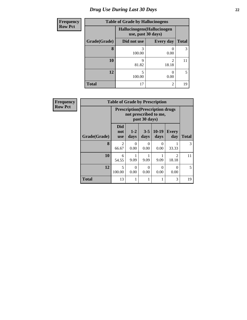# *Drug Use During Last 30 Days* **22**

| <b>Frequency</b> | <b>Table of Grade by Hallucinogens</b> |                                                   |                         |              |  |  |  |
|------------------|----------------------------------------|---------------------------------------------------|-------------------------|--------------|--|--|--|
| <b>Row Pct</b>   |                                        | Hallucinogens (Hallucinogen<br>use, past 30 days) |                         |              |  |  |  |
|                  | Grade(Grade)                           | Did not use                                       | <b>Every day</b>        | <b>Total</b> |  |  |  |
|                  | 8                                      | 100.00                                            | 0.00                    | 3            |  |  |  |
|                  | 10                                     | 9<br>81.82                                        | $\mathfrak{D}$<br>18.18 | 11           |  |  |  |
|                  | 12                                     | 5<br>100.00                                       | 0.00                    | 5            |  |  |  |
|                  | <b>Total</b>                           | 17                                                | 2                       | 19           |  |  |  |

| <b>Frequency</b> | <b>Table of Grade by Prescription</b> |                                                                   |                  |                  |                 |                         |                |  |
|------------------|---------------------------------------|-------------------------------------------------------------------|------------------|------------------|-----------------|-------------------------|----------------|--|
| <b>Row Pct</b>   |                                       | <b>Prescription</b> (Prescription drugs)<br>not prescribed to me, |                  |                  |                 |                         |                |  |
|                  | Grade(Grade)                          | <b>Did</b><br>not<br><b>use</b>                                   | $1-2$<br>days    | $3 - 5$<br>days  | $10-19$<br>days | <b>Every</b><br>day     | <b>Total</b>   |  |
|                  | 8                                     | $\overline{2}$<br>66.67                                           | $\Omega$<br>0.00 | 0<br>0.00        | 0<br>0.00       | 33.33                   | 3              |  |
|                  | 10                                    | 6<br>54.55                                                        | 9.09             | 9.09             | 9.09            | $\mathfrak{D}$<br>18.18 | 11             |  |
|                  | 12                                    | 5<br>100.00                                                       | 0<br>0.00        | $\Omega$<br>0.00 | 0<br>0.00       | 0<br>0.00               | $\mathfrak{S}$ |  |
|                  | <b>Total</b>                          | 13                                                                |                  |                  |                 | 3                       | 19             |  |

I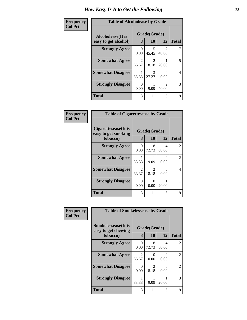#### **Frequency Col Pct**

| <b>Table of Alcoholease by Grade</b> |                         |                        |                         |              |  |  |
|--------------------------------------|-------------------------|------------------------|-------------------------|--------------|--|--|
| Grade(Grade)<br>Alcoholease(It is    |                         |                        |                         |              |  |  |
| easy to get alcohol)                 | 8                       | 10                     | 12                      | <b>Total</b> |  |  |
| <b>Strongly Agree</b>                | 0<br>0.00               | 5<br>45.45             | $\mathcal{L}$<br>40.00  |              |  |  |
| <b>Somewhat Agree</b>                | $\mathfrak{D}$<br>66.67 | $\mathcal{L}$<br>18.18 | 20.00                   | 5            |  |  |
| <b>Somewhat Disagree</b>             | 33.33                   | 3<br>27.27             | 0.00                    | 4            |  |  |
| <b>Strongly Disagree</b>             | 0<br>0.00               | 9.09                   | $\mathfrak{D}$<br>40.00 | 3            |  |  |
| <b>Total</b>                         | 3                       | 11                     | 5                       | 19           |  |  |

| <b>Table of Cigarettesease by Grade</b>                 |                   |              |            |               |  |  |  |
|---------------------------------------------------------|-------------------|--------------|------------|---------------|--|--|--|
| Cigarettesease(It is<br>easy to get smoking<br>tobacco) | Grade(Grade)<br>8 | <b>Total</b> |            |               |  |  |  |
| <b>Strongly Agree</b>                                   | 0<br>0.00         | 8<br>72.73   | 4<br>80.00 | 12            |  |  |  |
| <b>Somewhat Agree</b>                                   | 33.33             | 9.09         | 0<br>0.00  | $\mathcal{L}$ |  |  |  |
| <b>Somewhat Disagree</b>                                | 2<br>66.67        | 2<br>18.18   | 0<br>0.00  | 4             |  |  |  |
| <b>Strongly Disagree</b>                                | 0<br>0.00         | 0<br>0.00    | 20.00      |               |  |  |  |
| <b>Total</b>                                            | 3                 | 11           | 5          | 19            |  |  |  |

| Frequency      | <b>Table of Smokelessease by Grade</b>                         |                               |            |            |              |  |  |
|----------------|----------------------------------------------------------------|-------------------------------|------------|------------|--------------|--|--|
| <b>Col Pct</b> | <b>Smokelessease</b> (It is<br>easy to get chewing<br>tobacco) | Grade(Grade)<br>8<br>10<br>12 |            |            | <b>Total</b> |  |  |
|                | <b>Strongly Agree</b>                                          | 0<br>0.00                     | 8<br>72.73 | 4<br>80.00 | 12           |  |  |
|                | <b>Somewhat Agree</b>                                          | 2<br>66.67                    | 0<br>0.00  | 0<br>0.00  | 2            |  |  |
|                | <b>Somewhat Disagree</b>                                       | 0<br>0.00                     | 2<br>18.18 | 0<br>0.00  | 2            |  |  |
|                | <b>Strongly Disagree</b>                                       | 1<br>33.33                    | 9.09       | 20.00      | 3            |  |  |
|                | Total                                                          | 3                             | 11         | 5          | 19           |  |  |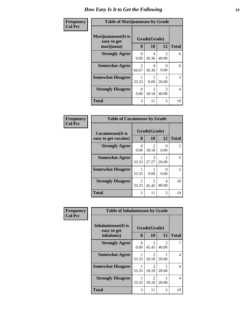#### **Frequency Col Pct**

| <b>Table of Marijuanaease by Grade</b>           |                        |                         |                           |    |  |  |
|--------------------------------------------------|------------------------|-------------------------|---------------------------|----|--|--|
| Marijuanaease(It is<br>easy to get<br>marijuana) | Grade(Grade)<br>8      | <b>Total</b>            |                           |    |  |  |
| <b>Strongly Agree</b>                            | 0<br>0.00              | 4<br>36.36              | 2<br>40.00                | 6  |  |  |
| <b>Somewhat Agree</b>                            | $\mathcal{L}$<br>66.67 | $\overline{4}$<br>36.36 | $\mathbf{\Omega}$<br>0.00 | 6  |  |  |
| <b>Somewhat Disagree</b>                         | 33.33                  | 9.09                    | 20.00                     | 3  |  |  |
| <b>Strongly Disagree</b>                         | $\Omega$<br>0.00       | 2<br>18.18              | $\mathcal{L}$<br>40.00    | 4  |  |  |
| <b>Total</b>                                     | 3                      | 11                      | 5                         | 19 |  |  |

| <b>Table of Cocaineease by Grade</b> |              |            |            |                |  |  |  |
|--------------------------------------|--------------|------------|------------|----------------|--|--|--|
| Cocaineease(It is                    | Grade(Grade) |            |            |                |  |  |  |
| easy to get cocaine)                 | 8            | 10         | 12         | <b>Total</b>   |  |  |  |
| <b>Strongly Agree</b>                | 0<br>0.00    | 2<br>18.18 | 0<br>0.00  | $\mathfrak{D}$ |  |  |  |
| <b>Somewhat Agree</b>                | 33.33        | 3<br>27.27 | 20.00      | 5              |  |  |  |
| <b>Somewhat Disagree</b>             | 33.33        | 9.09       | 0<br>0.00  | $\mathcal{L}$  |  |  |  |
| <b>Strongly Disagree</b>             | 33.33        | 5<br>45.45 | 4<br>80.00 | 10             |  |  |  |
| Total                                | 3            | 11         | 5          | 19             |  |  |  |

| Frequency      |                                    | <b>Table of Inhalantsease by Grade</b> |            |            |                |  |
|----------------|------------------------------------|----------------------------------------|------------|------------|----------------|--|
| <b>Col Pct</b> | Inhalantsease(It is<br>easy to get | Grade(Grade)                           |            |            |                |  |
|                | inhalants)                         | 8                                      | 10         | 12         | <b>Total</b>   |  |
|                | <b>Strongly Agree</b>              | 0<br>0.00                              | 5<br>45.45 | 2<br>40.00 | 7              |  |
|                | <b>Somewhat Agree</b>              | 33.33                                  | 2<br>18.18 | 20.00      | 4              |  |
|                | <b>Somewhat Disagree</b>           | 33.33                                  | 2<br>18.18 | 20.00      | $\overline{4}$ |  |
|                | <b>Strongly Disagree</b>           | 33.33                                  | 2<br>18.18 | 20.00      | 4              |  |
|                | <b>Total</b>                       | 3                                      | 11         | 5          | 19             |  |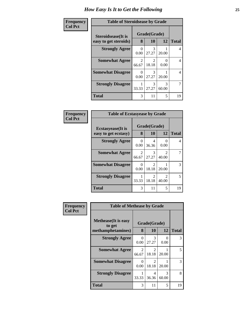| <b>Table of Steroidsease by Grade</b> |                        |                        |                  |                |  |  |
|---------------------------------------|------------------------|------------------------|------------------|----------------|--|--|
| Steroidsease(It is                    |                        | Grade(Grade)           |                  |                |  |  |
| easy to get steroids)                 | 8                      | 10                     | 12               | <b>Total</b>   |  |  |
| <b>Strongly Agree</b>                 | 0<br>0.00              | 3<br>27.27             | 20.00            | 4              |  |  |
| <b>Somewhat Agree</b>                 | $\mathcal{L}$<br>66.67 | $\mathcal{L}$<br>18.18 | $\Omega$<br>0.00 | 4              |  |  |
| <b>Somewhat Disagree</b>              | 0<br>0.00              | 3<br>27.27             | 20.00            | $\overline{4}$ |  |  |
| <b>Strongly Disagree</b>              | 33.33                  | 3<br>27.27             | 3<br>60.00       | 7              |  |  |
| <b>Total</b>                          | 3                      | 11                     | 5                | 19             |  |  |

| Frequency      | <b>Table of Ecstasyease by Grade</b>              |                  |                               |                         |    |  |
|----------------|---------------------------------------------------|------------------|-------------------------------|-------------------------|----|--|
| <b>Col Pct</b> | <b>Ecstasyease</b> (It is<br>easy to get ecstasy) |                  | Grade(Grade)<br>8<br>10<br>12 |                         |    |  |
|                | <b>Strongly Agree</b>                             | $\Omega$<br>0.00 | 4<br>36.36                    | $\mathbf{0}$<br>0.00    | 4  |  |
|                | <b>Somewhat Agree</b>                             | 2<br>66.67       | 3<br>27.27                    | $\mathfrak{D}$<br>40.00 |    |  |
|                | <b>Somewhat Disagree</b>                          | 0<br>0.00        | 2<br>18.18                    | 20.00                   | 3  |  |
|                | <b>Strongly Disagree</b>                          | 33.33            | 2<br>18.18                    | $\mathfrak{D}$<br>40.00 | 5  |  |
|                | <b>Total</b>                                      | 3                | 11                            | 5                       | 19 |  |

| Frequency<br><b>Col Pct</b> | <b>Table of Methease by Grade</b>                          |                  |                    |            |              |  |  |
|-----------------------------|------------------------------------------------------------|------------------|--------------------|------------|--------------|--|--|
|                             | <b>Methease</b> (It is easy<br>to get<br>methamphetamines) | 8                | Grade(Grade)<br>10 | 12         | <b>Total</b> |  |  |
|                             | <b>Strongly Agree</b>                                      | $\Omega$<br>0.00 | 3<br>27.27         | 0<br>0.00  | 3            |  |  |
|                             | <b>Somewhat Agree</b>                                      | 2<br>66.67       | 2<br>18.18         | 20.00      | 5            |  |  |
|                             | <b>Somewhat Disagree</b>                                   | 0<br>0.00        | 2<br>18.18         | 20.00      | 3            |  |  |
|                             | <b>Strongly Disagree</b>                                   | 33.33            | 4<br>36.36         | 3<br>60.00 | 8            |  |  |
|                             | <b>Total</b>                                               | 3                | 11                 | 5          | 19           |  |  |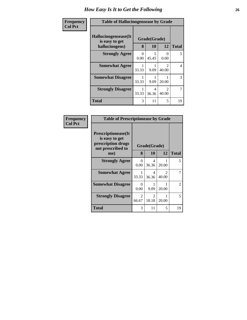| Frequency      | <b>Table of Hallucinogensease by Grade</b>                |           |                           |                        |              |  |  |
|----------------|-----------------------------------------------------------|-----------|---------------------------|------------------------|--------------|--|--|
| <b>Col Pct</b> | Hallucinogensease(It)<br>is easy to get<br>hallucinogens) | 8         | Grade(Grade)<br><b>10</b> | 12                     | <b>Total</b> |  |  |
|                | <b>Strongly Agree</b>                                     | 0<br>0.00 | 5<br>45.45                | $\Omega$<br>0.00       | 5            |  |  |
|                | <b>Somewhat Agree</b>                                     | 33.33     | 9.09                      | $\mathcal{D}$<br>40.00 | 4            |  |  |
|                | <b>Somewhat Disagree</b>                                  | 33.33     | 9.09                      | 20.00                  | 3            |  |  |
|                | <b>Strongly Disagree</b>                                  | 33.33     | 4<br>36.36                | $\mathcal{D}$<br>40.00 | 7            |  |  |
|                | <b>Total</b>                                              | 3         | 11                        | 5                      | 19           |  |  |

| <b>Frequency</b><br>Col Pct |
|-----------------------------|

| <b>Table of Prescriptionease by Grade</b>                                                |                        |              |                         |                             |  |  |  |
|------------------------------------------------------------------------------------------|------------------------|--------------|-------------------------|-----------------------------|--|--|--|
| <b>Prescriptionease</b> (It<br>is easy to get<br>prescription drugs<br>not prescribed to |                        | Grade(Grade) |                         |                             |  |  |  |
| me)                                                                                      | 8                      | 10           | 12                      | Total                       |  |  |  |
| <b>Strongly Agree</b>                                                                    | 0<br>0.00              | 4<br>36.36   | 20.00                   | 5                           |  |  |  |
| <b>Somewhat Agree</b>                                                                    | 1<br>33.33             | 4<br>36.36   | $\mathfrak{D}$<br>40.00 | 7                           |  |  |  |
| <b>Somewhat Disagree</b>                                                                 | 0<br>0.00              | 9.09         | 20.00                   | $\mathcal{D}_{\mathcal{L}}$ |  |  |  |
| <b>Strongly Disagree</b>                                                                 | $\mathcal{L}$<br>66.67 | 2<br>18.18   | 20.00                   | 5                           |  |  |  |
| Total                                                                                    | 3                      | 11           | 5                       | 19                          |  |  |  |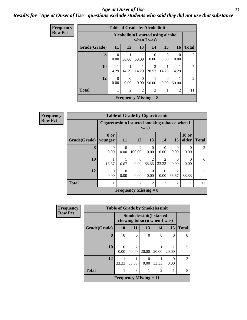### *Age at Onset of Use* **27** *Results for "Age at Onset of Use" questions exclude students who said they did not use that substance*

| Frequency      | <b>Table of Grade by Alcoholinit</b> |                                                     |                  |                  |                              |           |                |              |  |
|----------------|--------------------------------------|-----------------------------------------------------|------------------|------------------|------------------------------|-----------|----------------|--------------|--|
| <b>Row Pct</b> |                                      | Alcoholinit (I started using alcohol<br>when I was) |                  |                  |                              |           |                |              |  |
|                | Grade(Grade)                         | 11                                                  | 12               | 13               | 14                           | 15        | <b>16</b>      | <b>Total</b> |  |
|                | 8                                    | 0<br>0.00                                           | 50.00            | 50.00            | 0<br>0.00                    | 0<br>0.00 | 0.00           | 2            |  |
|                | 10                                   | 14.29                                               | 14.29            | 14.29            | 2<br>28.57                   | 14.29     | 14.29          |              |  |
|                | 12                                   | 0<br>0.00                                           | $\Omega$<br>0.00 | $\Omega$<br>0.00 | 50.00                        | 0<br>0.00 | 50.00          | 2            |  |
|                | <b>Total</b>                         | 1                                                   | $\overline{2}$   | $\overline{2}$   | 3                            |           | $\overline{2}$ | 11           |  |
|                |                                      |                                                     |                  |                  | <b>Frequency Missing = 8</b> |           |                |              |  |

| Frequency      | <b>Table of Grade by Cigarettesinit</b> |                                                          |                  |                              |                         |                  |                  |                       |                |  |
|----------------|-----------------------------------------|----------------------------------------------------------|------------------|------------------------------|-------------------------|------------------|------------------|-----------------------|----------------|--|
| <b>Row Pct</b> |                                         | Cigarettesinit (I started smoking tobacco when I<br>was) |                  |                              |                         |                  |                  |                       |                |  |
|                | Grade(Grade)                            | 8 or<br>younger                                          | 11               | 12                           | 13                      | 14               | <b>15</b>        | <b>18 or</b><br>older | <b>Total</b>   |  |
|                | 8                                       | $\Omega$<br>0.00                                         | $\Omega$<br>0.00 | $\mathfrak{D}$<br>100.00     | $\Omega$<br>0.00        | $\Omega$<br>0.00 | $\Omega$<br>0.00 | $\Omega$<br>0.00      | $\mathfrak{D}$ |  |
|                | 10                                      | 16.67                                                    | 16.67            | $\theta$<br>0.00             | $\mathfrak{D}$<br>33.33 | 2<br>33.33       | 0.00             | 0<br>0.00             | 6              |  |
|                | 12                                      | $\Omega$<br>0.00                                         | $\Omega$<br>0.00 | $\Omega$<br>0.00             | $\Omega$<br>0.00        | $\Omega$<br>0.00 | 2<br>66.67       | 33.33                 | 3              |  |
|                | <b>Total</b>                            |                                                          |                  | $\overline{2}$               | $\overline{2}$          | $\overline{2}$   | $\overline{2}$   |                       | 11             |  |
|                |                                         |                                                          |                  | <b>Frequency Missing = 8</b> |                         |                  |                  |                       |                |  |

| <b>Frequency</b> | <b>Table of Grade by Smokelessinit</b>                        |                          |                         |           |          |           |              |
|------------------|---------------------------------------------------------------|--------------------------|-------------------------|-----------|----------|-----------|--------------|
| <b>Row Pct</b>   | <b>Smokelessinit(I started</b><br>chewing tobacco when I was) |                          |                         |           |          |           |              |
|                  | Grade(Grade)                                                  | <b>10</b>                | 11                      | 13        | 14       | 15        | <b>Total</b> |
|                  | 8                                                             | $\theta$                 | $\theta$                | $\theta$  | $\theta$ | $\Omega$  | $\Omega$     |
|                  |                                                               |                          |                         |           |          |           |              |
|                  | 10                                                            | 0<br>0.00                | $\mathfrak{D}$<br>40.00 | 20.00     | 20.00    | 20.00     | 5            |
|                  | 12                                                            | 33.33                    | 33.33                   | 0<br>0.00 | 33.33    | 0<br>0.00 | 3            |
|                  | <b>Total</b>                                                  |                          | 3                       |           | 2        | 1         | 8            |
|                  |                                                               | Frequency Missing $= 11$ |                         |           |          |           |              |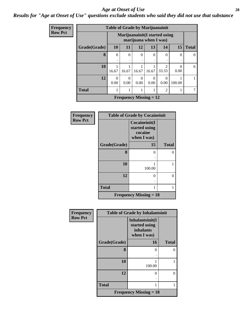#### *Age at Onset of Use* **28**

### *Results for "Age at Onset of Use" questions exclude students who said they did not use that substance*

| Frequency      |              | <b>Table of Grade by Marijuanainit</b> |                                |                  |                  |                |          |              |  |  |
|----------------|--------------|----------------------------------------|--------------------------------|------------------|------------------|----------------|----------|--------------|--|--|
| <b>Row Pct</b> |              |                                        | Marijuanainit (I started using |                  |                  |                |          |              |  |  |
|                | Grade(Grade) | 10                                     | 11                             | 12               | 13               | 14             | 15       | <b>Total</b> |  |  |
|                | 8            | 0                                      | $\Omega$                       | $\theta$         | $\theta$         | $\Omega$       | $\theta$ | 0            |  |  |
|                |              |                                        | ٠                              |                  |                  |                |          |              |  |  |
|                | 10           |                                        |                                |                  |                  | $\mathfrak{D}$ | 0        | 6            |  |  |
|                |              | 16.67                                  | 16.67                          | 16.67            | 16.67            | 33.33          | 0.00     |              |  |  |
|                | 12           | $\left( \right)$<br>0.00               | 0<br>0.00                      | $\Omega$<br>0.00 | $\Omega$<br>0.00 | 0<br>0.00      | 100.00   |              |  |  |
|                | <b>Total</b> |                                        |                                | 1                |                  | 2              |          |              |  |  |
|                |              |                                        | <b>Frequency Missing = 12</b>  |                  |                  |                |          |              |  |  |

| <b>Frequency</b> | <b>Table of Grade by Cocaineinit</b> |                                                          |              |  |  |  |
|------------------|--------------------------------------|----------------------------------------------------------|--------------|--|--|--|
| <b>Row Pct</b>   |                                      | Cocaineinit(I<br>started using<br>cocaine<br>when I was) |              |  |  |  |
|                  | Grade(Grade)                         | 15                                                       | <b>Total</b> |  |  |  |
|                  | 8                                    | 0                                                        | 0            |  |  |  |
|                  | 10                                   | 100.00                                                   |              |  |  |  |
|                  | 12                                   | ∩                                                        | 0            |  |  |  |
|                  | <b>Total</b>                         |                                                          |              |  |  |  |
|                  |                                      | <b>Frequency Missing = 18</b>                            |              |  |  |  |

| Frequency      |              | <b>Table of Grade by Inhalantsinit</b>                       |              |
|----------------|--------------|--------------------------------------------------------------|--------------|
| <b>Row Pct</b> |              | Inhalantsinit(I<br>started using<br>inhalants<br>when I was) |              |
|                | Grade(Grade) | 16                                                           | <b>Total</b> |
|                | 8            | 0                                                            | 0            |
|                | 10           | 100.00                                                       |              |
|                | 12           | 0                                                            | 0            |
|                | <b>Total</b> |                                                              | 1            |
|                |              | <b>Frequency Missing = 18</b>                                |              |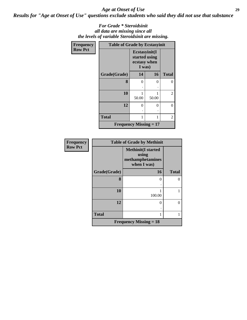#### *Age at Onset of Use* **29**

*Results for "Age at Onset of Use" questions exclude students who said they did not use that substance*

#### *For Grade \* Steroidsinit all data are missing since all the levels of variable Steroidsinit are missing.*

| <b>Frequency</b> | <b>Table of Grade by Ecstasyinit</b> |                                                          |       |              |
|------------------|--------------------------------------|----------------------------------------------------------|-------|--------------|
| <b>Row Pct</b>   |                                      | Ecstasyinit(I<br>started using<br>ecstasy when<br>I was) |       |              |
|                  | Grade(Grade)                         | 14                                                       | 16    | <b>Total</b> |
|                  | 8                                    | 0                                                        | 0     | 0            |
|                  |                                      |                                                          |       |              |
|                  | 10                                   |                                                          |       | 2            |
|                  |                                      | 50.00                                                    | 50.00 |              |
|                  | 12                                   | 0                                                        | 0     | 0            |
|                  |                                      | $\ddot{\phantom{0}}$                                     | ٠     |              |
|                  | <b>Total</b>                         |                                                          | 1     | 2            |
|                  | <b>Frequency Missing = 17</b>        |                                                          |       |              |

| Frequency      | <b>Table of Grade by Methinit</b> |                                                                       |              |  |  |  |
|----------------|-----------------------------------|-----------------------------------------------------------------------|--------------|--|--|--|
| <b>Row Pct</b> |                                   | <b>Methinit(I started</b><br>using<br>methamphetamines<br>when I was) |              |  |  |  |
|                | Grade(Grade)                      | 16                                                                    | <b>Total</b> |  |  |  |
|                | 8                                 | 0                                                                     | ∩            |  |  |  |
|                | 10                                | 100.00                                                                |              |  |  |  |
|                | 12                                | 0                                                                     | 0            |  |  |  |
|                | <b>Total</b>                      |                                                                       |              |  |  |  |
|                |                                   | <b>Frequency Missing = 18</b>                                         |              |  |  |  |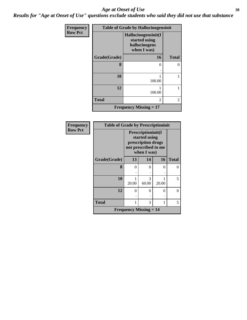#### Age at Onset of Use **30**

*Results for "Age at Onset of Use" questions exclude students who said they did not use that substance*

| Frequency      | <b>Table of Grade by Hallucinogensinit</b> |                                                                      |                |  |  |
|----------------|--------------------------------------------|----------------------------------------------------------------------|----------------|--|--|
| <b>Row Pct</b> |                                            | Hallucinogensinit(I<br>started using<br>hallucinogens<br>when I was) |                |  |  |
|                | Grade(Grade)                               | <b>16</b>                                                            | <b>Total</b>   |  |  |
|                | 8                                          | $\Omega$                                                             | $\Omega$       |  |  |
|                | 10                                         | 1<br>100.00                                                          | 1              |  |  |
|                | 12                                         | 100.00                                                               | 1              |  |  |
|                | <b>Total</b>                               | $\overline{c}$                                                       | $\overline{2}$ |  |  |
|                |                                            | <b>Frequency Missing = 17</b>                                        |                |  |  |

| Frequency      | <b>Table of Grade by Prescriptioninit</b> |                                                                                                  |            |       |              |
|----------------|-------------------------------------------|--------------------------------------------------------------------------------------------------|------------|-------|--------------|
| <b>Row Pct</b> |                                           | Prescriptioninit(I<br>started using<br>prescription drugs<br>not prescribed to me<br>when I was) |            |       |              |
|                | Grade(Grade)                              | 13                                                                                               | 14         | 16    | <b>Total</b> |
|                | 8                                         | 0                                                                                                | 0          | 0     | 0            |
|                | 10                                        | 20.00                                                                                            | 3<br>60.00 | 20.00 | 5            |
|                | 12                                        | 0                                                                                                | $\Omega$   | 0     | 0            |
|                | <b>Total</b>                              | 1                                                                                                | 3          | 1     | 5            |
|                |                                           | <b>Frequency Missing <math>= 14</math></b>                                                       |            |       |              |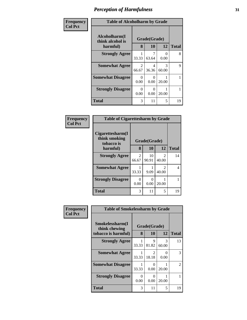| Frequency      | <b>Table of Alcoholharm by Grade</b>          |                  |                    |            |              |  |  |
|----------------|-----------------------------------------------|------------------|--------------------|------------|--------------|--|--|
| <b>Col Pct</b> | Alcoholharm(I<br>think alcohol is<br>harmful) | 8                | Grade(Grade)<br>10 | 12         | <b>Total</b> |  |  |
|                | <b>Strongly Agree</b>                         | 33.33            | 63.64              | 0<br>0.00  | 8            |  |  |
|                | <b>Somewhat Agree</b>                         | 2<br>66.67       | 4<br>36.36         | 3<br>60.00 | 9            |  |  |
|                | <b>Somewhat Disagree</b>                      | 0<br>0.00        | 0<br>0.00          | 20.00      | 1            |  |  |
|                | <b>Strongly Disagree</b>                      | $\Omega$<br>0.00 | 0<br>0.00          | 20.00      | 1            |  |  |
|                | <b>Total</b>                                  | 3                | 11                 | 5          | 19           |  |  |

#### **Frequency Col Pct**

| <b>Table of Cigarettesharm by Grade</b>         |              |             |                        |              |  |  |
|-------------------------------------------------|--------------|-------------|------------------------|--------------|--|--|
| Cigarettesharm(I<br>think smoking<br>tobacco is | Grade(Grade) |             |                        |              |  |  |
| harmful)                                        | 8            | 10          | 12                     | <b>Total</b> |  |  |
| <b>Strongly Agree</b>                           | 2<br>66.67   | 10<br>90.91 | $\mathcal{L}$<br>40.00 | 14           |  |  |
| <b>Somewhat Agree</b>                           | 33.33        | 9.09        | $\mathcal{L}$<br>40.00 | 4            |  |  |
| <b>Strongly Disagree</b>                        | 0<br>0.00    | 0<br>0.00   | 20.00                  |              |  |  |
| <b>Total</b>                                    | 3            | 11          | 5                      | 19           |  |  |

| Frequency      | <b>Table of Smokelessharm by Grade</b> |           |                         |                  |              |  |  |
|----------------|----------------------------------------|-----------|-------------------------|------------------|--------------|--|--|
| <b>Col Pct</b> | Smokelessharm(I<br>think chewing       |           | Grade(Grade)            |                  |              |  |  |
|                | tobacco is harmful)                    | 8         | 10                      | 12               | <b>Total</b> |  |  |
|                | <b>Strongly Agree</b>                  | 33.33     | 9<br>81.82              | 3<br>60.00       | 13           |  |  |
|                | <b>Somewhat Agree</b>                  | 33.33     | $\mathfrak{D}$<br>18.18 | $\Omega$<br>0.00 | 3            |  |  |
|                | <b>Somewhat Disagree</b>               | 33.33     | $\theta$<br>0.00        | 20.00            | 2            |  |  |
|                | <b>Strongly Disagree</b>               | 0<br>0.00 | $\Omega$<br>0.00        | 20.00            |              |  |  |
|                | <b>Total</b>                           | 3         | 11                      | 5                | 19           |  |  |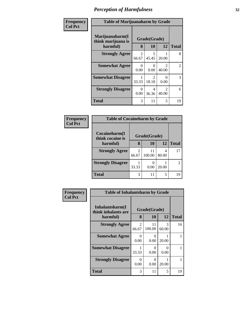| <b>Frequency</b><br>Col Pct |
|-----------------------------|
|                             |

Г

# **Table of Marijuanaharm by Grade**

٦

| Table of Maryagnanarin by Grauc                   |                      |              |                         |    |
|---------------------------------------------------|----------------------|--------------|-------------------------|----|
| Marijuanaharm(I<br>think marijuana is<br>harmful) | Grade(Grade)<br>8    | <b>Total</b> |                         |    |
| <b>Strongly Agree</b>                             | 2<br>66.67           | 5<br>45.45   | 20.00                   | 8  |
| <b>Somewhat Agree</b>                             | $\mathbf{0}$<br>0.00 | 0.00         | $\mathfrak{D}$<br>40.00 | 2  |
| <b>Somewhat Disagree</b>                          | 33.33                | 2<br>18.18   | 0.00                    | 3  |
| <b>Strongly Disagree</b>                          | 0<br>0.00            | 4<br>36.36   | $\mathcal{L}$<br>40.00  | 6  |
| <b>Total</b>                                      | 3                    | 11           | 5                       | 19 |

| <b>Table of Cocaineharm by Grade</b> |              |              |       |               |  |  |  |
|--------------------------------------|--------------|--------------|-------|---------------|--|--|--|
| Cocaineharm(I<br>think cocaine is    | Grade(Grade) |              |       |               |  |  |  |
| harmful)                             | 8            | 10           | 12    | <b>Total</b>  |  |  |  |
| <b>Strongly Agree</b>                | 2<br>66.67   | 11<br>100.00 | 80.00 | 17            |  |  |  |
| <b>Strongly Disagree</b>             | 33.33        | 0.00         | 20.00 | $\mathcal{L}$ |  |  |  |
| <b>Total</b>                         | 3            | 11           | 5     | 19            |  |  |  |

| Frequency      | <b>Table of Inhalantsharm by Grade</b>              |                         |                    |                           |              |
|----------------|-----------------------------------------------------|-------------------------|--------------------|---------------------------|--------------|
| <b>Col Pct</b> | Inhalantsharm(I)<br>think inhalants are<br>harmful) | 8                       | Grade(Grade)<br>10 | 12                        | <b>Total</b> |
|                | <b>Strongly Agree</b>                               | $\mathfrak{D}$<br>66.67 | 11<br>100.00       | 3<br>60.00                | 16           |
|                | <b>Somewhat Agree</b>                               | 0<br>0.00               | ∩<br>0.00          | 20.00                     |              |
|                | <b>Somewhat Disagree</b>                            | 33.33                   | ∩<br>0.00          | $\mathbf{\Omega}$<br>0.00 |              |
|                | <b>Strongly Disagree</b>                            | 0<br>0.00               | ∩<br>0.00          | 20.00                     |              |
|                | <b>Total</b>                                        | 3                       | 11                 | 5                         | 19           |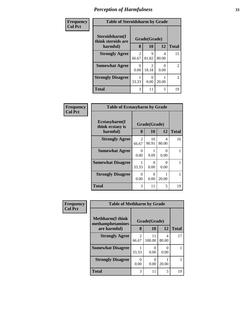| Frequency      | <b>Table of Steroidsharm by Grade</b> |                         |                         |            |              |
|----------------|---------------------------------------|-------------------------|-------------------------|------------|--------------|
| <b>Col Pct</b> | Steroidsharm(I<br>think steroids are  |                         | Grade(Grade)            |            |              |
|                | harmful)                              | 8                       | 10                      | 12         | <b>Total</b> |
|                | <b>Strongly Agree</b>                 | $\mathfrak{D}$<br>66.67 | 9<br>81.82              | 4<br>80.00 | 15           |
|                | <b>Somewhat Agree</b>                 | 0.00                    | $\mathfrak{D}$<br>18.18 | 0.00       | 2            |
|                | <b>Strongly Disagree</b>              | 33.33                   | 0.00                    | 20.00      | 2            |
|                | <b>Total</b>                          | 3                       | 11                      | 5          | 19           |

| Frequency      | <b>Table of Ecstasyharm by Grade</b>          |            |                           |                           |              |
|----------------|-----------------------------------------------|------------|---------------------------|---------------------------|--------------|
| <b>Col Pct</b> | Ecstasyharm(I<br>think ecstasy is<br>harmful) | 8          | Grade(Grade)<br><b>10</b> | 12                        | <b>Total</b> |
|                | <b>Strongly Agree</b>                         | 2<br>66.67 | 10<br>90.91               | 4<br>80.00                | 16           |
|                | <b>Somewhat Agree</b>                         | 0<br>0.00  | 9.09                      | 0<br>0.00                 |              |
|                | <b>Somewhat Disagree</b>                      | 33.33      | $\mathbf{\Omega}$<br>0.00 | $\mathbf{\Omega}$<br>0.00 |              |
|                | <b>Strongly Disagree</b>                      | 0<br>0.00  | $\mathbf{0}$<br>0.00      | 20.00                     |              |
|                | <b>Total</b>                                  | 3          | 11                        | 5                         | 19           |

| Frequency      | <b>Table of Methharm by Grade</b>            |                         |              |            |              |
|----------------|----------------------------------------------|-------------------------|--------------|------------|--------------|
| <b>Col Pct</b> | <b>Methharm</b> (I think<br>methamphetamines | Grade(Grade)            |              |            |              |
|                | are harmful)                                 | 8                       | 10           | 12         | <b>Total</b> |
|                | <b>Strongly Agree</b>                        | $\mathfrak{D}$<br>66.67 | 11<br>100.00 | 4<br>80.00 | 17           |
|                | <b>Somewhat Disagree</b>                     | 33.33                   | 0.00         | 0.00       |              |
|                | <b>Strongly Disagree</b>                     | 0.00                    | 0<br>0.00    | 20.00      |              |
|                | <b>Total</b>                                 | 3                       | 11           | 5          | 19           |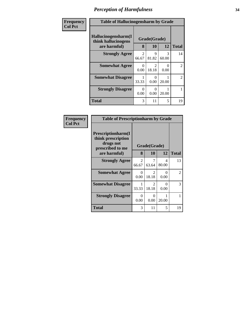| Frequency      | <b>Table of Hallucinogensharm by Grade</b>                 |                  |                                      |            |                |
|----------------|------------------------------------------------------------|------------------|--------------------------------------|------------|----------------|
| <b>Col Pct</b> | Hallucinogensharm(I<br>think hallucinogens<br>are harmful) | 8                | Grade(Grade)<br>10                   | 12         | <b>Total</b>   |
|                | <b>Strongly Agree</b>                                      | 2<br>66.67       | 9<br>81.82                           | 3<br>60.00 | 14             |
|                | <b>Somewhat Agree</b>                                      | $\Omega$<br>0.00 | $\mathcal{D}_{\mathcal{L}}$<br>18.18 | 0<br>0.00  | $\overline{2}$ |
|                | <b>Somewhat Disagree</b>                                   | 33.33            | 0.00                                 | 20.00      | $\overline{2}$ |
|                | <b>Strongly Disagree</b>                                   | $\Omega$<br>0.00 | 0<br>0.00                            | 20.00      |                |
|                | <b>Total</b>                                               | 3                | 11                                   | 5          | 19             |

| Frequency      |
|----------------|
| <b>Col Pct</b> |

| <b>Table of Prescriptionharm by Grade</b>                                         |              |                         |                           |                       |  |  |
|-----------------------------------------------------------------------------------|--------------|-------------------------|---------------------------|-----------------------|--|--|
| <b>Prescriptionharm(I)</b><br>think prescription<br>drugs not<br>prescribed to me | Grade(Grade) |                         |                           |                       |  |  |
| are harmful)                                                                      | 8            | 10                      | 12                        | <b>Total</b>          |  |  |
| <b>Strongly Agree</b>                                                             | 2<br>66.67   | 7<br>63.64              | 4<br>80.00                | 13                    |  |  |
| <b>Somewhat Agree</b>                                                             | 0<br>0.00    | $\mathfrak{D}$<br>18.18 | 0<br>0.00                 | $\mathcal{D}_{\cdot}$ |  |  |
| <b>Somewhat Disagree</b>                                                          | 1<br>33.33   | $\mathfrak{D}$<br>18.18 | $\mathbf{\Omega}$<br>0.00 | 3                     |  |  |
| <b>Strongly Disagree</b>                                                          | 0<br>0.00    | 0<br>0.00               | 20.00                     | 1                     |  |  |
| Total                                                                             | 3            | 11                      | 5                         | 19                    |  |  |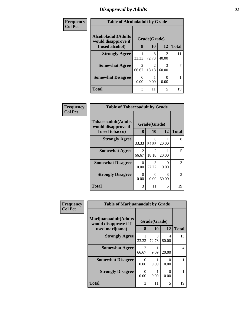# *Disapproval by Adults* **35**

| Frequency      | <b>Table of Alcoholadult by Grade</b>      |            |              |                           |              |
|----------------|--------------------------------------------|------------|--------------|---------------------------|--------------|
| <b>Col Pct</b> | Alcoholadult(Adults<br>would disapprove if |            | Grade(Grade) |                           |              |
|                | I used alcohol)                            | 8          | 10           | 12                        | <b>Total</b> |
|                | <b>Strongly Agree</b>                      | 33.33      | 8<br>72.73   | $\mathcal{L}$<br>40.00    | 11           |
|                | <b>Somewhat Agree</b>                      | 2<br>66.67 | 2<br>18.18   | 3<br>60.00                |              |
|                | <b>Somewhat Disagree</b>                   | 0.00       | 9.09         | $\mathbf{\Omega}$<br>0.00 |              |
|                | <b>Total</b>                               | 3          | 11           | 5                         | 19           |

| Frequency      | <b>Table of Tobaccoadult by Grade</b>                         |                           |                           |                  |              |
|----------------|---------------------------------------------------------------|---------------------------|---------------------------|------------------|--------------|
| <b>Col Pct</b> | Tobaccoadult(Adults<br>would disapprove if<br>I used tobacco) | 8                         | Grade(Grade)<br>10        | 12               | <b>Total</b> |
|                | <b>Strongly Agree</b>                                         | 33.33                     | 6<br>54.55                | 20.00            | 8            |
|                | <b>Somewhat Agree</b>                                         | $\mathfrak{D}$<br>66.67   | $\mathcal{L}$<br>18.18    | 20.00            | 5            |
|                | <b>Somewhat Disagree</b>                                      | $\mathbf{\Omega}$<br>0.00 | 3<br>27.27                | $\Omega$<br>0.00 | 3            |
|                | <b>Strongly Disagree</b>                                      | ∩<br>0.00                 | $\mathbf{\Omega}$<br>0.00 | 3<br>60.00       | 3            |
|                | <b>Total</b>                                                  | 3                         | 11                        | 5                | 19           |

| Frequency      | <b>Table of Marijuanaadult by Grade</b>                           |            |                    |            |              |
|----------------|-------------------------------------------------------------------|------------|--------------------|------------|--------------|
| <b>Col Pct</b> | Marijuanaadult(Adults<br>would disapprove if I<br>used marijuana) | 8          | Grade(Grade)<br>10 | 12         | <b>Total</b> |
|                | <b>Strongly Agree</b>                                             | 33.33      | 8<br>72.73         | 4<br>80.00 | 13           |
|                | <b>Somewhat Agree</b>                                             | 2<br>66.67 | 9.09               | 20.00      | 4            |
|                | <b>Somewhat Disagree</b>                                          | 0<br>0.00  | 9.09               | 0.00       |              |
|                | <b>Strongly Disagree</b>                                          | 0<br>0.00  | 9.09               | 0<br>0.00  |              |
|                | <b>Total</b>                                                      | 3          | 11                 | 5          | 19           |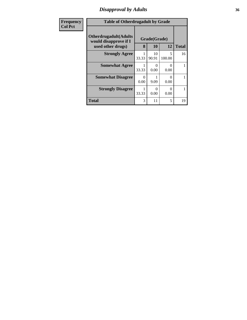### *Disapproval by Adults* **36**

| Frequency      | <b>Table of Otherdrugadult by Grade</b>                                     |           |                           |                           |              |
|----------------|-----------------------------------------------------------------------------|-----------|---------------------------|---------------------------|--------------|
| <b>Col Pct</b> | <b>Otherdrugadult</b> (Adults<br>would disapprove if I<br>used other drugs) | 8         | Grade(Grade)<br><b>10</b> | 12                        | <b>Total</b> |
|                | <b>Strongly Agree</b>                                                       | 33.33     | 10<br>90.91               | 5<br>100.00               | 16           |
|                | <b>Somewhat Agree</b>                                                       | 33.33     | 0.00                      | 0<br>0.00                 |              |
|                | <b>Somewhat Disagree</b>                                                    | 0<br>0.00 | 9.09                      | $\mathbf{\Omega}$<br>0.00 |              |
|                | <b>Strongly Disagree</b>                                                    | 33.33     | 0.00                      | 0<br>0.00                 |              |
|                | <b>Total</b>                                                                | 3         | 11                        | 5                         | 19           |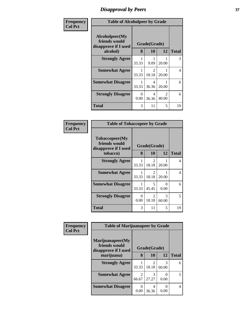## *Disapproval by Peers* **37**

| Frequency      | <b>Table of Alcoholpeer by Grade</b>                    |           |              |            |              |  |  |
|----------------|---------------------------------------------------------|-----------|--------------|------------|--------------|--|--|
| <b>Col Pct</b> | Alcoholpeer(My<br>friends would<br>disapprove if I used |           | Grade(Grade) |            |              |  |  |
|                | alcohol)                                                |           | 10           | 12         | <b>Total</b> |  |  |
|                | <b>Strongly Agree</b>                                   | 33.33     | 9.09         | 20.00      | 3            |  |  |
|                | <b>Somewhat Agree</b>                                   | 33.33     | 2<br>18.18   | 20.00      | 4            |  |  |
|                | <b>Somewhat Disagree</b>                                | 33.33     | 4<br>36.36   | 20.00      | 6            |  |  |
|                | <b>Strongly Disagree</b>                                | 0<br>0.00 | 4<br>36.36   | 2<br>40.00 | 6            |  |  |
|                | <b>Total</b>                                            | 3         | 11           | 5          | 19           |  |  |

| Frequency      | <b>Table of Tobaccopeer by Grade</b>                    |            |                         |            |              |  |  |
|----------------|---------------------------------------------------------|------------|-------------------------|------------|--------------|--|--|
| <b>Col Pct</b> | Tobaccopeer(My<br>friends would<br>disapprove if I used |            | Grade(Grade)            |            |              |  |  |
|                | tobacco)                                                | 8          | 10                      | 12         | <b>Total</b> |  |  |
|                | <b>Strongly Agree</b>                                   | 33.33      | $\overline{2}$<br>18.18 | 20.00      | 4            |  |  |
|                | <b>Somewhat Agree</b>                                   | 33.33      | 2<br>18.18              | 20.00      | 4            |  |  |
|                | <b>Somewhat Disagree</b>                                | 1<br>33.33 | 5<br>45.45              | 0<br>0.00  | 6            |  |  |
|                | <b>Strongly Disagree</b>                                | 0<br>0.00  | 2<br>18.18              | 3<br>60.00 | 5            |  |  |
|                | <b>Total</b>                                            | 3          | 11                      | 5          | 19           |  |  |

| Frequency      |                                                           | <b>Table of Marijuanapeer by Grade</b> |                         |            |              |  |  |
|----------------|-----------------------------------------------------------|----------------------------------------|-------------------------|------------|--------------|--|--|
| <b>Col Pct</b> | Marijuanapeer(My<br>friends would<br>disapprove if I used |                                        | Grade(Grade)            |            |              |  |  |
|                | marijuana)                                                | 8                                      | 10                      | 12         | <b>Total</b> |  |  |
|                | <b>Strongly Agree</b>                                     | 33.33                                  | $\mathfrak{D}$<br>18.18 | 3<br>60.00 | 6            |  |  |
|                | <b>Somewhat Agree</b>                                     | 2<br>66.67                             | 3<br>27.27              | 0.00       | 5            |  |  |
|                | <b>Somewhat Disagree</b>                                  | 0<br>0.00                              | 4<br>36.36              | 0.00       | 4            |  |  |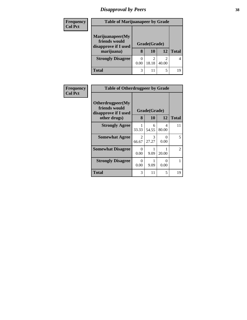# *Disapproval by Peers* **38**

| <b>Frequency</b> | <b>Table of Marijuanapeer by Grade</b>                                  |      |                    |       |              |
|------------------|-------------------------------------------------------------------------|------|--------------------|-------|--------------|
| <b>Col Pct</b>   | Marijuanapeer(My<br>friends would<br>disapprove if I used<br>marijuana) | 8    | Grade(Grade)<br>10 | 12    | <b>Total</b> |
|                  | <b>Strongly Disagree</b>                                                | 0.00 | 18.18              | 40.00 | 4            |
|                  | <b>Total</b>                                                            | 3    |                    | 5     | 19           |

| Frequency<br><b>Col Pct</b> | <b>Table of Otherdrugpeer by Grade</b>                    |                  |              |                           |                |  |  |  |  |
|-----------------------------|-----------------------------------------------------------|------------------|--------------|---------------------------|----------------|--|--|--|--|
|                             | Otherdrugpeer(My<br>friends would<br>disapprove if I used |                  | Grade(Grade) |                           |                |  |  |  |  |
|                             | other drugs)                                              | 8                | 10           | 12                        | <b>Total</b>   |  |  |  |  |
|                             | <b>Strongly Agree</b>                                     | 33.33            | 6<br>54.55   | 4<br>80.00                | 11             |  |  |  |  |
|                             | <b>Somewhat Agree</b>                                     | 2<br>66.67       | 3<br>27.27   | $\mathbf{\Omega}$<br>0.00 | 5              |  |  |  |  |
|                             | <b>Somewhat Disagree</b>                                  | $\theta$<br>0.00 | 9.09         | 20.00                     | $\overline{2}$ |  |  |  |  |
|                             | <b>Strongly Disagree</b>                                  | 0<br>0.00        | 9.09         | $\mathbf{0}$<br>0.00      | $\mathbf{1}$   |  |  |  |  |
|                             | Total                                                     | 3                | 11           | 5                         | 19             |  |  |  |  |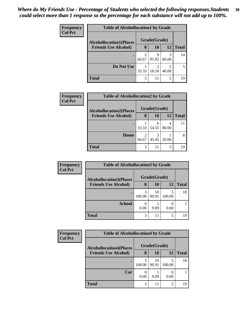| <b>Frequency</b> | <b>Table of Alcohollocation1 by Grade</b> |              |            |       |              |  |
|------------------|-------------------------------------------|--------------|------------|-------|--------------|--|
| <b>Col Pct</b>   | <b>Alcohollocation1(Places</b>            | Grade(Grade) |            |       |              |  |
|                  | <b>Friends Use Alcohol)</b>               | 8            | 10         | 12    | <b>Total</b> |  |
|                  |                                           | 66.67        | 9<br>81.82 | 60.00 | 14           |  |
|                  | Do Not Use                                | 33.33        | 18.18      | 40.00 | 5            |  |
|                  | <b>Total</b>                              | 3            | 11         | 5     | 19           |  |

| Frequency      | <b>Table of Alcohollocation2 by Grade</b> |       |              |       |              |  |
|----------------|-------------------------------------------|-------|--------------|-------|--------------|--|
| <b>Col Pct</b> | <b>Alcohollocation2(Places</b>            |       | Grade(Grade) |       |              |  |
|                | <b>Friends Use Alcohol)</b>               | 8     | 10           | 12    | <b>Total</b> |  |
|                |                                           | 33.33 | 6<br>54.55   | 80.00 |              |  |
|                | Home                                      | 66.67 | 45.45        | 20.00 | 8            |  |
|                | <b>Total</b>                              | 3     | 11           | 5     | 19           |  |

| <b>Frequency</b> | <b>Table of Alcohollocation 3 by Grade</b> |              |             |        |              |
|------------------|--------------------------------------------|--------------|-------------|--------|--------------|
| <b>Col Pct</b>   | <b>Alcohollocation3(Places</b>             | Grade(Grade) |             |        |              |
|                  | <b>Friends Use Alcohol)</b>                | 8            | <b>10</b>   | 12     | <b>Total</b> |
|                  | ٠                                          | 3<br>100.00  | 10<br>90.91 | 100.00 | 18           |
|                  | <b>School</b>                              | 0.00         | 9.09        | 0.00   |              |
|                  | Total                                      | 3            | 11          | 5      | 19           |

| <b>Frequency</b> | <b>Table of Alcohollocation4 by Grade</b> |              |             |        |              |  |  |
|------------------|-------------------------------------------|--------------|-------------|--------|--------------|--|--|
| <b>Col Pct</b>   | <b>Alcohollocation4(Places</b>            | Grade(Grade) |             |        |              |  |  |
|                  | <b>Friends Use Alcohol)</b>               | 8            | 10          | 12     | <b>Total</b> |  |  |
|                  |                                           | 3<br>100.00  | 10<br>90.91 | 100.00 | 18           |  |  |
|                  | Car                                       | 0.00         | 9.09        | 0.00   |              |  |  |
|                  | Total                                     | 3            | 11          |        | 19           |  |  |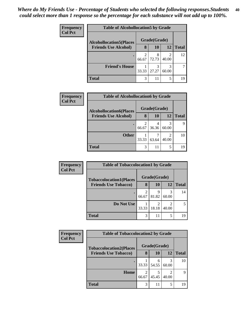| <b>Frequency</b> | <b>Table of Alcohollocation5 by Grade</b>                      |              |            |            |              |  |  |  |
|------------------|----------------------------------------------------------------|--------------|------------|------------|--------------|--|--|--|
| <b>Col Pct</b>   | <b>Alcohollocation5</b> (Places<br><b>Friends Use Alcohol)</b> | Grade(Grade) |            |            |              |  |  |  |
|                  |                                                                | 8            | 10         | 12         | <b>Total</b> |  |  |  |
|                  |                                                                | 2<br>66.67   | 8<br>72.73 | 40.00      | 12           |  |  |  |
|                  | <b>Friend's House</b>                                          | 33.33        | 3<br>27.27 | 3<br>60.00 |              |  |  |  |
|                  | <b>Total</b>                                                   | 3            | 11         | 5          | 19           |  |  |  |

| Frequency      | <b>Table of Alcohollocation6 by Grade</b> |       |              |            |              |  |
|----------------|-------------------------------------------|-------|--------------|------------|--------------|--|
| <b>Col Pct</b> | <b>Alcohollocation6(Places</b>            |       | Grade(Grade) |            |              |  |
|                | <b>Friends Use Alcohol)</b>               | 8     | 10           | 12         | <b>Total</b> |  |
|                |                                           | 66.67 | 36.36        | 3<br>60.00 | 9            |  |
|                | <b>Other</b>                              | 33.33 | 63.64        | 2<br>40.00 | 10           |  |
|                | <b>Total</b>                              | 3     | 11           | 5          | 19           |  |

| Frequency<br><b>Col Pct</b> | <b>Table of Tobaccolocation1 by Grade</b> |            |              |            |              |  |
|-----------------------------|-------------------------------------------|------------|--------------|------------|--------------|--|
|                             | <b>Tobaccolocation1(Places</b>            |            | Grade(Grade) |            |              |  |
|                             | <b>Friends Use Tobacco)</b>               | 8          | 10           | 12         | <b>Total</b> |  |
|                             |                                           | 2<br>66.67 | q<br>81.82   | 3<br>60.00 | 14           |  |
|                             | Do Not Use                                | 33.33      | 18.18        | 40.00      |              |  |
|                             | <b>Total</b>                              | 3          | 11           | 5          | 19           |  |

| <b>Frequency</b> | <b>Table of Tobaccolocation2 by Grade</b> |            |              |                         |              |
|------------------|-------------------------------------------|------------|--------------|-------------------------|--------------|
| <b>Col Pct</b>   | <b>Tobaccolocation2(Places</b>            |            | Grade(Grade) |                         |              |
|                  | <b>Friends Use Tobacco)</b>               | 8          | 10           | 12                      | <b>Total</b> |
|                  |                                           | 33.33      | 6<br>54.55   | 60.00                   | 10           |
|                  | Home                                      | 2<br>66.67 | 45.45        | $\mathfrak{D}$<br>40.00 | 9            |
|                  | <b>Total</b>                              | 3          | 11           | 5                       | 19           |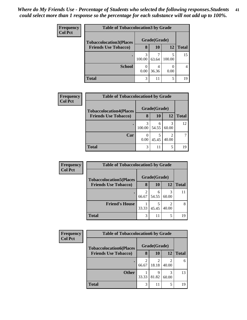| <b>Frequency</b>            |                                | <b>Table of Tobaccolocation 3 by Grade</b> |       |              |    |  |  |
|-----------------------------|--------------------------------|--------------------------------------------|-------|--------------|----|--|--|
| <b>Col Pct</b>              | <b>Tobaccolocation3(Places</b> | Grade(Grade)                               |       |              |    |  |  |
| <b>Friends Use Tobacco)</b> | 8                              | 10                                         | 12    | <b>Total</b> |    |  |  |
|                             |                                | 3<br>100.00                                | 63.64 | 100.00       | 15 |  |  |
|                             | <b>School</b>                  | 0.00                                       | 36.36 | 0.00         |    |  |  |
|                             | Total                          | 3                                          | 11    | 5            | 19 |  |  |

| <b>Frequency</b> | <b>Table of Tobaccolocation4 by Grade</b> |              |            |            |              |  |  |
|------------------|-------------------------------------------|--------------|------------|------------|--------------|--|--|
| <b>Col Pct</b>   | <b>Tobaccolocation4(Places</b>            | Grade(Grade) |            |            |              |  |  |
|                  | <b>Friends Use Tobacco)</b>               | 8            | 10         | 12         | <b>Total</b> |  |  |
|                  |                                           | 3<br>100.00  | 6<br>54.55 | 3<br>60.00 | 12           |  |  |
|                  | Car                                       | 0.00         | 45.45      | 2<br>40.00 |              |  |  |
|                  | <b>Total</b>                              | 3            | 11         | 5          | 19           |  |  |

| Frequency      | <b>Table of Tobaccolocation5 by Grade</b> |       |              |       |              |  |
|----------------|-------------------------------------------|-------|--------------|-------|--------------|--|
| <b>Col Pct</b> | <b>Tobaccolocation5(Places</b>            |       | Grade(Grade) |       |              |  |
|                | <b>Friends Use Tobacco)</b>               | 8     | 10           | 12    | <b>Total</b> |  |
|                |                                           | 66.67 | 6<br>54.55   | 60.00 |              |  |
|                | <b>Friend's House</b>                     | 33.33 | 45.45        | 40.00 | 8            |  |
|                | <b>Total</b>                              | 3     | 11           | 5     | 19           |  |

| Frequency<br><b>Col Pct</b> | <b>Table of Tobaccolocation6 by Grade</b> |       |              |                         |              |  |  |
|-----------------------------|-------------------------------------------|-------|--------------|-------------------------|--------------|--|--|
|                             | <b>Tobaccolocation6(Places</b>            |       | Grade(Grade) |                         |              |  |  |
|                             | <b>Friends Use Tobacco)</b>               | 8     | <b>10</b>    | 12                      | <b>Total</b> |  |  |
|                             |                                           | 66.67 | 18.18        | $\mathfrak{D}$<br>40.00 | 6            |  |  |
|                             | <b>Other</b>                              | 33.33 | 81.82        | 3<br>60.00              | 13           |  |  |
|                             | <b>Total</b>                              | 3     | 11           | 5                       | 19           |  |  |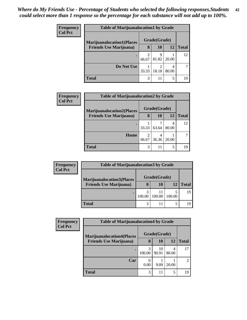| <b>Frequency</b><br><b>Col Pct</b> | <b>Table of Marijuanalocation1 by Grade</b> |       |              |       |              |  |
|------------------------------------|---------------------------------------------|-------|--------------|-------|--------------|--|
|                                    | <b>Marijuanalocation1(Places</b>            |       | Grade(Grade) |       |              |  |
|                                    | <b>Friends Use Marijuana</b> )              | 8     | 10           | 12    | <b>Total</b> |  |
|                                    | ٠                                           | 66.67 | Q<br>81.82   | 20.00 | 12           |  |
|                                    | Do Not Use                                  | 33.33 | 2<br>18.18   | 80.00 |              |  |
|                                    | <b>Total</b>                                | 3     | 11           | 5     | 19           |  |

| <b>Frequency</b> | <b>Table of Marijuanalocation2 by Grade</b>                        |            |              |       |              |  |  |
|------------------|--------------------------------------------------------------------|------------|--------------|-------|--------------|--|--|
| <b>Col Pct</b>   | <b>Marijuanalocation2(Places</b><br><b>Friends Use Marijuana</b> ) |            | Grade(Grade) |       |              |  |  |
|                  |                                                                    | 8          | 10           | 12    | <b>Total</b> |  |  |
|                  |                                                                    | 33.33      | 63.64        | 80.00 | 12           |  |  |
|                  | Home                                                               | ↑<br>66.67 | 4<br>36.36   | 20.00 |              |  |  |
|                  | <b>Total</b>                                                       | 3          | 11           | 5     | 19           |  |  |

| <b>Frequency</b> | <b>Table of Marijuanalocation3 by Grade</b>                        |        |              |        |              |  |  |  |
|------------------|--------------------------------------------------------------------|--------|--------------|--------|--------------|--|--|--|
| <b>Col Pct</b>   | <b>Marijuanalocation3(Places</b><br><b>Friends Use Marijuana</b> ) |        | Grade(Grade) |        |              |  |  |  |
|                  |                                                                    | 8      | 10           | 12     | <b>Total</b> |  |  |  |
|                  |                                                                    | 100.00 | 100.00       | 100.00 | 19           |  |  |  |
|                  | <b>Total</b>                                                       | 3      |              |        |              |  |  |  |

| <b>Frequency</b> | <b>Table of Marijuanalocation4 by Grade</b> |             |              |            |       |  |
|------------------|---------------------------------------------|-------------|--------------|------------|-------|--|
| <b>Col Pct</b>   | <b>Marijuanalocation4(Places</b>            |             | Grade(Grade) |            |       |  |
|                  | <b>Friends Use Marijuana</b> )              | 8           | 10           | 12         | Total |  |
|                  | ٠                                           | 3<br>100.00 | 10<br>90.91  | 4<br>80.00 |       |  |
|                  | Car                                         | 0.00        | 9.09         | 20.00      |       |  |
|                  | <b>Total</b>                                | 3           | 11           | 5          | 19    |  |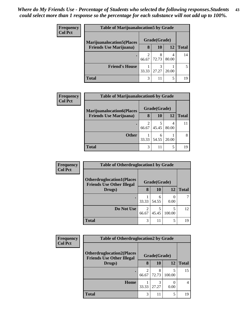| <b>Frequency</b> | <b>Table of Marijuanalocation5 by Grade</b> |       |              |       |              |  |
|------------------|---------------------------------------------|-------|--------------|-------|--------------|--|
| <b>Col Pct</b>   | <b>Marijuanalocation5</b> (Places           |       | Grade(Grade) |       |              |  |
|                  | <b>Friends Use Marijuana</b> )              | 8     | 10           | 12    | <b>Total</b> |  |
|                  |                                             | 66.67 | 8<br>72.73   | 80.00 | 14           |  |
|                  | <b>Friend's House</b>                       | 33.33 | 3<br>27.27   | 20.00 |              |  |
|                  | <b>Total</b>                                | 3     | 11           | 5     | 19           |  |

| <b>Frequency</b> | <b>Table of Marijuanalocation6 by Grade</b> |       |              |       |              |
|------------------|---------------------------------------------|-------|--------------|-------|--------------|
| <b>Col Pct</b>   | <b>Marijuanalocation6(Places</b>            |       | Grade(Grade) |       |              |
|                  | <b>Friends Use Marijuana</b> )              | 8     | <b>10</b>    | 12    | <b>Total</b> |
|                  |                                             | 66.67 | 5<br>45.45   | 80.00 |              |
|                  | <b>Other</b>                                | 33.33 | 6<br>54.55   | 20.00 | 8            |
|                  | <b>Total</b>                                | 3     | 11           | 5     | 19           |

| <b>Frequency</b> | <b>Table of Otherdruglocation1 by Grade</b>                          |            |              |           |              |  |
|------------------|----------------------------------------------------------------------|------------|--------------|-----------|--------------|--|
| <b>Col Pct</b>   | <b>Otherdruglocation1(Places</b><br><b>Friends Use Other Illegal</b> |            | Grade(Grade) |           |              |  |
|                  | Drugs)                                                               | 8          | 10           | <b>12</b> | <b>Total</b> |  |
|                  | $\bullet$                                                            | 33.33      | 6<br>54.55   | 0.00      |              |  |
|                  | Do Not Use                                                           | 2<br>66.67 | 5<br>45.45   | 100.00    | 12           |  |
|                  | <b>Total</b>                                                         | 3          | 11           | 5         | 19           |  |

| Frequency      | <b>Table of Otherdruglocation2 by Grade</b>                          |            |              |        |              |
|----------------|----------------------------------------------------------------------|------------|--------------|--------|--------------|
| <b>Col Pct</b> | <b>Otherdruglocation2(Places</b><br><b>Friends Use Other Illegal</b> |            | Grade(Grade) |        |              |
|                | Drugs)                                                               | 8          | <b>10</b>    | 12     | <b>Total</b> |
|                | ٠                                                                    | 2<br>66.67 | 8<br>72.73   | 100.00 | 15           |
|                | Home                                                                 | 33.33      | 3<br>27.27   | 0.00   |              |
|                | <b>Total</b>                                                         | 3          | 11           | 5      | 19           |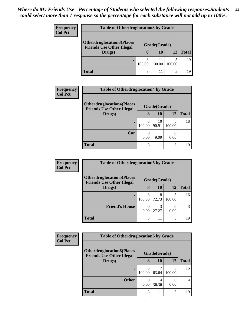| <b>Frequency</b> | <b>Table of Otherdruglocation 3 by Grade</b>                         |              |        |        |              |  |  |  |
|------------------|----------------------------------------------------------------------|--------------|--------|--------|--------------|--|--|--|
| <b>Col Pct</b>   | <b>Otherdruglocation3(Places</b><br><b>Friends Use Other Illegal</b> | Grade(Grade) |        |        |              |  |  |  |
|                  | Drugs)                                                               | 8            | 10     | 12     | <b>Total</b> |  |  |  |
|                  |                                                                      | 100.00       | 100.00 | 100.00 | 19           |  |  |  |
|                  | Total                                                                | 3            |        |        | 19           |  |  |  |

| Frequency      | <b>Table of Otherdruglocation4 by Grade</b>                          |              |             |             |              |  |
|----------------|----------------------------------------------------------------------|--------------|-------------|-------------|--------------|--|
| <b>Col Pct</b> | <b>Otherdruglocation4(Places</b><br><b>Friends Use Other Illegal</b> | Grade(Grade) |             |             |              |  |
|                | Drugs)                                                               | 8            | 10          | 12          | <b>Total</b> |  |
|                |                                                                      | 3<br>100.00  | 10<br>90.91 | 5<br>100.00 | 18           |  |
|                | Car                                                                  | 0.00         | 9.09        | 0.00        |              |  |
|                | <b>Total</b>                                                         | 3            | 11          | 5           | 19           |  |

| <b>Frequency</b> | <b>Table of Otherdruglocation5 by Grade</b>                                          |             |            |        |              |
|------------------|--------------------------------------------------------------------------------------|-------------|------------|--------|--------------|
| <b>Col Pct</b>   | <b>Otherdruglocation5(Places</b><br>Grade(Grade)<br><b>Friends Use Other Illegal</b> |             |            |        |              |
|                  | Drugs)                                                                               | 8           | 10         | 12     | <b>Total</b> |
|                  |                                                                                      | 3<br>100.00 | 8<br>72.73 | 100.00 | 16           |
|                  | <b>Friend's House</b>                                                                | 0.00        | 3<br>27.27 | 0.00   |              |
|                  | <b>Total</b>                                                                         | 3           | 11         | 5      | 19           |

| Frequency      | <b>Table of Otherdruglocation6 by Grade</b>                           |              |       |        |              |
|----------------|-----------------------------------------------------------------------|--------------|-------|--------|--------------|
| <b>Col Pct</b> | <b>Otherdruglocation6(Places)</b><br><b>Friends Use Other Illegal</b> | Grade(Grade) |       |        |              |
|                | Drugs)                                                                | 8            | 10    | 12     | <b>Total</b> |
|                |                                                                       | 3<br>100.00  | 63.64 | 100.00 | 15           |
|                | <b>Other</b>                                                          | 0<br>0.00    | 36.36 | 0.00   | 4            |
|                | <b>Total</b>                                                          | 3            | 11    | 5      | 19           |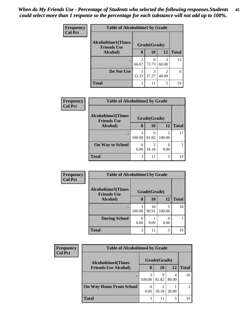| Frequency      | <b>Table of Alcoholtime1 by Grade</b>           |                         |              |            |              |  |
|----------------|-------------------------------------------------|-------------------------|--------------|------------|--------------|--|
| <b>Col Pct</b> | <b>Alcoholtime1(Times</b><br><b>Friends Use</b> |                         | Grade(Grade) |            |              |  |
|                | Alcohol)                                        | 8                       | 10           | <b>12</b>  | <b>Total</b> |  |
|                |                                                 | $\overline{2}$<br>66.67 | 8<br>72.73   | 3<br>60.00 | 13           |  |
|                | Do Not Use                                      | 33.33                   | 3<br>27.27   | 2<br>40.00 | 6            |  |
|                | <b>Total</b>                                    | 3                       | 11           | 5          | 19           |  |

| <b>Frequency</b> | <b>Table of Alcoholtime2 by Grade</b>           |              |            |        |                |  |  |
|------------------|-------------------------------------------------|--------------|------------|--------|----------------|--|--|
| <b>Col Pct</b>   | <b>Alcoholtime2(Times</b><br><b>Friends Use</b> | Grade(Grade) |            |        |                |  |  |
|                  | Alcohol)                                        | 8            | <b>10</b>  | 12     | <b>Total</b>   |  |  |
|                  |                                                 | 3<br>100.00  | 9<br>81.82 | 100.00 | 17             |  |  |
|                  | <b>On Way to School</b>                         | 0<br>0.00    | 2<br>18.18 | 0.00   | 2 <sub>1</sub> |  |  |
|                  | <b>Total</b>                                    | 3            | 11         | 5      | 19             |  |  |

| Frequency      | <b>Table of Alcoholtime3 by Grade</b>           |             |              |             |              |  |
|----------------|-------------------------------------------------|-------------|--------------|-------------|--------------|--|
| <b>Col Pct</b> | <b>Alcoholtime3(Times</b><br><b>Friends Use</b> |             | Grade(Grade) |             |              |  |
|                | Alcohol)                                        | 8           | 10           | 12          | <b>Total</b> |  |
|                |                                                 | 3<br>100.00 | 10<br>90.91  | 5<br>100.00 | 18           |  |
|                | <b>During School</b>                            | 0.00        | 9.09         | 0.00        |              |  |
|                | <b>Total</b>                                    | 3           | 11           | 5           | 19           |  |

| Frequency<br><b>Col Pct</b> | <b>Table of Alcoholtime4 by Grade</b> |              |                         |       |              |  |  |
|-----------------------------|---------------------------------------|--------------|-------------------------|-------|--------------|--|--|
|                             | <b>Alcoholtime4(Times</b>             | Grade(Grade) |                         |       |              |  |  |
|                             | <b>Friends Use Alcohol)</b>           | 8            | 10                      | 12    | <b>Total</b> |  |  |
|                             |                                       | 100.00       | 9<br>81.82              | 80.00 | 16           |  |  |
|                             | <b>On Way Home From School</b>        | 0.00         | $\mathfrak{D}$<br>18.18 | 20.00 | 3            |  |  |
|                             | <b>Total</b>                          | 3            | 11                      | 5     | 19           |  |  |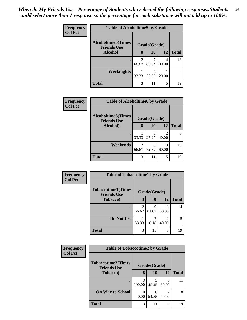| <b>Frequency</b><br><b>Col Pct</b> | <b>Table of Alcoholtime5 by Grade</b>                           |            |            |            |              |
|------------------------------------|-----------------------------------------------------------------|------------|------------|------------|--------------|
|                                    | <b>Alcoholtime5(Times</b><br>Grade(Grade)<br><b>Friends Use</b> |            |            |            |              |
|                                    | Alcohol)                                                        | 8          | 10         | <b>12</b>  | <b>Total</b> |
|                                    |                                                                 | 2<br>66.67 | 63.64      | 4<br>80.00 | 13           |
|                                    | <b>Weeknights</b>                                               | 33.33      | 4<br>36.36 | 20.00      | 6            |
|                                    | <b>Total</b>                                                    | 3          | 11         | 5          | 19           |

| <b>Frequency</b> | <b>Table of Alcoholtime6 by Grade</b>           |                         |            |                                                                                                                                                                          |              |  |
|------------------|-------------------------------------------------|-------------------------|------------|--------------------------------------------------------------------------------------------------------------------------------------------------------------------------|--------------|--|
| <b>Col Pct</b>   | <b>Alcoholtime6(Times</b><br><b>Friends Use</b> | Grade(Grade)            |            |                                                                                                                                                                          |              |  |
|                  | Alcohol)                                        | 8                       | 10         | 12                                                                                                                                                                       | <b>Total</b> |  |
|                  |                                                 | 33.33                   | 3<br>27.27 | $\mathcal{D}_{\mathcal{A}}^{\mathcal{A}}(\mathcal{A})=\mathcal{D}_{\mathcal{A}}^{\mathcal{A}}(\mathcal{A})\mathcal{D}_{\mathcal{A}}^{\mathcal{A}}(\mathcal{A})$<br>40.00 | 6            |  |
|                  | Weekends                                        | $\mathfrak{D}$<br>66.67 | 8<br>72.73 | 3<br>60.00                                                                                                                                                               | 13           |  |
|                  | <b>Total</b>                                    | 3                       | 11         | 5                                                                                                                                                                        | 19           |  |

| <b>Frequency</b> | <b>Table of Tobaccotime1 by Grade</b>           |            |                         |                         |              |  |
|------------------|-------------------------------------------------|------------|-------------------------|-------------------------|--------------|--|
| <b>Col Pct</b>   | <b>Tobaccotime1(Times</b><br><b>Friends Use</b> |            | Grade(Grade)            |                         |              |  |
|                  | <b>Tobacco</b> )                                | 8          | 10                      | 12                      | <b>Total</b> |  |
|                  |                                                 | 2<br>66.67 | 9<br>81.82              | 3<br>60.00              | 14           |  |
|                  | Do Not Use                                      | 33.33      | $\mathfrak{D}$<br>18.18 | $\mathfrak{D}$<br>40.00 | 5            |  |
|                  | <b>Total</b>                                    | 3          | 11                      | 5                       | 19           |  |

| <b>Frequency</b> | <b>Table of Tobaccotime2 by Grade</b>           |              |            |                         |              |
|------------------|-------------------------------------------------|--------------|------------|-------------------------|--------------|
| <b>Col Pct</b>   | <b>Tobaccotime2(Times</b><br><b>Friends Use</b> | Grade(Grade) |            |                         |              |
|                  | <b>Tobacco</b> )                                | 8            | 10         | 12                      | <b>Total</b> |
|                  |                                                 | 3<br>100.00  | 5<br>45.45 | 3<br>60.00              | 11           |
|                  | <b>On Way to School</b>                         | 0.00         | 6<br>54.55 | $\mathfrak{D}$<br>40.00 | 8            |
|                  | <b>Total</b>                                    | 3            | 11         | 5                       | 19           |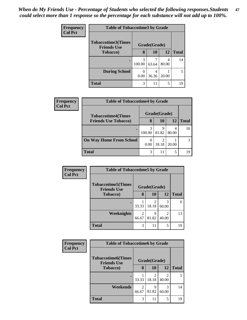| Frequency<br><b>Col Pct</b> | <b>Table of Tobaccotime3 by Grade</b>                           |                         |            |            |              |  |
|-----------------------------|-----------------------------------------------------------------|-------------------------|------------|------------|--------------|--|
|                             | <b>Tobaccotime3(Times</b><br>Grade(Grade)<br><b>Friends Use</b> |                         |            |            |              |  |
|                             | <b>Tobacco</b> )                                                | 8                       | 10         | 12         | <b>Total</b> |  |
|                             |                                                                 | $\mathcal{R}$<br>100.00 | 63.64      | 4<br>80.00 | 14           |  |
|                             | <b>During School</b>                                            | 0.00                    | 4<br>36.36 | 20.00      | 5            |  |
|                             | <b>Total</b>                                                    | 3                       | 11         | 5          | 19           |  |

| <b>Frequency</b> | <b>Table of Tobaccotime4 by Grade</b> |        |                         |            |              |  |
|------------------|---------------------------------------|--------|-------------------------|------------|--------------|--|
| <b>Col Pct</b>   | <b>Tobaccotime4(Times</b>             |        | Grade(Grade)            |            |              |  |
|                  | <b>Friends Use Tobacco)</b>           | 8      | <b>10</b>               | 12         | <b>Total</b> |  |
|                  |                                       | 100.00 | q<br>81.82              | 4<br>80.00 | 16           |  |
|                  | <b>On Way Home From School</b>        | 0.00   | $\mathfrak{D}$<br>18.18 | 20.00      |              |  |
|                  | <b>Total</b>                          | 3      | 11                      | 5          | 19           |  |

| <b>Frequency</b> |                                                 | <b>Table of Tobaccotime5 by Grade</b> |              |                         |              |  |
|------------------|-------------------------------------------------|---------------------------------------|--------------|-------------------------|--------------|--|
| <b>Col Pct</b>   | <b>Tobaccotime5(Times</b><br><b>Friends Use</b> |                                       | Grade(Grade) |                         |              |  |
|                  | <b>Tobacco</b> )                                | 8                                     | 10           | 12                      | <b>Total</b> |  |
|                  |                                                 | 33.33                                 | 2<br>18.18   | 3<br>60.00              | 6            |  |
|                  | <b>Weeknights</b>                               | 2<br>66.67                            | 9<br>81.82   | $\mathfrak{D}$<br>40.00 | 13           |  |
|                  | <b>Total</b>                                    | 3                                     | 11           | 5                       | 19           |  |

| Frequency      | <b>Table of Tobaccotime6 by Grade</b>           |            |              |                         |              |
|----------------|-------------------------------------------------|------------|--------------|-------------------------|--------------|
| <b>Col Pct</b> | <b>Tobaccotime6(Times</b><br><b>Friends Use</b> |            | Grade(Grade) |                         |              |
|                | <b>Tobacco</b> )                                | 8          | 10           | 12                      | <b>Total</b> |
|                |                                                 | 33.33      | 2<br>18.18   | $\mathfrak{D}$<br>40.00 | 5            |
|                | Weekends                                        | 2<br>66.67 | 9<br>81.82   | 3<br>60.00              | 14           |
|                | <b>Total</b>                                    | 3          | 11           | 5                       | 19           |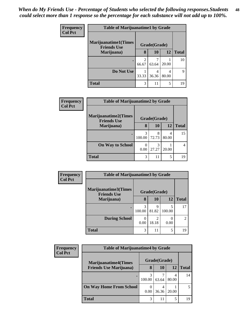| Frequency      | <b>Table of Marijuanatime1 by Grade</b>           |                         |              |            |              |
|----------------|---------------------------------------------------|-------------------------|--------------|------------|--------------|
| <b>Col Pct</b> | <b>Marijuanatime1(Times</b><br><b>Friends Use</b> |                         | Grade(Grade) |            |              |
|                | Marijuana)                                        | 8                       | 10           | 12         | <b>Total</b> |
|                | $\bullet$                                         | $\mathfrak{D}$<br>66.67 | 63.64        | 20.00      | 10           |
|                | Do Not Use                                        | 33.33                   | 4<br>36.36   | 4<br>80.00 | 9            |
|                | <b>Total</b>                                      | 3                       | 11           | 5          | 19           |

| Frequency      | <b>Table of Marijuanatime2 by Grade</b>    |             |              |            |              |  |  |
|----------------|--------------------------------------------|-------------|--------------|------------|--------------|--|--|
| <b>Col Pct</b> | Marijuanatime2(Times<br><b>Friends Use</b> |             | Grade(Grade) |            |              |  |  |
|                | Marijuana)                                 | 8           | 10           | 12         | <b>Total</b> |  |  |
|                | ٠                                          | 3<br>100.00 | 8<br>72.73   | 4<br>80.00 | 15           |  |  |
|                | <b>On Way to School</b>                    | 0<br>0.00   | 3<br>27.27   | 20.00      |              |  |  |
|                | <b>Total</b>                               | 3           | 11           | 5          | 19           |  |  |

| Frequency      | <b>Table of Marijuanatime3 by Grade</b>    |             |                        |             |                |  |
|----------------|--------------------------------------------|-------------|------------------------|-------------|----------------|--|
| <b>Col Pct</b> | Marijuanatime3(Times<br><b>Friends Use</b> |             | Grade(Grade)           |             |                |  |
|                | Marijuana)                                 | 8           | 10                     | 12          | <b>Total</b>   |  |
|                |                                            | 3<br>100.00 | q<br>81.82             | 5<br>100.00 | 17             |  |
|                | <b>During School</b>                       | 0.00        | $\mathcal{P}$<br>18.18 | 0.00        | $\overline{2}$ |  |
|                | <b>Total</b>                               | 3           | 11                     | 5           | 19             |  |

| <b>Frequency</b> | <b>Table of Marijuanatime4 by Grade</b> |                          |              |            |              |  |
|------------------|-----------------------------------------|--------------------------|--------------|------------|--------------|--|
| <b>Col Pct</b>   | <b>Marijuanatime4</b> (Times            |                          | Grade(Grade) |            |              |  |
|                  | <b>Friends Use Marijuana</b> )          | 8                        | 10           | 12         | <b>Total</b> |  |
|                  | $\bullet$                               | 100.00                   | 63.64        | 4<br>80.00 | 14           |  |
|                  | <b>On Way Home From School</b>          | $\left( \right)$<br>0.00 | 36.36        | 20.00      |              |  |
|                  | <b>Total</b>                            | 3                        | 11           | 5          | 19           |  |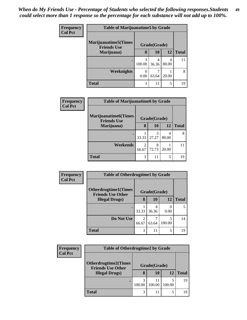| <b>Frequency</b> | <b>Table of Marijuanatime5 by Grade</b>            |             |              |            |              |  |
|------------------|----------------------------------------------------|-------------|--------------|------------|--------------|--|
| <b>Col Pct</b>   | <b>Marijuanatime5</b> (Times<br><b>Friends Use</b> |             | Grade(Grade) |            |              |  |
|                  | Marijuana)                                         | 8           | <b>10</b>    | 12         | <b>Total</b> |  |
|                  |                                                    | 3<br>100.00 | 36.36        | 4<br>80.00 | 11           |  |
|                  | <b>Weeknights</b>                                  | 0.00        | 63.64        | 20.00      | 8            |  |
|                  | <b>Total</b>                                       | 3           | 11           | 5          | 19           |  |

| Frequency      | <b>Table of Marijuanatime6 by Grade</b>           |            |                        |            |              |  |
|----------------|---------------------------------------------------|------------|------------------------|------------|--------------|--|
| <b>Col Pct</b> | <b>Marijuanatime6(Times</b><br><b>Friends Use</b> |            | Grade(Grade)           |            |              |  |
|                | Marijuana)                                        | 8          | 10                     | 12         | <b>Total</b> |  |
|                | $\bullet$                                         | 33.33      | $\mathcal{R}$<br>27.27 | 4<br>80.00 | 8            |  |
|                | Weekends                                          | 2<br>66.67 | 8<br>72.73             | 20.00      |              |  |
|                | <b>Total</b>                                      | 3          | 11                     | 5          | 19           |  |

| Frequency      | <b>Table of Otherdrugtime1 by Grade</b>                 |            |              |             |              |  |
|----------------|---------------------------------------------------------|------------|--------------|-------------|--------------|--|
| <b>Col Pct</b> | <b>Otherdrugtime1(Times</b><br><b>Friends Use Other</b> |            | Grade(Grade) |             |              |  |
|                | <b>Illegal Drugs</b> )                                  | 8          | 10           | 12          | <b>Total</b> |  |
|                |                                                         | 33.33      | 4<br>36.36   | 0.00        | 5            |  |
|                | Do Not Use                                              | 2<br>66.67 | 7<br>63.64   | 5<br>100.00 | 14           |  |
|                | <b>Total</b>                                            | 3          | 11           | 5           | 19           |  |

| <b>Frequency</b> | <b>Table of Otherdrugtime2 by Grade</b>                 |              |              |        |              |  |  |
|------------------|---------------------------------------------------------|--------------|--------------|--------|--------------|--|--|
| <b>Col Pct</b>   | <b>Otherdrugtime2(Times</b><br><b>Friends Use Other</b> | Grade(Grade) |              |        |              |  |  |
|                  | <b>Illegal Drugs)</b>                                   | 8            | 10           | 12     | <b>Total</b> |  |  |
|                  |                                                         | 100.00       | 11<br>100.00 | 100.00 | 19           |  |  |
|                  | <b>Total</b>                                            | 3            | 11           |        | 19           |  |  |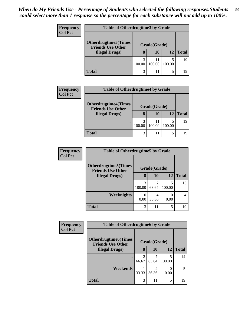| <b>Frequency</b> | <b>Table of Otherdrugtime3 by Grade</b>                                    |              |              |        |              |  |
|------------------|----------------------------------------------------------------------------|--------------|--------------|--------|--------------|--|
| <b>Col Pct</b>   | Otherdrugtime3(Times<br><b>Friends Use Other</b><br><b>Illegal Drugs</b> ) | Grade(Grade) |              |        |              |  |
|                  |                                                                            | 8            | 10           | 12     | <b>Total</b> |  |
|                  |                                                                            | 3<br>100.00  | 11<br>100.00 | 100.00 | 19           |  |
|                  | <b>Total</b>                                                               | 3            | 11           |        | 19           |  |

| <b>Frequency</b> | <b>Table of Otherdrugtime4 by Grade</b>                 |        |              |        |              |  |
|------------------|---------------------------------------------------------|--------|--------------|--------|--------------|--|
| <b>Col Pct</b>   | <b>Otherdrugtime4(Times</b><br><b>Friends Use Other</b> |        | Grade(Grade) |        |              |  |
|                  | <b>Illegal Drugs)</b>                                   | 8      | 10           | 12     | <b>Total</b> |  |
|                  |                                                         | 100.00 | 11<br>100.00 | 100.00 | 19           |  |
|                  | <b>Total</b>                                            | 3      |              |        | 19           |  |

| <b>Frequency</b> | <b>Table of Otherdrugtime5 by Grade</b>                  |              |            |        |              |  |
|------------------|----------------------------------------------------------|--------------|------------|--------|--------------|--|
| <b>Col Pct</b>   | <b>Otherdrugtime5</b> (Times<br><b>Friends Use Other</b> | Grade(Grade) |            |        |              |  |
|                  | <b>Illegal Drugs</b> )                                   | 8            | 10         | 12     | <b>Total</b> |  |
|                  |                                                          | 3<br>100.00  | 63.64      | 100.00 | 15           |  |
|                  | Weeknights                                               | 0.00         | 4<br>36.36 | 0.00   |              |  |
|                  | <b>Total</b>                                             | 3            | 11         | 5      | 19           |  |

| Frequency      | <b>Table of Otherdrugtime6 by Grade</b>                  |              |            |             |              |
|----------------|----------------------------------------------------------|--------------|------------|-------------|--------------|
| <b>Col Pct</b> | <b>Otherdrugtime6</b> (Times<br><b>Friends Use Other</b> | Grade(Grade) |            |             |              |
|                | <b>Illegal Drugs</b> )                                   | 8            | 10         | 12          | <b>Total</b> |
|                |                                                          | 2<br>66.67   | 63.64      | 5<br>100.00 | 14           |
|                | Weekends                                                 | 33.33        | 4<br>36.36 | 0.00        | 5            |
|                | <b>Total</b>                                             | 3            | 11         | 5           | 19           |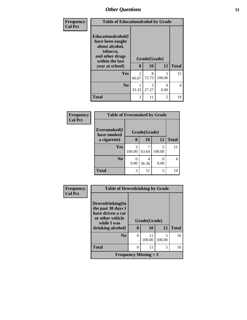| Frequency      | <b>Table of Educationalcohol by Grade</b>                                                                  |                         |            |             |              |  |
|----------------|------------------------------------------------------------------------------------------------------------|-------------------------|------------|-------------|--------------|--|
| <b>Col Pct</b> | Educationalcohol(I<br>have been taught<br>about alcohol,<br>tobacco,<br>and other drugs<br>within the last | Grade(Grade)            |            |             |              |  |
|                | year at school)                                                                                            | 8                       | 10         | 12          | <b>Total</b> |  |
|                | Yes                                                                                                        | $\mathfrak{D}$<br>66.67 | 8<br>72.73 | 5<br>100.00 | 15           |  |
|                | N <sub>0</sub>                                                                                             | 33.33                   | 3<br>27.27 | 0<br>0.00   | 4            |  |
|                | <b>Total</b>                                                                                               | 3                       | 11         | 5           | 19           |  |

| Frequency      | <b>Table of Eversmoked by Grade</b> |             |              |             |                |  |  |
|----------------|-------------------------------------|-------------|--------------|-------------|----------------|--|--|
| <b>Col Pct</b> | Eversmoked(I<br>have smoked         |             | Grade(Grade) |             |                |  |  |
|                | a cigarette)                        | 8           | 10           | 12          | <b>Total</b>   |  |  |
|                | Yes                                 | 3<br>100.00 | 63.64        | 5<br>100.00 | 15             |  |  |
|                | N <sub>0</sub>                      | 0.00        | 36.36        | 0.00        | $\overline{4}$ |  |  |
|                | <b>Total</b>                        | 3           | 11           | 5           | 19             |  |  |

| <b>Frequency</b> |                                                                                                                     | <b>Table of Drovedrinking by Grade</b> |                         |             |              |  |
|------------------|---------------------------------------------------------------------------------------------------------------------|----------------------------------------|-------------------------|-------------|--------------|--|
| <b>Col Pct</b>   | Drovedrinking(In<br>the past 30 days I<br>have driven a car<br>or other vehicle<br>while I was<br>drinking alcohol) | 8                                      | Grade(Grade)<br>10      | 12          | <b>Total</b> |  |
|                  | N <sub>0</sub>                                                                                                      | 0                                      | 11<br>100.00            | 5<br>100.00 | 16           |  |
|                  | <b>Total</b>                                                                                                        | 0                                      | 11                      | 5           | 16           |  |
|                  |                                                                                                                     |                                        | Frequency Missing $=$ 3 |             |              |  |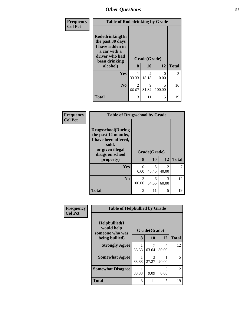| Frequency      | <b>Table of Rodedrinking by Grade</b>                                                                                  |                   |              |                           |    |  |  |
|----------------|------------------------------------------------------------------------------------------------------------------------|-------------------|--------------|---------------------------|----|--|--|
| <b>Col Pct</b> | Rodedrinking(In<br>the past 30 days<br>I have ridden in<br>a car with a<br>driver who had<br>been drinking<br>alcohol) | Grade(Grade)<br>8 | <b>Total</b> |                           |    |  |  |
|                |                                                                                                                        |                   | 10           | 12                        |    |  |  |
|                | <b>Yes</b>                                                                                                             | 33.33             | 2<br>18.18   | $\mathbf{\Omega}$<br>0.00 | 3  |  |  |
|                | No.                                                                                                                    | 2<br>66.67        | 9<br>81.82   | 5<br>100.00               | 16 |  |  |
|                | <b>Total</b>                                                                                                           | 3                 | 11           | 5                         | 19 |  |  |

| <b>Frequency</b> | <b>Table of Drugsschool by Grade</b>                                                                                                   |                  |                    |                        |              |  |  |  |
|------------------|----------------------------------------------------------------------------------------------------------------------------------------|------------------|--------------------|------------------------|--------------|--|--|--|
| <b>Col Pct</b>   | <b>Drugsschool</b> (During<br>the past 12 months,<br>I have been offered,<br>sold,<br>or given illegal<br>drugs on school<br>property) | 8                | Grade(Grade)<br>10 | 12                     | <b>Total</b> |  |  |  |
|                  | Yes                                                                                                                                    | $\Omega$<br>0.00 | 5<br>45.45         | 2<br>40.00             |              |  |  |  |
|                  | N <sub>0</sub>                                                                                                                         | 3<br>100.00      | 6<br>54.55         | $\mathcal{R}$<br>60.00 | 12           |  |  |  |
|                  | <b>Total</b>                                                                                                                           | 3                | 11                 | 5                      | 19           |  |  |  |

| Frequency      | <b>Table of Helpbullied by Grade</b>           |              |            |            |                |
|----------------|------------------------------------------------|--------------|------------|------------|----------------|
| <b>Col Pct</b> | Helpbullied(I<br>would help<br>someone who was | Grade(Grade) |            |            |                |
|                | being bullied)                                 | 8            | 10         | 12         | <b>Total</b>   |
|                | <b>Strongly Agree</b>                          | 33.33        | 63.64      | 4<br>80.00 | 12             |
|                | <b>Somewhat Agree</b>                          | 33.33        | 3<br>27.27 | 20.00      | 5              |
|                | <b>Somewhat Disagree</b>                       | 1<br>33.33   | 9.09       | 0<br>0.00  | $\mathfrak{D}$ |
|                | <b>Total</b>                                   | 3            | 11         | 5          | 19             |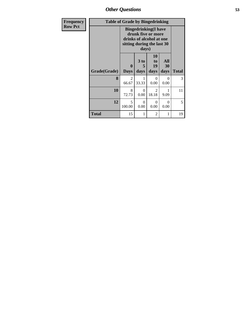*Other Questions* **53**

| <b>Frequency</b> |              | <b>Table of Grade by Bingedrinking</b>                                                                                |                              |                         |                   |              |  |  |  |
|------------------|--------------|-----------------------------------------------------------------------------------------------------------------------|------------------------------|-------------------------|-------------------|--------------|--|--|--|
| <b>Row Pct</b>   |              | <b>Bingedrinking</b> (I have<br>drunk five or more<br>drinks of alcohol at one<br>sitting during the last 30<br>days) |                              |                         |                   |              |  |  |  |
|                  | Grade(Grade) | $\bf{0}$<br><b>Days</b>                                                                                               | 3 <sub>to</sub><br>5<br>days | 10<br>to<br>19<br>days  | All<br>30<br>days | <b>Total</b> |  |  |  |
|                  | 8            | 2<br>66.67                                                                                                            | 33.33                        | $\Omega$<br>0.00        | $\Omega$<br>0.00  | 3            |  |  |  |
|                  | 10           | 8<br>72.73                                                                                                            | 0<br>0.00                    | $\mathfrak{D}$<br>18.18 | 1<br>9.09         | 11           |  |  |  |
|                  | 12           | 5<br>100.00                                                                                                           | $\Omega$<br>0.00             | 0<br>0.00               | $\Omega$<br>0.00  | 5            |  |  |  |
|                  | <b>Total</b> | 15                                                                                                                    |                              | $\overline{2}$          | 1                 | 19           |  |  |  |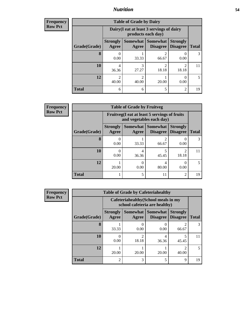### *Nutrition* **54**

**Frequency Row Pct**

| <b>Table of Grade by Dairy</b> |                          |                                                                 |                             |                                    |              |  |  |
|--------------------------------|--------------------------|-----------------------------------------------------------------|-----------------------------|------------------------------------|--------------|--|--|
|                                |                          | Dairy (I eat at least 3 servings of dairy<br>products each day) |                             |                                    |              |  |  |
| Grade(Grade)                   | <b>Strongly</b><br>Agree | Somewhat  <br>Agree                                             | <b>Somewhat</b><br>Disagree | <b>Strongly</b><br><b>Disagree</b> | <b>Total</b> |  |  |
| 8                              | 0.00                     | 33.33                                                           | 2<br>66.67                  | 0.00                               | 3            |  |  |
| 10                             | 4<br>36.36               | 3<br>27.27                                                      | $\overline{c}$<br>18.18     | 2<br>18.18                         | 11           |  |  |
| 12                             | $\mathfrak{D}$<br>40.00  | っ<br>40.00                                                      | 20.00                       | 0.00                               | 5            |  |  |
| <b>Total</b>                   | 6                        | 6                                                               | 5                           | $\mathfrak{D}$                     | 19           |  |  |

| V | <b>Table of Grade by Fruitveg</b> |                          |                                                                          |                                      |                                    |              |  |  |
|---|-----------------------------------|--------------------------|--------------------------------------------------------------------------|--------------------------------------|------------------------------------|--------------|--|--|
|   |                                   |                          | Fruitveg(I eat at least 5 servings of fruits<br>and vegetables each day) |                                      |                                    |              |  |  |
|   | Grade(Grade)                      | <b>Strongly</b><br>Agree | Agree                                                                    | Somewhat Somewhat<br><b>Disagree</b> | <b>Strongly</b><br><b>Disagree</b> | <b>Total</b> |  |  |
|   | 8                                 | 0.00                     | 33.33                                                                    | 2<br>66.67                           | 0.00                               |              |  |  |
|   | 10                                | 0.00                     | 4<br>36.36                                                               | 45.45                                | $\mathfrak{D}$<br>18.18            | 11           |  |  |
|   | 12                                | 20.00                    | 0<br>0.00                                                                | 4<br>80.00                           | 0.00                               | 5            |  |  |
|   | <b>Total</b>                      |                          | 5                                                                        | 11                                   | 2                                  | 19           |  |  |

| <b>Frequency</b> |              | <b>Table of Grade by Cafeteriahealthy</b> |                                                                       |                                    |                                    |              |  |
|------------------|--------------|-------------------------------------------|-----------------------------------------------------------------------|------------------------------------|------------------------------------|--------------|--|
| <b>Row Pct</b>   |              |                                           | Cafeteriahealthy (School meals in my<br>school cafeteria are healthy) |                                    |                                    |              |  |
|                  | Grade(Grade) | <b>Strongly</b><br>Agree                  | Somewhat<br>Agree                                                     | <b>Somewhat</b><br><b>Disagree</b> | <b>Strongly</b><br><b>Disagree</b> | <b>Total</b> |  |
|                  | 8            | 33.33                                     | $\mathbf{\Omega}$<br>0.00                                             | 0.00                               | 2<br>66.67                         | 3            |  |
|                  | <b>10</b>    | 0.00                                      | $\mathcal{D}_{\mathcal{L}}$<br>18.18                                  | 4<br>36.36                         | 5<br>45.45                         | 11           |  |
|                  | 12           | 20.00                                     | 20.00                                                                 | 20.00                              | $\mathfrak{D}$<br>40.00            | 5            |  |
|                  | <b>Total</b> | $\overline{2}$                            | 3                                                                     | 5                                  | $\mathbf Q$                        | 19           |  |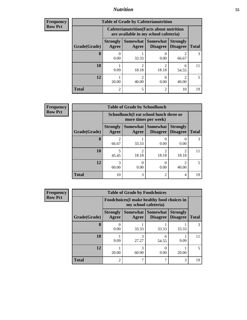### *Nutrition* **55**

| <b>Frequency</b> |
|------------------|
|                  |
| l Row Pct        |

| <b>Table of Grade by Cafeterianutrition</b> |                          |                                                                                           |                                   |                                    |                          |  |  |
|---------------------------------------------|--------------------------|-------------------------------------------------------------------------------------------|-----------------------------------|------------------------------------|--------------------------|--|--|
|                                             |                          | <b>Cafeterianutrition</b> (Facts about nutrition<br>are available in my school cafeteria) |                                   |                                    |                          |  |  |
| Grade(Grade)                                | <b>Strongly</b><br>Agree | Agree                                                                                     | Somewhat   Somewhat  <br>Disagree | <b>Strongly</b><br><b>Disagree</b> | <b>Total</b>             |  |  |
| 8                                           | 0.00                     | 33.33                                                                                     | 0.00                              | 66.67                              | $\mathcal{R}$            |  |  |
| 10                                          | 9.09                     | 2<br>18.18                                                                                | $\mathfrak{D}$<br>18.18           | 6<br>54.55                         | 11                       |  |  |
| 12                                          | 20.00                    | 2<br>40.00                                                                                | 0<br>0.00                         | っ<br>40.00                         | $\overline{\phantom{1}}$ |  |  |
| <b>Total</b>                                | 2                        | 5                                                                                         | $\overline{2}$                    | 10                                 | 19                       |  |  |

**Frequency Row Pct**

| <b>Table of Grade by Schoollunch</b> |                          |                                                                 |                               |                                    |                          |  |  |
|--------------------------------------|--------------------------|-----------------------------------------------------------------|-------------------------------|------------------------------------|--------------------------|--|--|
|                                      |                          | Schoollunch(I eat school lunch three or<br>more times per week) |                               |                                    |                          |  |  |
| Grade(Grade)                         | <b>Strongly</b><br>Agree | Agree                                                           | Somewhat Somewhat<br>Disagree | <b>Strongly</b><br><b>Disagree</b> | <b>Total</b>             |  |  |
| 8                                    | $\mathfrak{D}$<br>66.67  | 33.33                                                           | 0.00                          | 0.00                               | 3                        |  |  |
| 10                                   | 45.45                    | $\overline{\mathcal{L}}$<br>18.18                               | $\mathfrak{D}$<br>18.18       | ↑<br>18.18                         | 11                       |  |  |
| 12                                   | 3<br>60.00               | 0.00                                                            | 0<br>0.00                     | 40.00                              | $\overline{\phantom{0}}$ |  |  |
| <b>Total</b>                         | 10                       | 3                                                               | $\mathfrak{D}$                | $\overline{4}$                     | 19                       |  |  |

| <b>Table of Grade by Foodchoices</b> |                                 |                                                                     |                                      |                                    |              |  |  |
|--------------------------------------|---------------------------------|---------------------------------------------------------------------|--------------------------------------|------------------------------------|--------------|--|--|
|                                      |                                 | Foodchoices (I make healthy food choices in<br>my school cafeteria) |                                      |                                    |              |  |  |
| Grade(Grade)                         | <b>Strongly</b><br><b>Agree</b> | Agree                                                               | Somewhat Somewhat<br><b>Disagree</b> | <b>Strongly</b><br><b>Disagree</b> | <b>Total</b> |  |  |
| 8                                    | 0.00                            | 33.33                                                               | 33.33                                | 33.33                              | 3            |  |  |
| 10                                   | 9.09                            | 3<br>27.27                                                          | 6<br>54.55                           | 9.09                               |              |  |  |
| 12                                   | 20.00                           | 3<br>60.00                                                          | 0.00                                 | 20.00                              | 5            |  |  |
| <b>Total</b>                         | $\mathfrak{D}$                  | ┑                                                                   | 7                                    | 3                                  | 19           |  |  |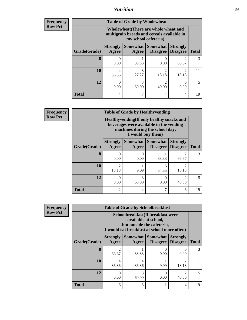### *Nutrition* **56**

| Frequency      |
|----------------|
| <b>Row Pct</b> |

| <b>Table of Grade by Wholewheat</b> |                          |                                                                                                             |                                      |                                    |              |  |  |
|-------------------------------------|--------------------------|-------------------------------------------------------------------------------------------------------------|--------------------------------------|------------------------------------|--------------|--|--|
|                                     |                          | Wholewheat (There are whole wheat and<br>multigrain breads and cereals available in<br>my school cafeteria) |                                      |                                    |              |  |  |
| Grade(Grade)                        | <b>Strongly</b><br>Agree | Agree                                                                                                       | Somewhat Somewhat<br><b>Disagree</b> | <b>Strongly</b><br><b>Disagree</b> | <b>Total</b> |  |  |
| 8                                   | 0<br>0.00                | 33.33                                                                                                       | 0.00                                 | 66.67                              |              |  |  |
| 10                                  | 4<br>36.36               | 3<br>27.27                                                                                                  | $\mathfrak{D}$<br>18.18              | $\mathcal{D}$<br>18.18             | 11           |  |  |
| 12                                  | 0<br>0.00                | 3<br>60.00                                                                                                  | 2<br>40.00                           | $\mathbf{0}$<br>0.00               |              |  |  |
| <b>Total</b>                        | 4                        | 7                                                                                                           | 4                                    | 4                                  | 19           |  |  |

**Frequency Row Pct**

| <b>Table of Grade by Healthyvending</b> |                          |                                                                                                                                               |                      |                                    |              |  |  |
|-----------------------------------------|--------------------------|-----------------------------------------------------------------------------------------------------------------------------------------------|----------------------|------------------------------------|--------------|--|--|
|                                         |                          | Healthyvending (If only healthy snacks and<br>beverages were available in the vending<br>machines during the school day,<br>I would buy them) |                      |                                    |              |  |  |
| Grade(Grade)                            | <b>Strongly</b><br>Agree | Somewhat<br>Agree                                                                                                                             | Somewhat<br>Disagree | <b>Strongly</b><br><b>Disagree</b> | <b>Total</b> |  |  |
| 8                                       | 0.00                     | 0<br>0.00                                                                                                                                     | 33.33                | 2<br>66.67                         | 3            |  |  |
| 10                                      | C<br>18.18               | 9.09                                                                                                                                          | 6<br>54.55           | $\mathfrak{D}$<br>18.18            | 11           |  |  |
| 12                                      | 0.00                     | 3<br>60.00                                                                                                                                    | 0<br>0.00            | $\mathfrak{D}$<br>40.00            | 5            |  |  |
| <b>Total</b>                            | 2                        | 4                                                                                                                                             | ┑                    | 6                                  | 19           |  |  |

| <b>Table of Grade by Schoolbreakfast</b> |                          |                                                                                                                                         |                                      |                                    |              |  |  |
|------------------------------------------|--------------------------|-----------------------------------------------------------------------------------------------------------------------------------------|--------------------------------------|------------------------------------|--------------|--|--|
|                                          |                          | Schoolbreakfast (If breakfast were<br>available at school,<br>but outside the cafeteria,<br>I would eat breakfast at school more often) |                                      |                                    |              |  |  |
| Grade(Grade)                             | <b>Strongly</b><br>Agree | Agree                                                                                                                                   | Somewhat Somewhat<br><b>Disagree</b> | <b>Strongly</b><br><b>Disagree</b> | <b>Total</b> |  |  |
| 8                                        | $\mathfrak{D}$<br>66.67  | 33.33                                                                                                                                   | 0.00                                 | 0.00                               | 3            |  |  |
| 10                                       | 4<br>36.36               | 4<br>36.36                                                                                                                              | 9.09                                 | っ<br>18.18                         | 11           |  |  |
| 12                                       | 0<br>0.00                | 3<br>60.00                                                                                                                              | 0<br>0.00                            | $\mathfrak{D}$<br>40.00            |              |  |  |
| <b>Total</b>                             | 6                        | 8                                                                                                                                       |                                      | 4                                  | 19           |  |  |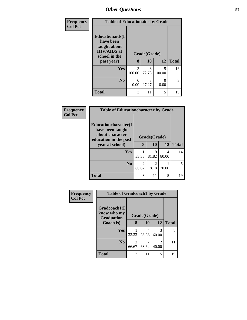| Frequency      | <b>Table of Educationaids by Grade</b>                                                                    |             |                    |                           |              |  |
|----------------|-----------------------------------------------------------------------------------------------------------|-------------|--------------------|---------------------------|--------------|--|
| <b>Col Pct</b> | <b>Educationaids</b> (I<br>have been<br>taught about<br><b>HIV/AIDS</b> at<br>school in the<br>past year) | 8           | Grade(Grade)<br>10 | 12                        | <b>Total</b> |  |
|                | <b>Yes</b>                                                                                                | 3<br>100.00 | 8<br>72.73         | 5<br>100.00               | 16           |  |
|                | N <sub>0</sub>                                                                                            | 0<br>0.00   | 3<br>27.27         | $\mathbf{\Omega}$<br>0.00 | 3            |  |
|                | <b>Total</b>                                                                                              | 3           | 11                 | 5                         | 19           |  |

| Frequency      | <b>Table of Educationcharacter by Grade</b>                                                  |                         |                                      |            |              |  |  |  |
|----------------|----------------------------------------------------------------------------------------------|-------------------------|--------------------------------------|------------|--------------|--|--|--|
| <b>Col Pct</b> | <b>Educationcharacter</b> (I<br>have been taught<br>about character<br>education in the past | Grade(Grade)            |                                      |            |              |  |  |  |
|                | year at school)                                                                              | 8                       | 10                                   | 12         | <b>Total</b> |  |  |  |
|                | <b>Yes</b>                                                                                   | 33.33                   | Q<br>81.82                           | 4<br>80.00 | 14           |  |  |  |
|                | No.                                                                                          | $\mathfrak{D}$<br>66.67 | $\mathcal{D}_{\mathcal{L}}$<br>18.18 | 20.00      | 5            |  |  |  |
|                | <b>Total</b>                                                                                 | 3                       | 11                                   | 5          | 19           |  |  |  |

| Frequency      | <b>Table of Gradcoach1 by Grade</b>              |            |              |            |              |
|----------------|--------------------------------------------------|------------|--------------|------------|--------------|
| <b>Col Pct</b> | Gradcoach1(I<br>know who my<br><b>Graduation</b> |            | Grade(Grade) |            |              |
|                | Coach is)                                        | 8          | 10           | 12         | <b>Total</b> |
|                | Yes                                              | 33.33      | 4<br>36.36   | 3<br>60.00 | 8            |
|                | N <sub>0</sub>                                   | 2<br>66.67 | 63.64        | 2<br>40.00 | 11           |
|                | <b>Total</b>                                     | 3          | 11           | 5          | 19           |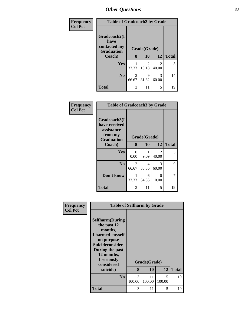| Frequency      | <b>Table of Gradcoach2 by Grade</b>                       |              |            |            |              |
|----------------|-----------------------------------------------------------|--------------|------------|------------|--------------|
| <b>Col Pct</b> | Gradcoach2(I<br>have<br>contacted my<br><b>Graduation</b> | Grade(Grade) |            |            |              |
|                | Coach)                                                    | 8            | 10         | 12         | <b>Total</b> |
|                | Yes                                                       | 33.33        | 2<br>18.18 | 2<br>40.00 | 5            |
|                | N <sub>0</sub>                                            | 2<br>66.67   | 9<br>81.82 | 3<br>60.00 | 14           |
|                | <b>Total</b>                                              | 3            | 11         | 5          | 19           |

| Frequency<br><b>Col Pct</b> | <b>Table of Gradcoach3 by Grade</b>                                         |                         |            |                         |              |
|-----------------------------|-----------------------------------------------------------------------------|-------------------------|------------|-------------------------|--------------|
|                             | Gradcoach3(I<br>have received<br>assistance<br>from my<br><b>Graduation</b> | Grade(Grade)            |            |                         |              |
|                             | Coach)                                                                      | 8                       | 10         | 12                      | <b>Total</b> |
|                             | <b>Yes</b>                                                                  | 0<br>0.00               | 9.09       | $\overline{2}$<br>40.00 | 3            |
|                             | N <sub>0</sub>                                                              | $\mathfrak{D}$<br>66.67 | 4<br>36.36 | $\mathcal{F}$<br>60.00  | 9            |
|                             | Don't know                                                                  | 33.33                   | 6<br>54.55 | $\theta$<br>0.00        | 7            |
|                             | <b>Total</b>                                                                | 3                       | 11         | 5                       | 19           |

| Frequency<br><b>Col Pct</b> | <b>Table of Selfharm by Grade</b>                                                                                                                                   |             |              |             |              |
|-----------------------------|---------------------------------------------------------------------------------------------------------------------------------------------------------------------|-------------|--------------|-------------|--------------|
|                             | <b>Selfharm</b> (During<br>the past 12<br>months,<br>I harmed myself<br>on purpose<br>Suicideconsider<br>During the past<br>12 months,<br>I seriously<br>considered |             | Grade(Grade) |             |              |
|                             | suicide)                                                                                                                                                            | 8           | 10           | 12          | <b>Total</b> |
|                             | N <sub>0</sub>                                                                                                                                                      | 3<br>100.00 | 11<br>100.00 | 5<br>100.00 | 19           |
|                             | <b>Total</b>                                                                                                                                                        | 3           | 11           | 5           | 19           |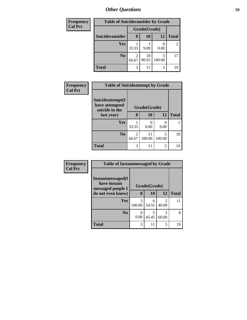| <b>Frequency</b> |                 | <b>Table of Suicideconsider by Grade</b> |              |        |                |  |  |
|------------------|-----------------|------------------------------------------|--------------|--------|----------------|--|--|
| <b>Col Pct</b>   |                 |                                          | Grade(Grade) |        |                |  |  |
|                  | Suicideconsider | 8                                        | <b>10</b>    | 12     | <b>Total</b>   |  |  |
|                  | Yes             | 33.33                                    | 9.09         | 0.00   | $\overline{2}$ |  |  |
|                  | N <sub>0</sub>  | 2<br>66.67                               | 10<br>90.91  | 100.00 | 17             |  |  |
|                  | <b>Total</b>    | 3                                        | 11           |        | 19             |  |  |

| <b>Frequency</b> | <b>Table of Suicideattempt by Grade</b>              |            |              |             |              |  |  |
|------------------|------------------------------------------------------|------------|--------------|-------------|--------------|--|--|
| <b>Col Pct</b>   | Suicideattempt(I<br>have attempted<br>suicide in the |            | Grade(Grade) |             |              |  |  |
|                  | last year)                                           | 8          | 10           | 12          | <b>Total</b> |  |  |
|                  | Yes                                                  | 33.33      | 0.00         | 0<br>0.00   |              |  |  |
|                  | N <sub>0</sub>                                       | 2<br>66.67 | 11<br>100.00 | 5<br>100.00 | 18           |  |  |
|                  | <b>Total</b>                                         | 3          | 11           | 5           | 19           |  |  |

| Frequency      | <b>Table of Instantmessaged by Grade</b>               |              |            |                         |              |
|----------------|--------------------------------------------------------|--------------|------------|-------------------------|--------------|
| <b>Col Pct</b> | Instantmessaged(I<br>have instant<br>messaged people I | Grade(Grade) |            |                         |              |
|                | do not even know)                                      | 8            | 10         | 12                      | <b>Total</b> |
|                | Yes                                                    | 3<br>100.00  | 6<br>54.55 | $\overline{2}$<br>40.00 | 11           |
|                | N <sub>0</sub>                                         | 0<br>0.00    | 5<br>45.45 | 3<br>60.00              | 8            |
|                | <b>Total</b>                                           | 3            | 11         | 5                       | 19           |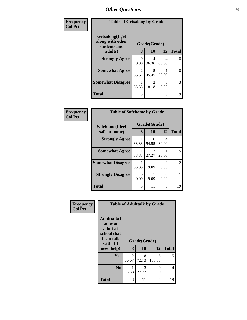| Frequency<br><b>Col Pct</b> | <b>Table of Getsalong by Grade</b>                  |              |            |            |              |
|-----------------------------|-----------------------------------------------------|--------------|------------|------------|--------------|
|                             | Getsalong(I get<br>along with other<br>students and | Grade(Grade) |            |            |              |
|                             | adults)                                             | 8            | 10         | <b>12</b>  | <b>Total</b> |
|                             | <b>Strongly Agree</b>                               | 0<br>0.00    | 4<br>36.36 | 4<br>80.00 | 8            |
|                             | <b>Somewhat Agree</b>                               | 2<br>66.67   | 5<br>45.45 | 20.00      | 8            |
|                             | <b>Somewhat Disagree</b>                            | 33.33        | 2<br>18.18 | 0<br>0.00  | 3            |
|                             | <b>Total</b>                                        | 3            | 11         | 5          | 19           |

| Frequency      | <b>Table of Safehome by Grade</b> |                   |                  |                  |    |
|----------------|-----------------------------------|-------------------|------------------|------------------|----|
| <b>Col Pct</b> | Safehome(I feel<br>safe at home)  | Grade(Grade)<br>8 | <b>Total</b>     |                  |    |
|                | <b>Strongly Agree</b>             | 33.33             | 10<br>6<br>54.55 | 12<br>4<br>80.00 | 11 |
|                | <b>Somewhat Agree</b>             | 33.33             | 3<br>27.27       | 20.00            | 5  |
|                | <b>Somewhat Disagree</b>          | 33.33             | 9.09             | 0<br>0.00        | 2  |
|                | <b>Strongly Disagree</b>          | 0<br>0.00         | 9.09             | 0<br>0.00        |    |
|                | <b>Total</b>                      | 3                 | 11               | 5                | 19 |

| Frequency      | <b>Table of Adulttalk by Grade</b>                                                  |            |              |             |              |  |  |  |  |
|----------------|-------------------------------------------------------------------------------------|------------|--------------|-------------|--------------|--|--|--|--|
| <b>Col Pct</b> | <b>Adulttalk(I</b><br>know an<br>adult at<br>school that<br>I can talk<br>with if I |            | Grade(Grade) |             |              |  |  |  |  |
|                | need help)                                                                          | 8          | <b>10</b>    | 12          | <b>Total</b> |  |  |  |  |
|                | <b>Yes</b>                                                                          | 2<br>66.67 | 8<br>72.73   | 5<br>100.00 | 15           |  |  |  |  |
|                | N <sub>0</sub>                                                                      | 33.33      | 3<br>27.27   | ∩<br>0.00   | 4            |  |  |  |  |
|                | <b>Total</b>                                                                        | 3          | 11           | 5           | 19           |  |  |  |  |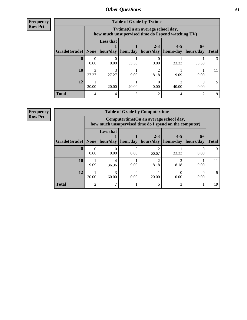**Frequency Row Pct**

| <b>Table of Grade by Tytime</b> |            |                                                                                         |          |                      |                      |                   |              |  |
|---------------------------------|------------|-----------------------------------------------------------------------------------------|----------|----------------------|----------------------|-------------------|--------------|--|
|                                 |            | Tvtime (On an average school day,<br>how much unsupervised time do I spend watching TV) |          |                      |                      |                   |              |  |
| Grade(Grade)   None             |            | <b>Less that</b><br>hour/day                                                            | hour/day | $2 - 3$<br>hours/day | $4 - 5$<br>hours/day | $6+$<br>hours/day | <b>Total</b> |  |
| 8                               | 0.00       | 0.00                                                                                    | 33.33    | 0.00                 | 33.33                | 33.33             | 3            |  |
| 10                              | 3<br>27.27 | 27.27                                                                                   | 9.09     | 18.18                | 9.09                 | 9.09              | 11           |  |
| 12                              | 20.00      | 20.00                                                                                   | 20.00    | 0.00                 | 40.00                | 0.00              | 5.           |  |
| <b>Total</b>                    | 4          |                                                                                         | 3        | っ                    |                      | റ                 | 19           |  |

**Frequency**

**Row Pct**

| <b>Table of Grade by Computertime</b> |       |                                                                                                                               |      |            |       |      |    |  |  |
|---------------------------------------|-------|-------------------------------------------------------------------------------------------------------------------------------|------|------------|-------|------|----|--|--|
|                                       |       | Computertime (On an average school day,<br>how much unsupervised time do I spend on the computer)                             |      |            |       |      |    |  |  |
| Grade(Grade)                          | None  | <b>Less that</b><br>$2 - 3$<br>$4 - 5$<br>$6+$<br>hour/day<br>hour/day<br>hours/day<br>hours/day<br>hours/day<br><b>Total</b> |      |            |       |      |    |  |  |
| 8                                     | 0.00  | 0.00                                                                                                                          | 0.00 | ∍<br>66.67 | 33.33 | 0.00 |    |  |  |
| 10                                    | 9.09  | 4<br>36.36                                                                                                                    | 9.09 | ⌒<br>18.18 | 18.18 | 9.09 | 11 |  |  |
| 12                                    | 20.00 | 60.00                                                                                                                         | 0.00 | 20.00      | 0.00  | 0.00 |    |  |  |
| <b>Total</b>                          | っ     |                                                                                                                               |      |            | 3     |      | 19 |  |  |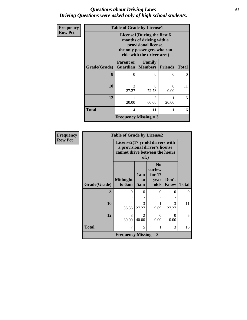### *Questions about Driving Laws* **62** *Driving Questions were asked only of high school students.*

| Frequency      |              | <b>Table of Grade by License1</b> |                                                                                                                                              |                           |              |  |  |
|----------------|--------------|-----------------------------------|----------------------------------------------------------------------------------------------------------------------------------------------|---------------------------|--------------|--|--|
| <b>Row Pct</b> |              |                                   | License1(During the first 6<br>months of driving with a<br>provisional license,<br>the only passengers who can<br>ride with the driver are:) |                           |              |  |  |
|                | Grade(Grade) | <b>Parent or</b>                  | <b>Family</b><br><b>Guardian   Members   Friends</b>                                                                                         |                           | <b>Total</b> |  |  |
|                | 8            | 0                                 | $\Omega$                                                                                                                                     | 0                         | 0            |  |  |
|                | 10           | 3<br>27.27                        | 8<br>72.73                                                                                                                                   | $\mathbf{\Omega}$<br>0.00 | 11           |  |  |
|                | 12           | 20.00                             | 3<br>60.00                                                                                                                                   | 20.00                     | 5            |  |  |
|                | <b>Total</b> | $\overline{4}$                    | 11                                                                                                                                           |                           | 16           |  |  |
|                |              | <b>Frequency Missing = 3</b>      |                                                                                                                                              |                           |              |  |  |

| <b>Frequency</b> |              | <b>Table of Grade by License2</b>                                                                           |                                      |                                                    |               |              |
|------------------|--------------|-------------------------------------------------------------------------------------------------------------|--------------------------------------|----------------------------------------------------|---------------|--------------|
| <b>Row Pct</b>   |              | License2(17 yr old drivers with<br>a provisional driver's license<br>cannot drive between the hours<br>of:) |                                      |                                                    |               |              |
|                  | Grade(Grade) | <b>Midnight</b><br>to 6am                                                                                   | 1am<br>to<br>5am                     | N <sub>0</sub><br>curfew<br>for 17<br>year<br>olds | Don't<br>Know | <b>Total</b> |
|                  | 8            | $\Omega$                                                                                                    | $\Omega$                             | $\Omega$                                           | 0             | 0            |
|                  | 10           | 4<br>36.36                                                                                                  | $\mathcal{R}$<br>27.27               | 9.09                                               | 3<br>27.27    | 11           |
|                  | 12           | 3<br>60.00                                                                                                  | $\mathcal{D}_{\mathcal{A}}$<br>40.00 | 0<br>0.00                                          | 0<br>0.00     | 5            |
|                  | <b>Total</b> | 7                                                                                                           | 5                                    | 1                                                  | 3             | 16           |
|                  |              | <b>Frequency Missing = 3</b>                                                                                |                                      |                                                    |               |              |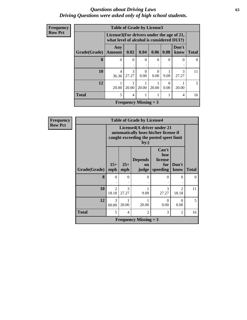#### *Questions about Driving Laws* **63** *Driving Questions were asked only of high school students.*

| Frequency      |              | <b>Table of Grade by License3</b>                                                      |                              |                  |                  |           |               |              |
|----------------|--------------|----------------------------------------------------------------------------------------|------------------------------|------------------|------------------|-----------|---------------|--------------|
| <b>Row Pct</b> |              | License3(For drivers under the age of 21,<br>what level of alcohol is considered DUI?) |                              |                  |                  |           |               |              |
|                | Grade(Grade) | Any<br>Amount                                                                          | 0.02                         | 0.04             | 0.06             | 0.08      | Don't<br>know | <b>Total</b> |
|                | 8            | $\Omega$                                                                               | $\Omega$<br>٠                | $\Omega$<br>٠    | $\theta$<br>٠    | $\Omega$  | 0             | $\Omega$     |
|                | 10           | $\overline{\mathcal{A}}$<br>36.36                                                      | 3<br>27.27                   | $\Omega$<br>0.00 | $\theta$<br>0.00 | 9.09      | 3<br>27.27    | 11           |
|                | 12           | 20.00                                                                                  | 20.00                        | 20.00            | 20.00            | 0<br>0.00 | 20.00         | 5.           |
|                | <b>Total</b> | 5                                                                                      | 4                            |                  |                  |           | 4             | 16           |
|                |              |                                                                                        | <b>Frequency Missing = 3</b> |                  |                  |           |               |              |

| V |                                                                                                                                                          |                                                                    |                                                                                                                        | <b>Table of Grade by License4</b> |            |                                      |          |  |
|---|----------------------------------------------------------------------------------------------------------------------------------------------------------|--------------------------------------------------------------------|------------------------------------------------------------------------------------------------------------------------|-----------------------------------|------------|--------------------------------------|----------|--|
|   |                                                                                                                                                          |                                                                    | License4(A driver under 21<br>automatically loses his/her license if<br>caught exceeding the posted speet limit<br>by: |                                   |            |                                      |          |  |
|   | Can't<br>lose<br><b>Depends</b><br>license<br>$15+$<br>$25+$<br>Don't<br>for<br><sub>on</sub><br>Grade(Grade)<br>mph<br>speeding<br>know<br>mph<br>judge |                                                                    |                                                                                                                        |                                   |            |                                      |          |  |
|   | 8                                                                                                                                                        | 0                                                                  | 0                                                                                                                      | 0                                 | 0          | 0                                    | $\Omega$ |  |
|   | 10                                                                                                                                                       | $\mathfrak{D}$<br>18.18                                            | 3<br>27.27                                                                                                             | 9.09                              | 3<br>27.27 | $\mathcal{D}_{\mathcal{L}}$<br>18.18 | 11       |  |
|   | 12                                                                                                                                                       | $\mathcal{R}$<br>0<br>0<br>20.00<br>20.00<br>0.00<br>0.00<br>60.00 |                                                                                                                        |                                   |            |                                      |          |  |
|   | <b>Total</b><br>5<br>3<br>2<br>2<br>4                                                                                                                    |                                                                    |                                                                                                                        |                                   |            |                                      |          |  |
|   | <b>Frequency Missing = 3</b>                                                                                                                             |                                                                    |                                                                                                                        |                                   |            |                                      |          |  |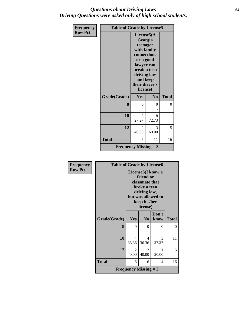### *Questions about Driving Laws* **64** *Driving Questions were asked only of high school students.*

| <b>Frequency</b> | <b>Table of Grade by License5</b> |                                                                                                                                                                      |            |              |  |
|------------------|-----------------------------------|----------------------------------------------------------------------------------------------------------------------------------------------------------------------|------------|--------------|--|
| <b>Row Pct</b>   |                                   | License5(A)<br>Georgia<br>teenager<br>with family<br>connections<br>or a good<br>lawyer can<br>break a teen<br>driving law<br>and keep<br>their driver's<br>license) |            |              |  |
|                  | Grade(Grade)                      | Yes                                                                                                                                                                  | No         | <b>Total</b> |  |
|                  | 8                                 | 0                                                                                                                                                                    | 0          | $\theta$     |  |
|                  | 10                                | 3<br>27.27                                                                                                                                                           | 8<br>72.73 | 11           |  |
|                  | 12                                | $\mathfrak{D}$<br>40.00                                                                                                                                              | 3<br>60.00 | 5            |  |
|                  | <b>Total</b>                      | 5                                                                                                                                                                    | 11         | 16           |  |
|                  | <b>Frequency Missing = 3</b>      |                                                                                                                                                                      |            |              |  |

| <b>Frequency</b> | <b>Table of Grade by License6</b> |                              |                                                                                                                                                 |               |              |
|------------------|-----------------------------------|------------------------------|-------------------------------------------------------------------------------------------------------------------------------------------------|---------------|--------------|
| <b>Row Pct</b>   |                                   |                              | License <sub>6</sub> (I know a<br>friend or<br>classmate that<br>broke a teen<br>driving law,<br>but was allowed to<br>keep his/her<br>license) |               |              |
|                  | Grade(Grade)                      | Yes                          | N <sub>0</sub>                                                                                                                                  | Don't<br>know | <b>Total</b> |
|                  | 8                                 | $\Omega$                     | $\theta$                                                                                                                                        | 0             | $\theta$     |
|                  | 10                                | $\overline{4}$<br>36.36      | 4<br>36.36                                                                                                                                      | 3<br>27.27    | 11           |
|                  | 12                                | 2<br>40.00                   | 2<br>40.00                                                                                                                                      | 1<br>20.00    | 5            |
|                  | <b>Total</b>                      | 6                            | 6                                                                                                                                               | 4             | 16           |
|                  |                                   | <b>Frequency Missing = 3</b> |                                                                                                                                                 |               |              |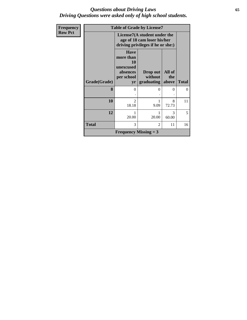#### *Questions about Driving Laws* **65** *Driving Questions were asked only of high school students.*

| Frequency      |              |                                                                                                  | <b>Table of Grade by License7</b> |                        |              |
|----------------|--------------|--------------------------------------------------------------------------------------------------|-----------------------------------|------------------------|--------------|
| <b>Row Pct</b> |              | License7(A student under the<br>age of 18 cam loser his/her<br>driving privileges if he or she:) |                                   |                        |              |
|                | Grade(Grade) | <b>Have</b><br>more than<br><b>10</b><br>unexcused<br>absences<br>per school<br>yr               | Drop out<br>without<br>graduating | All of<br>the<br>above | <b>Total</b> |
|                | 8            | 0                                                                                                | 0                                 | $\Omega$               | 0            |
|                | 10           | $\overline{c}$<br>18.18                                                                          | 9.09                              | 8<br>72.73             | 11           |
|                | 12           | 20.00                                                                                            | 20.00                             | 3<br>60.00             | 5            |
|                | <b>Total</b> | 3                                                                                                | $\mathfrak{D}$                    | 11                     | 16           |
|                |              | <b>Frequency Missing = 3</b>                                                                     |                                   |                        |              |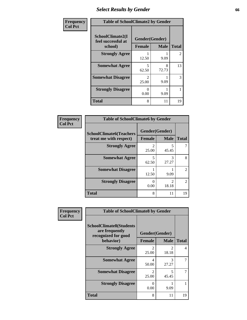# *Select Results by Gender* **66**

| Frequency      | <b>Table of SchoolClimate2 by Gender</b>          |                                 |             |                |  |
|----------------|---------------------------------------------------|---------------------------------|-------------|----------------|--|
| <b>Col Pct</b> | SchoolClimate2(I<br>feel successful at<br>school) | Gender(Gender)<br><b>Female</b> | <b>Male</b> | <b>Total</b>   |  |
|                | <b>Strongly Agree</b>                             | 12.50                           | 9.09        | $\overline{2}$ |  |
|                | <b>Somewhat Agree</b>                             | 5<br>62.50                      | 8<br>72.73  | 13             |  |
|                | <b>Somewhat Disagree</b>                          | $\mathcal{D}$<br>25.00          | 9.09        | 3              |  |
|                | <b>Strongly Disagree</b>                          | $\Omega$<br>0.00                | 9.09        |                |  |
|                | <b>Total</b>                                      | 8                               | 11          | 19             |  |

| <b>Frequency</b> | <b>Table of SchoolClimate6 by Gender</b> |               |                |                |
|------------------|------------------------------------------|---------------|----------------|----------------|
| <b>Col Pct</b>   | <b>SchoolClimate6(Teachers</b>           |               | Gender(Gender) |                |
|                  | treat me with respect)                   | <b>Female</b> | <b>Male</b>    | <b>Total</b>   |
|                  | <b>Strongly Agree</b>                    | 2<br>25.00    | 45.45          |                |
|                  | <b>Somewhat Agree</b>                    | 5<br>62.50    | 3<br>27.27     | 8              |
|                  | <b>Somewhat Disagree</b>                 | 12.50         | 9.09           | $\mathfrak{D}$ |
|                  | <b>Strongly Disagree</b>                 | ∩<br>0.00     | っ<br>18.18     | $\mathcal{D}$  |
|                  | <b>Total</b>                             | 8             | 11             | 19             |

| Frequency      | <b>Table of SchoolClimate8 by Gender</b>                                             |                                      |                        |              |  |
|----------------|--------------------------------------------------------------------------------------|--------------------------------------|------------------------|--------------|--|
| <b>Col Pct</b> | <b>SchoolClimate8(Students</b><br>are frequently<br>recognized for good<br>behavior) | Gender(Gender)<br><b>Female</b>      | <b>Male</b>            | <b>Total</b> |  |
|                |                                                                                      |                                      |                        |              |  |
|                | <b>Strongly Agree</b>                                                                | $\mathfrak{D}$<br>25.00              | $\mathcal{D}$<br>18.18 | 4            |  |
|                | <b>Somewhat Agree</b>                                                                | 4<br>50.00                           | 3<br>27.27             | 7            |  |
|                | <b>Somewhat Disagree</b>                                                             | $\mathcal{D}_{\mathcal{L}}$<br>25.00 | 5<br>45.45             | 7            |  |
|                | <b>Strongly Disagree</b>                                                             | 0<br>0.00                            | 9.09                   |              |  |
|                | Total                                                                                | 8                                    | 11                     | 19           |  |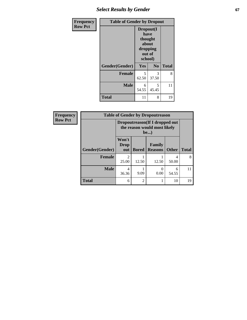## **Select Results by Gender 67**

| <b>Frequency</b> | <b>Table of Gender by Dropout</b> |                                                              |                |              |  |
|------------------|-----------------------------------|--------------------------------------------------------------|----------------|--------------|--|
| <b>Row Pct</b>   |                                   | Dropout(I<br>have<br>thought<br>about<br>dropping<br>school) | out of         |              |  |
|                  | Gender(Gender)                    | Yes                                                          | N <sub>0</sub> | <b>Total</b> |  |
|                  | <b>Female</b>                     | 5<br>62.50                                                   | 3<br>37.50     | 8            |  |
|                  | <b>Male</b>                       | 6<br>54.55                                                   | 5<br>45.45     | 11           |  |
|                  | <b>Total</b>                      | 11                                                           | 8              | 19           |  |

| Frequency      | <b>Table of Gender by Dropoutreason</b> |                      |                             |                                                                        |              |              |
|----------------|-----------------------------------------|----------------------|-----------------------------|------------------------------------------------------------------------|--------------|--------------|
| <b>Row Pct</b> |                                         |                      |                             | Dropoutreason (If I dropped out<br>the reason would most likely<br>be) |              |              |
|                | Gender(Gender)                          | Won't<br>Drop<br>out | <b>Bored</b>                | Family<br><b>Reasons</b>                                               | <b>Other</b> | <b>Total</b> |
|                | <b>Female</b>                           | 25.00                | 12.50                       | 12.50                                                                  | 4<br>50.00   | 8            |
|                | <b>Male</b>                             | 4<br>36.36           | 9.09                        | $\Omega$<br>0.00                                                       | 6<br>54.55   | 11           |
|                | <b>Total</b>                            | 6                    | $\mathcal{D}_{\mathcal{A}}$ |                                                                        | 10           | 19           |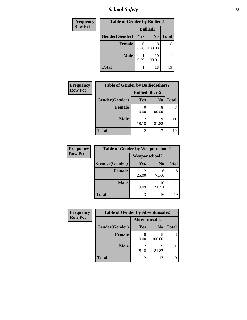*School Safety* **68**

| <b>Frequency</b> | <b>Table of Gender by Bullied2</b> |      |                 |              |
|------------------|------------------------------------|------|-----------------|--------------|
| <b>Row Pct</b>   |                                    |      | <b>Bullied2</b> |              |
|                  | Gender(Gender)                     | Yes  | N <sub>0</sub>  | <b>Total</b> |
|                  | <b>Female</b>                      | 0.00 | 100.00          | 8            |
|                  | <b>Male</b>                        | 9.09 | 10<br>90.91     |              |
|                  | <b>Total</b>                       |      | 18              | 19           |

| <b>Frequency</b>                        | <b>Table of Gender by Bulliedothers2</b> |            |                |              |
|-----------------------------------------|------------------------------------------|------------|----------------|--------------|
| <b>Row Pct</b><br><b>Bulliedothers2</b> |                                          |            |                |              |
|                                         | Gender(Gender)                           | <b>Yes</b> | N <sub>0</sub> | <b>Total</b> |
|                                         | <b>Female</b>                            | 0.00       | 8<br>100.00    |              |
|                                         | <b>Male</b>                              | 2<br>18.18 | Q<br>81.82     |              |
|                                         | <b>Total</b>                             | 2          | 17             | 19           |

| Frequency      | <b>Table of Gender by Weaponschool2</b> |                      |                |              |
|----------------|-----------------------------------------|----------------------|----------------|--------------|
| <b>Row Pct</b> |                                         | <b>Weaponschool2</b> |                |              |
|                | Gender(Gender)                          | Yes                  | N <sub>0</sub> | <b>Total</b> |
|                | <b>Female</b>                           | 25.00                | 6<br>75.00     |              |
|                | <b>Male</b>                             | 9.09                 | 10<br>90.91    |              |
|                | <b>Total</b>                            | 3                    | 16             |              |

| Frequency      | <b>Table of Gender by Absentunsafe2</b> |               |                |              |
|----------------|-----------------------------------------|---------------|----------------|--------------|
| <b>Row Pct</b> |                                         | Absentunsafe2 |                |              |
|                | Gender(Gender)                          | Yes           | N <sub>0</sub> | <b>Total</b> |
|                | <b>Female</b>                           | 0.00          | 100.00         | 8            |
|                | <b>Male</b>                             | 18.18         | 81.82          | 11           |
|                | <b>Total</b>                            |               | 17             | 19           |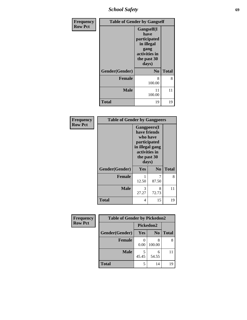*School Safety* **69**

| Frequency      | <b>Table of Gender by Gangself</b> |                                                                                                   |              |  |
|----------------|------------------------------------|---------------------------------------------------------------------------------------------------|--------------|--|
| <b>Row Pct</b> |                                    | Gangself(I<br>have<br>participated<br>in illegal<br>gang<br>activities in<br>the past 30<br>days) |              |  |
|                | Gender(Gender)                     | N <sub>0</sub>                                                                                    | <b>Total</b> |  |
|                | <b>Female</b>                      | 8<br>100.00                                                                                       | 8            |  |
|                | <b>Male</b>                        | 11<br>100.00                                                                                      | 11           |  |
|                | <b>Total</b>                       | 19                                                                                                | 19           |  |

| Frequency      | <b>Table of Gender by Gangpeers</b> |                                                                                                                 |                |              |
|----------------|-------------------------------------|-----------------------------------------------------------------------------------------------------------------|----------------|--------------|
| <b>Row Pct</b> |                                     | <b>Gangpeers</b> (I<br>have friends<br>participated<br>in illegal gang<br>activities in<br>the past 30<br>days) | who have       |              |
|                | Gender(Gender)                      | Yes                                                                                                             | N <sub>0</sub> | <b>Total</b> |
|                | <b>Female</b>                       | 12.50                                                                                                           | 7<br>87.50     | 8            |
|                | <b>Male</b>                         | 3<br>27.27                                                                                                      | 8<br>72.73     | 11           |
|                | <b>Total</b>                        | 4                                                                                                               | 15             | 19           |

| Frequency      | <b>Table of Gender by Pickedon2</b> |           |                |       |
|----------------|-------------------------------------|-----------|----------------|-------|
| <b>Row Pct</b> |                                     | Pickedon2 |                |       |
|                | Gender(Gender)                      | Yes       | N <sub>0</sub> | Total |
|                | <b>Female</b>                       | 0.00      | 100.00         |       |
|                | <b>Male</b>                         | 45.45     | 54.55          |       |
|                | <b>Total</b>                        | 5         | 14             | 19    |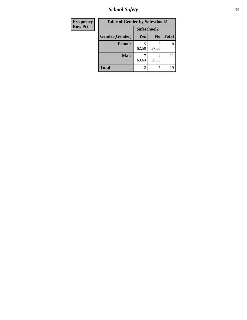*School Safety* **70**

| Frequency      | <b>Table of Gender by Safeschool2</b> |             |                |              |
|----------------|---------------------------------------|-------------|----------------|--------------|
| <b>Row Pct</b> |                                       | Safeschool2 |                |              |
|                | Gender(Gender)                        | <b>Yes</b>  | N <sub>0</sub> | <b>Total</b> |
|                | <b>Female</b>                         | 62.50       | 37.50          | 8            |
|                | <b>Male</b>                           | 63.64       | 36.36          | 11           |
|                | <b>Total</b>                          | 12          |                | 19           |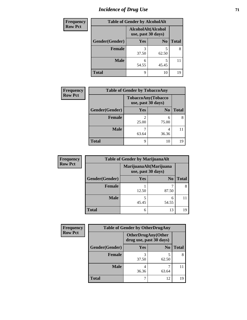# *Incidence of Drug Use* <sup>71</sup>

| <b>Frequency</b> | <b>Table of Gender by AlcoholAlt</b> |            |                                          |              |
|------------------|--------------------------------------|------------|------------------------------------------|--------------|
| <b>Row Pct</b>   |                                      |            | AlcoholAlt(Alcohol<br>use, past 30 days) |              |
|                  | Gender(Gender)                       | Yes        | N <sub>0</sub>                           | <b>Total</b> |
|                  | Female                               | 3<br>37.50 | 5<br>62.50                               | 8            |
|                  | <b>Male</b>                          | 6<br>54.55 | 5<br>45.45                               | 11           |
|                  | <b>Total</b>                         | Q          | 10                                       | 19           |

| Frequency      | <b>Table of Gender by TobaccoAny</b> |                                          |                |              |
|----------------|--------------------------------------|------------------------------------------|----------------|--------------|
| <b>Row Pct</b> |                                      | TobaccoAny(Tobacco<br>use, past 30 days) |                |              |
|                | Gender(Gender)                       | Yes                                      | N <sub>0</sub> | <b>Total</b> |
|                | Female                               | 25.00                                    | 6<br>75.00     | 8            |
|                | <b>Male</b>                          | 63.64                                    | 36.36          |              |
|                | <b>Total</b>                         | q                                        | 10             | 19           |

| <b>Frequency</b> | <b>Table of Gender by MarijuanaAlt</b> |                                              |                |              |
|------------------|----------------------------------------|----------------------------------------------|----------------|--------------|
| <b>Row Pct</b>   |                                        | MarijuanaAlt(Marijuana<br>use, past 30 days) |                |              |
|                  | Gender(Gender)                         | <b>Yes</b>                                   | N <sub>0</sub> | <b>Total</b> |
|                  | <b>Female</b>                          | 12.50                                        | 87.50          |              |
|                  | <b>Male</b>                            | 45.45                                        | 6<br>54.55     | 11           |
|                  | <b>Total</b>                           | 6                                            | 13             | 19           |

| <b>Frequency</b> | <b>Table of Gender by OtherDrugAny</b> |                                                      |                |              |  |
|------------------|----------------------------------------|------------------------------------------------------|----------------|--------------|--|
| <b>Row Pct</b>   |                                        | <b>OtherDrugAny(Other</b><br>drug use, past 30 days) |                |              |  |
|                  | Gender(Gender)                         | <b>Yes</b>                                           | N <sub>0</sub> | <b>Total</b> |  |
|                  | <b>Female</b>                          | 37.50                                                | 5<br>62.50     | 8            |  |
|                  | <b>Male</b>                            | 4<br>36.36                                           | 63.64          |              |  |
|                  | <b>Total</b>                           |                                                      | 12             | 19           |  |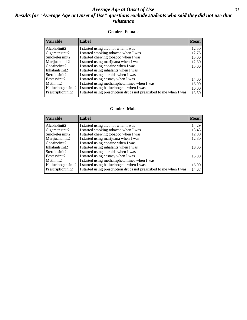### *Average Age at Onset of Use* **72** *Results for "Average Age at Onset of Use" questions exclude students who said they did not use that substance*

#### **Gender=Female**

| <b>Variable</b>    | Label                                                              | <b>Mean</b> |
|--------------------|--------------------------------------------------------------------|-------------|
| Alcoholinit2       | I started using alcohol when I was                                 | 12.50       |
| Cigarettesinit2    | I started smoking tobacco when I was                               | 12.75       |
| Smokelessinit2     | I started chewing tobacco when I was                               | 15.00       |
| Marijuanainit2     | I started using marijuana when I was                               | 12.50       |
| Cocaineinit2       | I started using cocaine when I was                                 | 15.00       |
| Inhalantsinit2     | I started using inhalants when I was                               |             |
| Steroidsinit2      | I started using steroids when I was                                |             |
| Ecstasyinit2       | I started using ecstasy when I was                                 | 14.00       |
| Methinit2          | I started using methamphetamines when I was                        | 16.00       |
| Hallucinogensinit2 | I started using hallucinogens when I was                           | 16.00       |
| Prescription in t2 | I started using prescription drugs not prescribed to me when I was | 13.50       |

### **Gender=Male**

| <b>Variable</b>    | Label                                                              | <b>Mean</b> |
|--------------------|--------------------------------------------------------------------|-------------|
| Alcoholinit2       | I started using alcohol when I was                                 | 14.29       |
| Cigarettesinit2    | I started smoking tobacco when I was                               | 13.43       |
| Smokelessinit2     | I started chewing tobacco when I was                               | 12.00       |
| Marijuanainit2     | I started using marijuana when I was                               | 12.80       |
| Cocaineinit2       | I started using cocaine when I was                                 |             |
| Inhalantsinit2     | I started using inhalants when I was                               | 16.00       |
| Steroidsinit2      | I started using steroids when I was                                |             |
| Ecstasyinit2       | I started using ecstasy when I was                                 | 16.00       |
| Methinit2          | I started using methamphetamines when I was                        |             |
| Hallucinogensinit2 | I started using hallucinogens when I was                           | 16.00       |
| Prescriptioninit2  | I started using prescription drugs not prescribed to me when I was | 14.67       |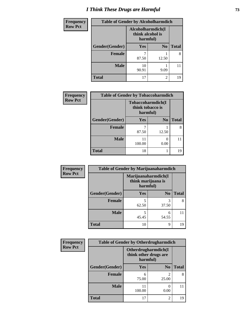# *I Think These Drugs are Harmful* **73**

| <b>Frequency</b> | <b>Table of Gender by Alcoholharmdich</b> |                                                   |                |              |
|------------------|-------------------------------------------|---------------------------------------------------|----------------|--------------|
| <b>Row Pct</b>   |                                           | Alcoholharmdich(I<br>think alcohol is<br>harmful) |                |              |
|                  | Gender(Gender)                            | <b>Yes</b>                                        | N <sub>0</sub> | <b>Total</b> |
|                  | <b>Female</b>                             | 87.50                                             | 12.50          | 8            |
|                  | <b>Male</b>                               | 10<br>90.91                                       | 9.09           | 11           |
|                  | <b>Total</b>                              | 17                                                | 2              | 19           |

| Frequency      | <b>Table of Gender by Tobaccoharmdich</b> |                                                   |                           |              |  |
|----------------|-------------------------------------------|---------------------------------------------------|---------------------------|--------------|--|
| <b>Row Pct</b> |                                           | Tobaccoharmdich(I<br>think tobacco is<br>harmful) |                           |              |  |
|                | Gender(Gender)                            | Yes                                               | N <sub>0</sub>            | <b>Total</b> |  |
|                | <b>Female</b>                             | 87.50                                             | 12.50                     | 8            |  |
|                | <b>Male</b>                               | 11<br>100.00                                      | $\mathbf{\Omega}$<br>0.00 |              |  |
|                | Total                                     | 18                                                |                           | 19           |  |

| Frequency      | <b>Table of Gender by Marijuanaharmdich</b> |                                                       |                |              |
|----------------|---------------------------------------------|-------------------------------------------------------|----------------|--------------|
| <b>Row Pct</b> |                                             | Marijuanaharmdich(I<br>think marijuana is<br>harmful) |                |              |
|                | Gender(Gender)                              | <b>Yes</b>                                            | N <sub>0</sub> | <b>Total</b> |
|                | <b>Female</b>                               | 62.50                                                 | 3<br>37.50     | 8            |
|                | <b>Male</b>                                 | 45.45                                                 | 6<br>54.55     |              |
|                | <b>Total</b>                                | 10                                                    | $\mathbf Q$    | 19           |

| Frequency      | <b>Table of Gender by Otherdrugharmdich</b> |                                                          |                         |              |
|----------------|---------------------------------------------|----------------------------------------------------------|-------------------------|--------------|
| <b>Row Pct</b> |                                             | Otherdrugharmdich(I<br>think other drugs are<br>harmful) |                         |              |
|                | Gender(Gender)                              | <b>Yes</b>                                               | N <sub>0</sub>          | <b>Total</b> |
|                | <b>Female</b>                               | 6<br>75.00                                               | $\overline{c}$<br>25.00 | 8            |
|                | <b>Male</b>                                 | 100.00                                                   | 0.00                    | 11           |
|                | <b>Total</b>                                | 17                                                       | $\overline{c}$          | 19           |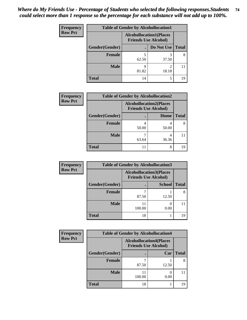| <b>Frequency</b> | <b>Table of Gender by Alcohollocation1</b> |                                                               |            |              |
|------------------|--------------------------------------------|---------------------------------------------------------------|------------|--------------|
| <b>Row Pct</b>   |                                            | <b>Alcohollocation1(Places</b><br><b>Friends Use Alcohol)</b> |            |              |
|                  | Gender(Gender)                             |                                                               | Do Not Use | <b>Total</b> |
|                  | <b>Female</b>                              | 62.50                                                         | 37.50      | 8            |
|                  | <b>Male</b>                                | q<br>81.82                                                    | 18.18      |              |
|                  | <b>Total</b>                               | 14                                                            | 5          | 19           |

| <b>Frequency</b> | <b>Table of Gender by Alcohollocation2</b> |       |                                                               |              |
|------------------|--------------------------------------------|-------|---------------------------------------------------------------|--------------|
| <b>Row Pct</b>   |                                            |       | <b>Alcohollocation2(Places</b><br><b>Friends Use Alcohol)</b> |              |
|                  | Gender(Gender)                             |       | Home                                                          | <b>Total</b> |
|                  | Female                                     | 50.00 | 50.00                                                         |              |
|                  | <b>Male</b>                                | 63.64 | 36.36                                                         |              |
|                  | <b>Total</b>                               |       | 8                                                             | 19           |

| Frequency      | <b>Table of Gender by Alcohollocation3</b> |                                                               |               |              |
|----------------|--------------------------------------------|---------------------------------------------------------------|---------------|--------------|
| <b>Row Pct</b> |                                            | <b>Alcohollocation3(Places</b><br><b>Friends Use Alcohol)</b> |               |              |
|                | Gender(Gender)                             |                                                               | <b>School</b> | <b>Total</b> |
|                | <b>Female</b>                              | 87.50                                                         | 12.50         |              |
|                | <b>Male</b>                                | 100.00                                                        | 0.00          |              |
|                | <b>Total</b>                               | 18                                                            |               | 19           |

| <b>Frequency</b> | <b>Table of Gender by Alcohollocation4</b> |        |                                                               |              |
|------------------|--------------------------------------------|--------|---------------------------------------------------------------|--------------|
| <b>Row Pct</b>   |                                            |        | <b>Alcohollocation4(Places</b><br><b>Friends Use Alcohol)</b> |              |
|                  | Gender(Gender)                             |        | Car                                                           | <b>Total</b> |
|                  | <b>Female</b>                              | 87.50  | 12.50                                                         |              |
|                  | <b>Male</b>                                | 100.00 | 0.00                                                          |              |
|                  | <b>Total</b>                               | 18     |                                                               | 19           |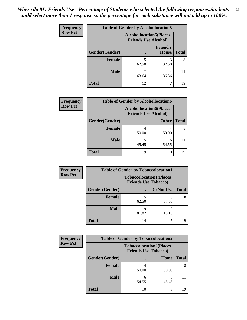| <b>Frequency</b> | <b>Table of Gender by Alcohollocation5</b> |                                                                |                                 |              |
|------------------|--------------------------------------------|----------------------------------------------------------------|---------------------------------|--------------|
| <b>Row Pct</b>   |                                            | <b>Alcohollocation5</b> (Places<br><b>Friends Use Alcohol)</b> |                                 |              |
|                  | Gender(Gender)                             |                                                                | <b>Friend's</b><br><b>House</b> | <b>Total</b> |
|                  | <b>Female</b>                              | 5<br>62.50                                                     | 3<br>37.50                      | 8            |
|                  | <b>Male</b>                                | 63.64                                                          | 4<br>36.36                      |              |
|                  | <b>Total</b>                               | 12                                                             |                                 | 19           |

| <b>Frequency</b> | <b>Table of Gender by Alcohollocation6</b> |                                                               |              |              |  |
|------------------|--------------------------------------------|---------------------------------------------------------------|--------------|--------------|--|
| <b>Row Pct</b>   |                                            | <b>Alcohollocation6(Places</b><br><b>Friends Use Alcohol)</b> |              |              |  |
|                  | Gender(Gender)                             |                                                               | <b>Other</b> | <b>Total</b> |  |
|                  | <b>Female</b>                              | 50.00                                                         | 50.00        |              |  |
|                  | <b>Male</b>                                | 5<br>45.45                                                    | 6<br>54.55   |              |  |
|                  | <b>Total</b>                               | q                                                             | 10           | 19           |  |

| Frequency      | <b>Table of Gender by Tobaccolocation1</b> |                                                               |            |              |  |
|----------------|--------------------------------------------|---------------------------------------------------------------|------------|--------------|--|
| <b>Row Pct</b> |                                            | <b>Tobaccolocation1(Places</b><br><b>Friends Use Tobacco)</b> |            |              |  |
|                | Gender(Gender)                             |                                                               | Do Not Use | <b>Total</b> |  |
|                | <b>Female</b>                              | 62.50                                                         | 37.50      |              |  |
|                | <b>Male</b>                                | 81.82                                                         | 18.18      |              |  |
|                | <b>Total</b>                               | 14                                                            | 5          | 19           |  |

| <b>Frequency</b> | <b>Table of Gender by Tobaccolocation2</b> |                             |                                |              |
|------------------|--------------------------------------------|-----------------------------|--------------------------------|--------------|
| <b>Row Pct</b>   |                                            | <b>Friends Use Tobacco)</b> | <b>Tobaccolocation2(Places</b> |              |
|                  | Gender(Gender)                             |                             | Home                           | <b>Total</b> |
|                  | Female                                     | 50.00                       | 50.00                          |              |
|                  | <b>Male</b>                                | 54.55                       | 45.45                          |              |
|                  | <b>Total</b>                               | 10                          | Q                              | 19           |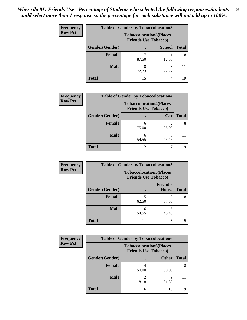| <b>Frequency</b> | <b>Table of Gender by Tobaccolocation3</b> |                             |                                |              |
|------------------|--------------------------------------------|-----------------------------|--------------------------------|--------------|
| <b>Row Pct</b>   |                                            | <b>Friends Use Tobacco)</b> | <b>Tobaccolocation3(Places</b> |              |
|                  | Gender(Gender)                             |                             | <b>School</b>                  | <b>Total</b> |
|                  | Female                                     | 87.50                       | 12.50                          | 8            |
|                  | <b>Male</b>                                | 8<br>72.73                  | 3<br>27.27                     |              |
|                  | <b>Total</b>                               | 15                          | 4                              | 19           |

| <b>Frequency</b> | <b>Table of Gender by Tobaccolocation4</b> |                                                               |       |              |
|------------------|--------------------------------------------|---------------------------------------------------------------|-------|--------------|
| <b>Row Pct</b>   |                                            | <b>Tobaccolocation4(Places</b><br><b>Friends Use Tobacco)</b> |       |              |
|                  | Gender(Gender)                             |                                                               | Car   | <b>Total</b> |
|                  | Female                                     | h<br>75.00                                                    | 25.00 | 8            |
|                  | <b>Male</b>                                | 6<br>54.55                                                    | 45.45 |              |
|                  | <b>Total</b>                               | 12                                                            |       | 19           |

| <b>Frequency</b> | <b>Table of Gender by Tobaccolocation5</b> |                                                               |                                 |              |
|------------------|--------------------------------------------|---------------------------------------------------------------|---------------------------------|--------------|
| <b>Row Pct</b>   |                                            | <b>Tobaccolocation5(Places</b><br><b>Friends Use Tobacco)</b> |                                 |              |
|                  | Gender(Gender)                             |                                                               | <b>Friend's</b><br><b>House</b> | <b>Total</b> |
|                  | Female                                     | 5<br>62.50                                                    | 3<br>37.50                      | 8            |
|                  | <b>Male</b>                                | 6<br>54.55                                                    | 45.45                           | 11           |
|                  | <b>Total</b>                               | 11                                                            | 8                               | 19           |

| <b>Frequency</b> | <b>Table of Gender by Tobaccolocation6</b> |                                                               |              |              |
|------------------|--------------------------------------------|---------------------------------------------------------------|--------------|--------------|
| <b>Row Pct</b>   |                                            | <b>Tobaccolocation6(Places</b><br><b>Friends Use Tobacco)</b> |              |              |
|                  | Gender(Gender)                             |                                                               | <b>Other</b> | <b>Total</b> |
|                  | <b>Female</b>                              | 50.00                                                         | 50.00        |              |
|                  | <b>Male</b>                                | 18.18                                                         | Q<br>81.82   |              |
|                  | <b>Total</b>                               | 6                                                             | 13           | 19           |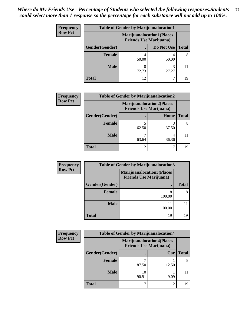| <b>Frequency</b> | <b>Table of Gender by Marijuanalocation1</b> |                                |                                  |              |
|------------------|----------------------------------------------|--------------------------------|----------------------------------|--------------|
| <b>Row Pct</b>   |                                              | <b>Friends Use Marijuana</b> ) | <b>Marijuanalocation1(Places</b> |              |
|                  | Gender(Gender)                               |                                | Do Not Use                       | <b>Total</b> |
|                  | <b>Female</b>                                | 50.00                          | 50.00                            |              |
|                  | <b>Male</b>                                  | 8<br>72.73                     | 3<br>27.27                       |              |
|                  | <b>Total</b>                                 | 12                             |                                  | 19           |

| <b>Frequency</b> | <b>Table of Gender by Marijuanalocation2</b> |                                                                    |            |              |
|------------------|----------------------------------------------|--------------------------------------------------------------------|------------|--------------|
| <b>Row Pct</b>   |                                              | <b>Marijuanalocation2(Places</b><br><b>Friends Use Marijuana</b> ) |            |              |
|                  | Gender(Gender)                               |                                                                    | Home       | <b>Total</b> |
|                  | <b>Female</b>                                | 62.50                                                              | 37.50      | 8            |
|                  | <b>Male</b>                                  | 63.64                                                              | 4<br>36.36 |              |
|                  | <b>Total</b>                                 | 12                                                                 | 7          | 19           |

| Frequency      | <b>Table of Gender by Marijuanalocation3</b> |                                                                    |              |  |
|----------------|----------------------------------------------|--------------------------------------------------------------------|--------------|--|
| <b>Row Pct</b> |                                              | <b>Marijuanalocation3(Places</b><br><b>Friends Use Marijuana</b> ) |              |  |
|                | Gender(Gender)                               |                                                                    | <b>Total</b> |  |
|                | Female                                       | 8<br>100.00                                                        |              |  |
|                | <b>Male</b>                                  | 11<br>100.00                                                       |              |  |
|                | <b>Total</b>                                 | 19                                                                 |              |  |

| <b>Frequency</b> | <b>Table of Gender by Marijuanalocation4</b> |                                                                    |               |              |
|------------------|----------------------------------------------|--------------------------------------------------------------------|---------------|--------------|
| <b>Row Pct</b>   |                                              | <b>Marijuanalocation4(Places</b><br><b>Friends Use Marijuana</b> ) |               |              |
|                  | Gender(Gender)                               |                                                                    | Car           | <b>Total</b> |
|                  | Female                                       | 87.50                                                              | 12.50         |              |
|                  | <b>Male</b>                                  | 10<br>90.91                                                        | 9.09          |              |
|                  | <b>Total</b>                                 | 17                                                                 | $\mathcal{D}$ |              |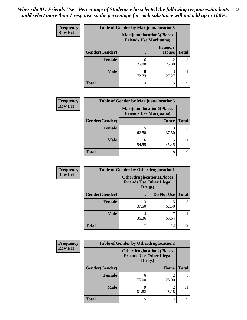| <b>Frequency</b> | <b>Table of Gender by Marijuanalocation5</b> |                                                                     |                          |              |
|------------------|----------------------------------------------|---------------------------------------------------------------------|--------------------------|--------------|
| <b>Row Pct</b>   |                                              | <b>Marijuanalocation5</b> (Places<br><b>Friends Use Marijuana</b> ) |                          |              |
|                  | Gender(Gender)                               |                                                                     | <b>Friend's</b><br>House | <b>Total</b> |
|                  | Female                                       | 6<br>75.00                                                          | 25.00                    | 8            |
|                  | <b>Male</b>                                  | 8<br>72.73                                                          | 3<br>27.27               |              |
|                  | <b>Total</b>                                 | 14                                                                  | 5                        | 19           |

| <b>Frequency</b> | <b>Table of Gender by Marijuanalocation6</b> |                                                                    |              |              |
|------------------|----------------------------------------------|--------------------------------------------------------------------|--------------|--------------|
| <b>Row Pct</b>   |                                              | <b>Marijuanalocation6(Places</b><br><b>Friends Use Marijuana</b> ) |              |              |
|                  | Gender(Gender)                               |                                                                    | <b>Other</b> | <b>Total</b> |
|                  | <b>Female</b>                                | 62.50                                                              | 37.50        | 8            |
|                  | <b>Male</b>                                  | 54.55                                                              | 45.45        |              |
|                  | Total                                        | 11                                                                 | 8            |              |

| <b>Frequency</b> |                | <b>Table of Gender by Otherdruglocation1</b>                                   |            |              |
|------------------|----------------|--------------------------------------------------------------------------------|------------|--------------|
| <b>Row Pct</b>   |                | <b>Otherdruglocation1(Places</b><br><b>Friends Use Other Illegal</b><br>Drugs) |            |              |
|                  | Gender(Gender) |                                                                                | Do Not Use | <b>Total</b> |
|                  | <b>Female</b>  | 3<br>37.50                                                                     | 62.50      | 8            |
|                  | <b>Male</b>    | 4<br>36.36                                                                     | 63.64      | 11           |
|                  | <b>Total</b>   |                                                                                | 12         | 19           |

| <b>Frequency</b> | <b>Table of Gender by Otherdruglocation2</b> |                                                                                |             |              |
|------------------|----------------------------------------------|--------------------------------------------------------------------------------|-------------|--------------|
| <b>Row Pct</b>   |                                              | <b>Otherdruglocation2(Places</b><br><b>Friends Use Other Illegal</b><br>Drugs) |             |              |
|                  | Gender(Gender)                               |                                                                                | <b>Home</b> | <b>Total</b> |
|                  | Female                                       | 6<br>75.00                                                                     | 25.00       | 8            |
|                  | <b>Male</b>                                  | 9<br>81.82                                                                     | っ<br>18.18  | 11           |
|                  | <b>Total</b>                                 | 15                                                                             | 4           | 19           |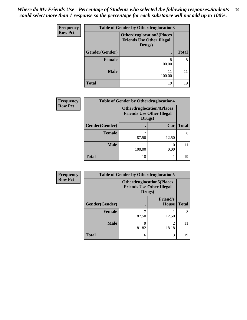| <b>Frequency</b> | <b>Table of Gender by Otherdruglocation3</b> |                                                                                |              |  |  |
|------------------|----------------------------------------------|--------------------------------------------------------------------------------|--------------|--|--|
| <b>Row Pct</b>   |                                              | <b>Otherdruglocation3(Places</b><br><b>Friends Use Other Illegal</b><br>Drugs) |              |  |  |
|                  | Gender(Gender)                               |                                                                                | <b>Total</b> |  |  |
|                  | Female                                       | 8<br>100.00                                                                    | 8            |  |  |
|                  | <b>Male</b>                                  | 100.00                                                                         |              |  |  |
|                  | <b>Total</b>                                 | 19                                                                             | 19           |  |  |

| Frequency<br><b>Row Pct</b> | <b>Table of Gender by Otherdruglocation4</b> |                                                                                 |       |              |
|-----------------------------|----------------------------------------------|---------------------------------------------------------------------------------|-------|--------------|
|                             |                                              | <b>Otherdruglocation4(Places)</b><br><b>Friends Use Other Illegal</b><br>Drugs) |       |              |
|                             | Gender(Gender)                               |                                                                                 | Car   | <b>Total</b> |
|                             | <b>Female</b>                                | 87.50                                                                           | 12.50 |              |
|                             | <b>Male</b>                                  | 11<br>100.00                                                                    | 0.00  |              |
|                             | <b>Total</b>                                 | 18                                                                              |       | 19           |

| Frequency      | <b>Table of Gender by Otherdruglocation5</b> |                                                                                |                                 |              |
|----------------|----------------------------------------------|--------------------------------------------------------------------------------|---------------------------------|--------------|
| <b>Row Pct</b> |                                              | <b>Otherdruglocation5(Places</b><br><b>Friends Use Other Illegal</b><br>Drugs) |                                 |              |
|                | Gender(Gender)                               |                                                                                | <b>Friend's</b><br><b>House</b> | <b>Total</b> |
|                | <b>Female</b>                                | 87.50                                                                          | 12.50                           | 8            |
|                | <b>Male</b>                                  | Q<br>81.82                                                                     | 2<br>18.18                      | 11           |
|                | <b>Total</b>                                 | 16                                                                             | 3                               | 19           |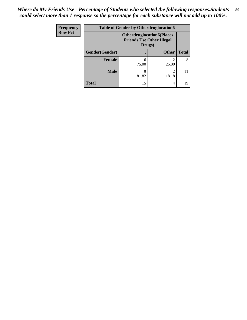| <b>Frequency</b> | <b>Table of Gender by Otherdruglocation6</b> |                                            |                                  |              |
|------------------|----------------------------------------------|--------------------------------------------|----------------------------------|--------------|
| <b>Row Pct</b>   |                                              | <b>Friends Use Other Illegal</b><br>Drugs) | <b>Otherdruglocation6(Places</b> |              |
|                  | Gender(Gender)                               |                                            | <b>Other</b>                     | <b>Total</b> |
|                  | Female                                       | 6<br>75.00                                 | 25.00                            | 8            |
|                  | <b>Male</b>                                  | q<br>81.82                                 | っ<br>18.18                       | 11           |
|                  | <b>Total</b>                                 | 15                                         | 4                                | 19           |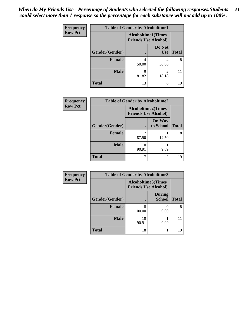| <b>Frequency</b> |                | <b>Table of Gender by Alcoholtime1</b>                   |                      |              |
|------------------|----------------|----------------------------------------------------------|----------------------|--------------|
| <b>Row Pct</b>   |                | <b>Alcoholtime1(Times</b><br><b>Friends Use Alcohol)</b> |                      |              |
|                  | Gender(Gender) |                                                          | Do Not<br><b>Use</b> | <b>Total</b> |
|                  | <b>Female</b>  | 4<br>50.00                                               | 4<br>50.00           | 8            |
|                  | <b>Male</b>    | 9<br>81.82                                               | 2<br>18.18           | 11           |
|                  | <b>Total</b>   | 13                                                       | 6                    | 19           |

| <b>Frequency</b> | <b>Table of Gender by Alcoholtime2</b> |                                                          |                            |              |
|------------------|----------------------------------------|----------------------------------------------------------|----------------------------|--------------|
| <b>Row Pct</b>   |                                        | <b>Alcoholtime2(Times</b><br><b>Friends Use Alcohol)</b> |                            |              |
|                  | Gender(Gender)                         |                                                          | <b>On Way</b><br>to School | <b>Total</b> |
|                  | <b>Female</b>                          | 87.50                                                    | 12.50                      | 8            |
|                  | <b>Male</b>                            | 10<br>90.91                                              | 9.09                       |              |
|                  | <b>Total</b>                           | 17                                                       | 2                          | 19           |

| Frequency      | <b>Table of Gender by Alcoholtime3</b> |                                                          |                                |              |
|----------------|----------------------------------------|----------------------------------------------------------|--------------------------------|--------------|
| <b>Row Pct</b> |                                        | <b>Alcoholtime3(Times</b><br><b>Friends Use Alcohol)</b> |                                |              |
|                | Gender(Gender)                         |                                                          | <b>During</b><br><b>School</b> | <b>Total</b> |
|                | Female                                 | 8<br>100.00                                              | 0.00                           | 8            |
|                | <b>Male</b>                            | 10<br>90.91                                              | 9.09                           | 11           |
|                | <b>Total</b>                           | 18                                                       |                                | 19           |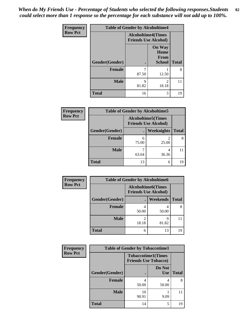*When do My Friends Use - Percentage of Students who selected the following responses.Students could select more than 1 response so the percentage for each substance will not add up to 100%.* **82**

| <b>Frequency</b> | <b>Table of Gender by Alcoholtime4</b> |                                                          |                                                       |              |
|------------------|----------------------------------------|----------------------------------------------------------|-------------------------------------------------------|--------------|
| <b>Row Pct</b>   |                                        | <b>Alcoholtime4(Times</b><br><b>Friends Use Alcohol)</b> |                                                       |              |
|                  | Gender(Gender)                         |                                                          | <b>On Way</b><br>Home<br><b>From</b><br><b>School</b> | <b>Total</b> |
|                  | <b>Female</b>                          | 87.50                                                    | 12.50                                                 | 8            |
|                  | <b>Male</b>                            | q<br>81.82                                               | $\mathfrak{D}$<br>18.18                               | 11           |
|                  | <b>Total</b>                           | 16                                                       | 3                                                     | 19           |

| <b>Frequency</b> | <b>Table of Gender by Alcoholtime5</b> |                                                           |                   |              |
|------------------|----------------------------------------|-----------------------------------------------------------|-------------------|--------------|
| <b>Row Pct</b>   |                                        | <b>Alcoholtime5</b> (Times<br><b>Friends Use Alcohol)</b> |                   |              |
|                  | Gender(Gender)                         | $\bullet$                                                 | <b>Weeknights</b> | <b>Total</b> |
|                  | <b>Female</b>                          | 6<br>75.00                                                | 2<br>25.00        | 8            |
|                  | <b>Male</b>                            | 63.64                                                     | 4<br>36.36        | 11           |
|                  | <b>Total</b>                           | 13                                                        | 6                 | 19           |

| <b>Frequency</b> | <b>Table of Gender by Alcoholtime6</b> |                                                          |            |              |
|------------------|----------------------------------------|----------------------------------------------------------|------------|--------------|
| <b>Row Pct</b>   |                                        | <b>Alcoholtime6(Times</b><br><b>Friends Use Alcohol)</b> |            |              |
|                  | Gender(Gender)                         |                                                          | Weekends   | <b>Total</b> |
|                  | Female                                 | 50.00                                                    | 4<br>50.00 | 8            |
|                  | <b>Male</b>                            | 2<br>18.18                                               | Q<br>81.82 | 11           |
|                  | <b>Total</b>                           | 6                                                        | 13         | 19           |

| <b>Frequency</b> | <b>Table of Gender by Tobaccotime1</b> |             |                                                          |              |
|------------------|----------------------------------------|-------------|----------------------------------------------------------|--------------|
| <b>Row Pct</b>   |                                        |             | <b>Tobaccotime1(Times</b><br><b>Friends Use Tobacco)</b> |              |
|                  | Gender(Gender)                         |             | Do Not<br><b>Use</b>                                     | <b>Total</b> |
|                  | <b>Female</b>                          | 4<br>50.00  | 4<br>50.00                                               | 8            |
|                  | <b>Male</b>                            | 10<br>90.91 | 9.09                                                     | 11           |
|                  | <b>Total</b>                           | 14          | 5                                                        | 19           |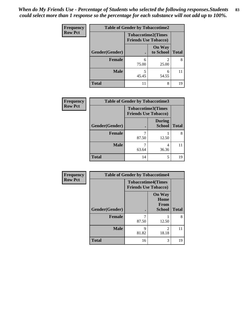| Frequency      | <b>Table of Gender by Tobaccotime2</b> |                                                          |                            |              |
|----------------|----------------------------------------|----------------------------------------------------------|----------------------------|--------------|
| <b>Row Pct</b> |                                        | <b>Tobaccotime2(Times</b><br><b>Friends Use Tobacco)</b> |                            |              |
|                | Gender(Gender)                         |                                                          | <b>On Way</b><br>to School | <b>Total</b> |
|                | Female                                 | 6<br>75.00                                               | $\mathfrak{D}$<br>25.00    | 8            |
|                | <b>Male</b>                            | 5<br>45.45                                               | 6<br>54.55                 | 11           |
|                | <b>Total</b>                           | 11                                                       | 8                          | 19           |

| Frequency      | <b>Table of Gender by Tobaccotime3</b> |                                                          |                                |              |
|----------------|----------------------------------------|----------------------------------------------------------|--------------------------------|--------------|
| <b>Row Pct</b> |                                        | <b>Tobaccotime3(Times</b><br><b>Friends Use Tobacco)</b> |                                |              |
|                | Gender(Gender)                         |                                                          | <b>During</b><br><b>School</b> | <b>Total</b> |
|                | <b>Female</b>                          | 87.50                                                    | 12.50                          | 8            |
|                | <b>Male</b>                            | 63.64                                                    | 36.36                          | 11           |
|                | <b>Total</b>                           | 14                                                       | 5                              | 19           |

| Frequency      | <b>Table of Gender by Tobaccotime4</b> |                                                          |                                                |              |
|----------------|----------------------------------------|----------------------------------------------------------|------------------------------------------------|--------------|
| <b>Row Pct</b> |                                        | <b>Tobaccotime4(Times</b><br><b>Friends Use Tobacco)</b> |                                                |              |
|                | Gender(Gender)                         |                                                          | <b>On Way</b><br>Home<br>From<br><b>School</b> | <b>Total</b> |
|                | <b>Female</b>                          | 87.50                                                    | 12.50                                          | 8            |
|                | <b>Male</b>                            | 9<br>81.82                                               | $\mathfrak{D}$<br>18.18                        | 11           |
|                | <b>Total</b>                           | 16                                                       | 3                                              | 19           |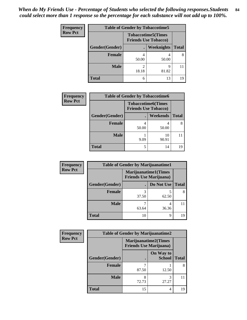| Frequency      | <b>Table of Gender by Tobaccotime5</b> |       |                                                           |              |  |
|----------------|----------------------------------------|-------|-----------------------------------------------------------|--------------|--|
| <b>Row Pct</b> |                                        |       | <b>Tobaccotime5</b> (Times<br><b>Friends Use Tobacco)</b> |              |  |
|                | Gender(Gender)                         |       | <b>Weeknights</b>                                         | <b>Total</b> |  |
|                | Female                                 | 50.00 | 4<br>50.00                                                | 8            |  |
|                | <b>Male</b>                            | 18.18 | q<br>81.82                                                | 11           |  |
|                | <b>Total</b>                           | 6     | 13                                                        | 19           |  |

| <b>Frequency</b> | <b>Table of Gender by Tobaccotime6</b> |                                                          |                 |              |  |
|------------------|----------------------------------------|----------------------------------------------------------|-----------------|--------------|--|
| <b>Row Pct</b>   |                                        | <b>Tobaccotime6(Times</b><br><b>Friends Use Tobacco)</b> |                 |              |  |
|                  | Gender(Gender)                         |                                                          | <b>Weekends</b> | <b>Total</b> |  |
|                  | Female                                 | 4<br>50.00                                               | 50.00           |              |  |
|                  | <b>Male</b>                            | 9.09                                                     | 10<br>90.91     |              |  |
|                  | <b>Total</b>                           | 5                                                        | 14              | 19           |  |

| Frequency      |                | <b>Table of Gender by Marijuanatime1</b>                      |            |              |
|----------------|----------------|---------------------------------------------------------------|------------|--------------|
| <b>Row Pct</b> |                | <b>Marijuanatime1(Times</b><br><b>Friends Use Marijuana</b> ) |            |              |
|                | Gender(Gender) |                                                               | Do Not Use | <b>Total</b> |
|                | Female         | 37.50                                                         | 62.50      | 8            |
|                | <b>Male</b>    | 63.64                                                         | 4<br>36.36 |              |
|                | <b>Total</b>   | 10                                                            | 9          | 19           |

| Frequency      | <b>Table of Gender by Marijuanatime2</b> |                                                               |                            |              |
|----------------|------------------------------------------|---------------------------------------------------------------|----------------------------|--------------|
| <b>Row Pct</b> |                                          | <b>Marijuanatime2(Times</b><br><b>Friends Use Marijuana</b> ) |                            |              |
|                | Gender(Gender)                           |                                                               | On Way to<br><b>School</b> | <b>Total</b> |
|                | <b>Female</b>                            | 87.50                                                         | 12.50                      | 8            |
|                | <b>Male</b>                              | 72.73                                                         | 3<br>27.27                 | 11           |
|                | <b>Total</b>                             | 15                                                            | 4                          | 19           |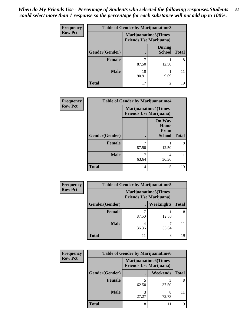| <b>Frequency</b> | <b>Table of Gender by Marijuanatime3</b> |                                |                                |              |
|------------------|------------------------------------------|--------------------------------|--------------------------------|--------------|
| <b>Row Pct</b>   |                                          | <b>Friends Use Marijuana</b> ) | Marijuanatime3(Times           |              |
|                  | Gender(Gender)                           |                                | <b>During</b><br><b>School</b> | <b>Total</b> |
|                  | Female                                   | 87.50                          | 12.50                          | 8            |
|                  | <b>Male</b>                              | 10<br>90.91                    | 9.09                           |              |
|                  | <b>Total</b>                             | 17                             | 2                              | 19           |

| Frequency      | <b>Table of Gender by Marijuanatime4</b> |                             |                                                |              |
|----------------|------------------------------------------|-----------------------------|------------------------------------------------|--------------|
| <b>Row Pct</b> |                                          | <b>Marijuanatime4(Times</b> | <b>Friends Use Marijuana</b> )                 |              |
|                | Gender(Gender)                           |                             | <b>On Way</b><br>Home<br>From<br><b>School</b> | <b>Total</b> |
|                | <b>Female</b>                            | 7<br>87.50                  | 12.50                                          | 8            |
|                | <b>Male</b>                              | 7<br>63.64                  | 4<br>36.36                                     | 11           |
|                | <b>Total</b>                             | 14                          | 5                                              | 19           |

| Frequency      | <b>Table of Gender by Marijuanatime5</b> |       |                                                                |              |  |
|----------------|------------------------------------------|-------|----------------------------------------------------------------|--------------|--|
| <b>Row Pct</b> |                                          |       | <b>Marijuanatime5</b> (Times<br><b>Friends Use Marijuana</b> ) |              |  |
|                | Gender(Gender)                           |       | Weeknights                                                     | <b>Total</b> |  |
|                | <b>Female</b>                            | 87.50 | 12.50                                                          | 8            |  |
|                | <b>Male</b>                              | 36.36 | 63.64                                                          |              |  |
|                | <b>Total</b>                             | 11    | 8                                                              | 19           |  |

| Frequency      | <b>Table of Gender by Marijuanatime6</b> |                                                               |                 |              |  |
|----------------|------------------------------------------|---------------------------------------------------------------|-----------------|--------------|--|
| <b>Row Pct</b> |                                          | <b>Marijuanatime6(Times</b><br><b>Friends Use Marijuana</b> ) |                 |              |  |
|                | Gender(Gender)                           |                                                               | <b>Weekends</b> | <b>Total</b> |  |
|                | Female                                   | 62.50                                                         | 37.50           | 8            |  |
|                | <b>Male</b>                              | 27.27                                                         | 8<br>72.73      |              |  |
|                | <b>Total</b>                             | 8                                                             | 11              | 19           |  |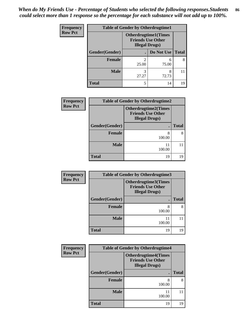| <b>Frequency</b> | <b>Table of Gender by Otherdrugtime1</b> |                                                                                  |            |              |
|------------------|------------------------------------------|----------------------------------------------------------------------------------|------------|--------------|
| <b>Row Pct</b>   |                                          | <b>Otherdrugtime1(Times</b><br><b>Friends Use Other</b><br><b>Illegal Drugs)</b> |            |              |
|                  | Gender(Gender)                           |                                                                                  | Do Not Use | <b>Total</b> |
|                  | <b>Female</b>                            | $\mathfrak{D}$<br>25.00                                                          | 6<br>75.00 | 8            |
|                  | <b>Male</b>                              | 3<br>27.27                                                                       | 8<br>72.73 |              |
|                  | <b>Total</b>                             | 5                                                                                | 14         | 19           |

| Frequency      | <b>Table of Gender by Otherdrugtime2</b> |                                                                                   |              |  |
|----------------|------------------------------------------|-----------------------------------------------------------------------------------|--------------|--|
| <b>Row Pct</b> |                                          | <b>Otherdrugtime2(Times</b><br><b>Friends Use Other</b><br><b>Illegal Drugs</b> ) |              |  |
|                | Gender(Gender)                           |                                                                                   | <b>Total</b> |  |
|                | <b>Female</b>                            | 8<br>100.00                                                                       | 8            |  |
|                | <b>Male</b>                              | 11<br>100.00                                                                      |              |  |
|                | <b>Total</b>                             | 19                                                                                | 19           |  |

| Frequency      | Table of Gender by Otherdrugtime3 |                                                                            |              |  |  |
|----------------|-----------------------------------|----------------------------------------------------------------------------|--------------|--|--|
| <b>Row Pct</b> |                                   | Otherdrugtime3(Times<br><b>Friends Use Other</b><br><b>Illegal Drugs</b> ) |              |  |  |
|                | Gender(Gender)                    | ٠                                                                          | <b>Total</b> |  |  |
|                | <b>Female</b>                     | 8<br>100.00                                                                | 8            |  |  |
|                | <b>Male</b>                       | 11<br>100.00                                                               | 11           |  |  |
|                | <b>Total</b>                      | 19                                                                         | 19           |  |  |

| Frequency      | <b>Table of Gender by Otherdrugtime4</b> |                                                                                  |              |  |  |
|----------------|------------------------------------------|----------------------------------------------------------------------------------|--------------|--|--|
| <b>Row Pct</b> |                                          | <b>Otherdrugtime4(Times</b><br><b>Friends Use Other</b><br><b>Illegal Drugs)</b> |              |  |  |
|                | Gender(Gender)                           |                                                                                  | <b>Total</b> |  |  |
|                | <b>Female</b>                            | 8<br>100.00                                                                      | 8            |  |  |
|                | <b>Male</b>                              | 11<br>100.00                                                                     | 11           |  |  |
|                | <b>Total</b>                             | 19                                                                               | 19           |  |  |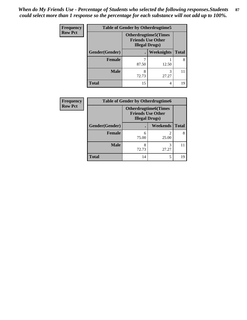| <b>Frequency</b> | <b>Table of Gender by Otherdrugtime5</b> |                                                                                   |            |              |  |
|------------------|------------------------------------------|-----------------------------------------------------------------------------------|------------|--------------|--|
| <b>Row Pct</b>   |                                          | <b>Otherdrugtime5</b> (Times<br><b>Friends Use Other</b><br><b>Illegal Drugs)</b> |            |              |  |
|                  | Gender(Gender)                           |                                                                                   | Weeknights | <b>Total</b> |  |
|                  | <b>Female</b>                            | 87.50                                                                             | 12.50      | 8            |  |
|                  | <b>Male</b>                              | 8<br>72.73                                                                        | 3<br>27.27 |              |  |
|                  | <b>Total</b>                             | 15                                                                                | 4          | 19           |  |

| Frequency      | <b>Table of Gender by Otherdrugtime6</b> |                                                    |                             |              |  |
|----------------|------------------------------------------|----------------------------------------------------|-----------------------------|--------------|--|
| <b>Row Pct</b> |                                          | <b>Friends Use Other</b><br><b>Illegal Drugs</b> ) | <b>Otherdrugtime6(Times</b> |              |  |
|                | Gender(Gender)                           |                                                    | Weekends                    | <b>Total</b> |  |
|                | Female                                   | 6<br>75.00                                         | 25.00                       | 8            |  |
|                | <b>Male</b>                              | 8<br>72.73                                         | 3<br>27.27                  |              |  |
|                | <b>Total</b>                             | 14                                                 | 5                           | 19           |  |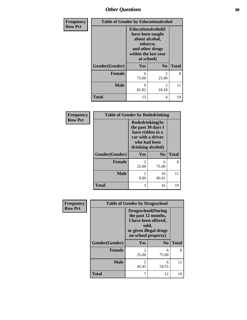## *Other Questions* **88**

| Frequency      | <b>Table of Gender by Educationalcohol</b> |                                                                                                                                       |                |              |
|----------------|--------------------------------------------|---------------------------------------------------------------------------------------------------------------------------------------|----------------|--------------|
| <b>Row Pct</b> |                                            | <b>Educationalcohol</b> (I<br>have been taught<br>about alcohol,<br>tobacco,<br>and other drugs<br>within the last year<br>at school) |                |              |
|                | Gender(Gender)                             | Yes                                                                                                                                   | N <sub>0</sub> | <b>Total</b> |
|                | <b>Female</b>                              | 6<br>75.00                                                                                                                            | 2<br>25.00     | 8            |
|                | <b>Male</b>                                | 9<br>81.82                                                                                                                            | 2<br>18.18     | 11           |
|                | <b>Total</b>                               | 15                                                                                                                                    | 4              | 19           |

| Frequency      | <b>Table of Gender by Rodedrinking</b> |                                                                                                                     |             |              |
|----------------|----------------------------------------|---------------------------------------------------------------------------------------------------------------------|-------------|--------------|
| <b>Row Pct</b> |                                        | Rodedrinking(In<br>the past 30 days I<br>have ridden in a<br>car with a driver<br>who had been<br>drinking alcohol) |             |              |
|                | Gender(Gender)                         | Yes                                                                                                                 | $\bf N_0$   | <b>Total</b> |
|                | <b>Female</b>                          | 25.00                                                                                                               | 6<br>75.00  | 8            |
|                | <b>Male</b>                            | 9.09                                                                                                                | 10<br>90.91 | 11           |
|                | <b>Total</b>                           | 3                                                                                                                   | 16          | 19           |

| Frequency      | <b>Table of Gender by Drugsschool</b> |                                                                                                                                     |                |              |  |
|----------------|---------------------------------------|-------------------------------------------------------------------------------------------------------------------------------------|----------------|--------------|--|
| <b>Row Pct</b> |                                       | <b>Drugsschool</b> (During<br>the past 12 months,<br>I have been offered,<br>sold,<br>or given illegal drugs<br>on school property) |                |              |  |
|                | Gender(Gender)                        | Yes                                                                                                                                 | N <sub>0</sub> | <b>Total</b> |  |
|                | <b>Female</b>                         | $\overline{2}$<br>25.00                                                                                                             | 6<br>75.00     | 8            |  |
|                | <b>Male</b>                           | 5<br>45.45                                                                                                                          | 6<br>54.55     | 11           |  |
|                | <b>Total</b>                          | 7                                                                                                                                   | 12             | 19           |  |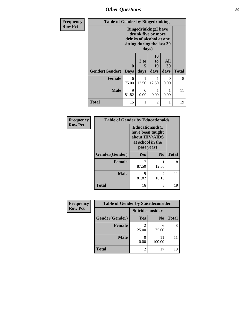*Other Questions* **89**

| <b>Frequency</b> | <b>Table of Gender by Bingedrinking</b> |                                                                                                                       |           |                       |           |              |
|------------------|-----------------------------------------|-----------------------------------------------------------------------------------------------------------------------|-----------|-----------------------|-----------|--------------|
| <b>Row Pct</b>   |                                         | <b>Bingedrinking</b> (I have<br>drunk five or more<br>drinks of alcohol at one<br>sitting during the last 30<br>days) |           |                       |           |              |
|                  |                                         | $\mathbf{0}$                                                                                                          | 3 to<br>5 | <b>10</b><br>to<br>19 | All<br>30 |              |
|                  | Gender(Gender)                          | <b>Days</b>                                                                                                           | days      | days                  | days      | <b>Total</b> |
|                  | <b>Female</b>                           | 6<br>75.00                                                                                                            | 12.50     | 12.50                 | 0<br>0.00 | 8            |
|                  | <b>Male</b>                             | 9<br>81.82                                                                                                            | 0<br>0.00 | 9.09                  | 9.09      | 11           |
|                  | <b>Total</b>                            | 15                                                                                                                    |           | $\overline{2}$        |           | 19           |

| <b>Frequency</b> | <b>Table of Gender by Educationaids</b> |                                                                                                 |                |              |
|------------------|-----------------------------------------|-------------------------------------------------------------------------------------------------|----------------|--------------|
| <b>Row Pct</b>   |                                         | <b>Educationaids</b> (I<br>have been taught<br>about HIV/AIDS<br>at school in the<br>past year) |                |              |
|                  | Gender(Gender)                          | Yes                                                                                             | N <sub>0</sub> | <b>Total</b> |
|                  | <b>Female</b>                           | 7<br>87.50                                                                                      | 12.50          | 8            |
|                  | <b>Male</b>                             | 9<br>81.82                                                                                      | 2<br>18.18     | 11           |
|                  | <b>Total</b>                            | 16                                                                                              | 3              | 19           |

| <b>Frequency</b> | <b>Table of Gender by Suicideconsider</b> |                 |                |              |
|------------------|-------------------------------------------|-----------------|----------------|--------------|
| <b>Row Pct</b>   |                                           | Suicideconsider |                |              |
|                  | Gender(Gender)                            | Yes             | N <sub>0</sub> | <b>Total</b> |
|                  | <b>Female</b>                             | 25.00           | 6<br>75.00     | 8            |
|                  | <b>Male</b>                               | 0.00            | 11<br>100.00   |              |
|                  | <b>Total</b>                              |                 | 17             | 19           |